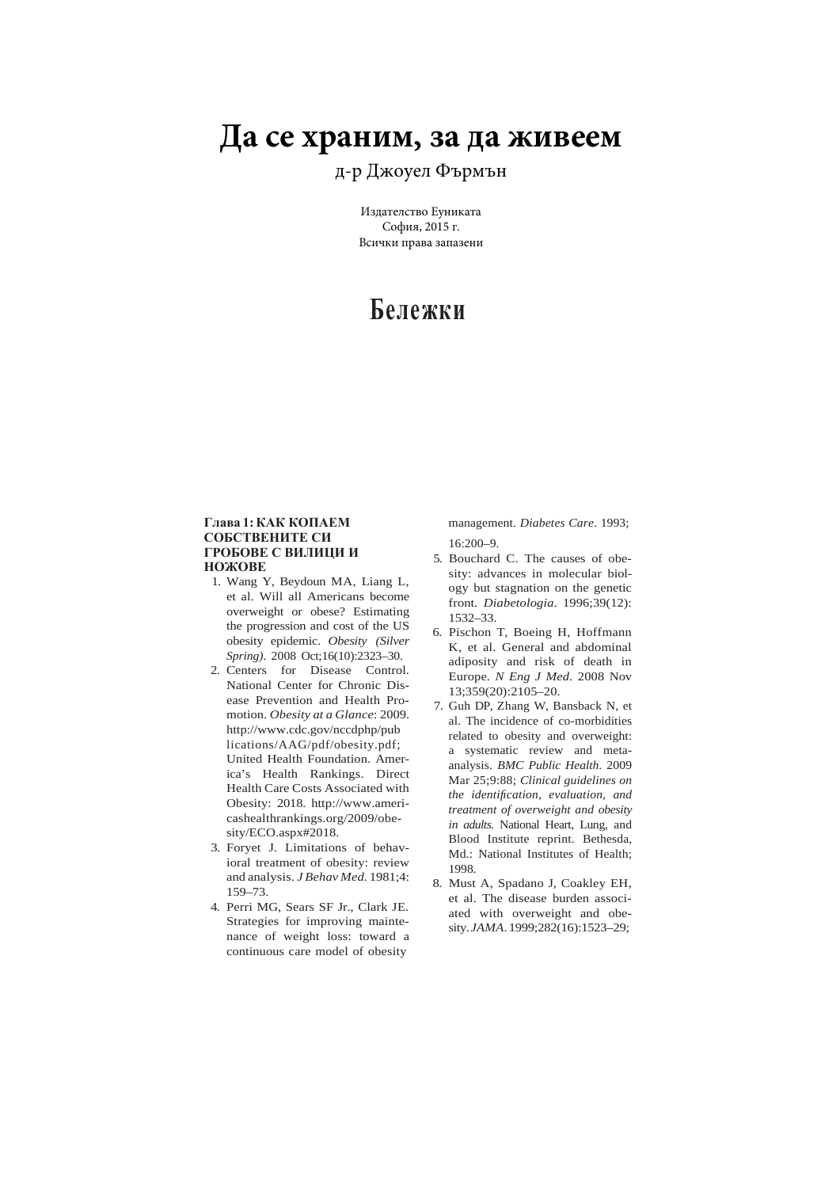# **Да се храним, за да живеем**

д-р Джоуел Фърмън

Издателство Еуниката София, 2015 г. Всички права запазени

# **Бележки**

## **Глава 1: КАК КОПАЕМ СОБСТВЕНИТЕ СИ ГРОБОВЕ С ВИЛИЦИ И НОЖОВЕ**

- 1. Wang Y, Beydoun MA, Liang L, et al. Will all Americans become overweight or obese? Estimating the progression and cost of the US obesity epidemic. *Obesity (Silver Spring)*. 2008 Oct;16(10):2323–30.
- 2. Centers for Disease Control. National Center for Chronic Disease Prevention and Health Promotion. *Obesity at a Glance*: 2009. http://www.cdc.gov/nccdphp/pub lications/AAG/pdf/obesity.pdf; United Health Foundation. America's Health Rankings. Direct Health Care Costs Associated with Obesity: 2018. http://www.americashealthrankings.org/2009/obesity/ECO.aspx#2018.
- 3. Foryet J. Limitations of behavioral treatment of obesity: review and analysis. *J Behav Med*. 1981;4: 159–73.
- 4. Perri MG, Sears SF Jr., Clark JE. Strategies for improving maintenance of weight loss: toward a continuous care model of obesity

management. *Diabetes Care*. 1993;  $16:200 - 9$ 

- 5. Bouchard C. The causes of obesity: advances in molecular biology but stagnation on the genetic front. *Diabetologia*. 1996;39(12): 1532–33.
- 6. Pischon T, Boeing H, Hoffmann K, et al. General and abdominal adiposity and risk of death in Europe. *N Eng J Med*. 2008 Nov 13;359(20):2105–20.
- 7. Guh DP, Zhang W, Bansback N, et al. The incidence of co-morbidities related to obesity and overweight: a systematic review and metaanalysis. *BMC Public Health*. 2009 Mar 25;9:88; *Clinical guidelines on the identification, evaluation, and treatment of overweight and obesity in adults.* National Heart, Lung, and Blood Institute reprint. Bethesda, Md.: National Institutes of Health; 1998.
- 8. Must A, Spadano J, Coakley EH, et al. The disease burden associated with overweight and obesity. *JAMA*. 1999;282(16):1523–29;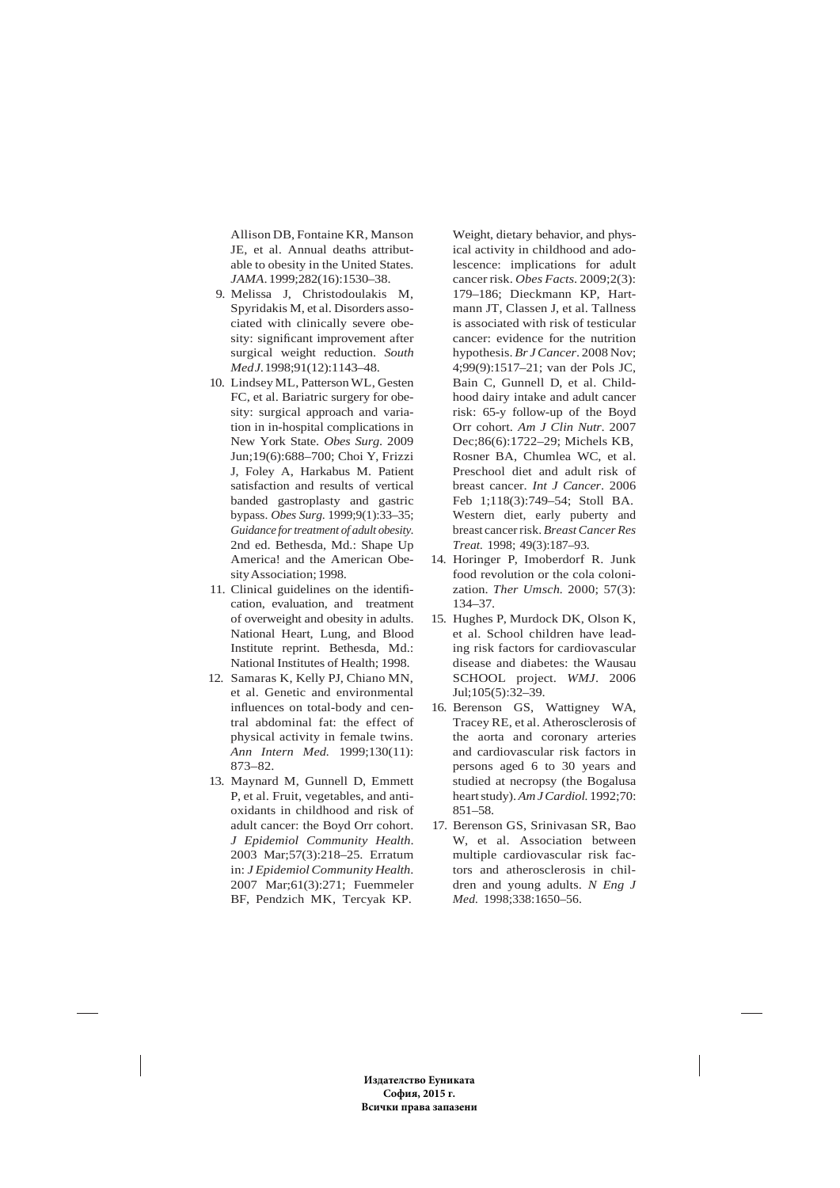Allison DB, Fontaine KR, Manson JE, et al. Annual deaths attributable to obesity in the United States. *JAMA*. 1999;282(16):1530–38.

- 9. Melissa J, Christodoulakis M, Spyridakis M, et al. Disorders associated with clinically severe obesity: significant improvement after surgical weight reduction. *South Med J*. 1998;91(12):1143–48.
- 10. Lindsey ML, Patterson WL, Gesten FC, et al. Bariatric surgery for obesity: surgical approach and variation in in-hospital complications in New York State. *Obes Surg*. 2009 Jun;19(6):688–700; Choi Y, Frizzi J, Foley A, Harkabus M. Patient satisfaction and results of vertical banded gastroplasty and gastric bypass. *Obes Surg*. 1999;9(1):33–35; *Guidance for treatment of adult obesity.*  2nd ed. Bethesda, Md.: Shape Up America! and the American Obesity Association; 1998.
- 11. Clinical guidelines on the identification, evaluation, and treatment of overweight and obesity in adults. National Heart, Lung, and Blood Institute reprint. Bethesda, Md.: National Institutes of Health; 1998.
- 12. Samaras K, Kelly PJ, Chiano MN, et al. Genetic and environmental influences on total-body and central abdominal fat: the effect of physical activity in female twins. *Ann Intern Med.* 1999;130(11): 873–82.
- 13. Maynard M, Gunnell D, Emmett P, et al. Fruit, vegetables, and antioxidants in childhood and risk of adult cancer: the Boyd Orr cohort. *J Epidemiol Community Health*. 2003 Mar;57(3):218–25. Erratum in: *J Epidemiol Community Health*. 2007 Mar;61(3):271; Fuemmeler BF, Pendzich MK, Tercyak KP.

Weight, dietary behavior, and physical activity in childhood and adolescence: implications for adult cancer risk. *Obes Facts*. 2009;2(3): 179–186; Dieckmann KP, Hartmann JT, Classen J, et al. Tallness is associated with risk of testicular cancer: evidence for the nutrition hypothesis. *Br J Cancer*. 2008 Nov; 4;99(9):1517–21; van der Pols JC, Bain C, Gunnell D, et al. Childhood dairy intake and adult cancer risk: 65-y follow-up of the Boyd Orr cohort. *Am J Clin Nutr*. 2007 Dec;86(6):1722–29; Michels KB, Rosner BA, Chumlea WC, et al. Preschool diet and adult risk of breast cancer. *Int J Cancer*. 2006 Feb 1;118(3):749–54; Stoll BA. Western diet, early puberty and breast cancer risk. *Breast Cancer Res Treat.* 1998; 49(3):187–93.

- 14. Horinger P, Imoberdorf R. Junk food revolution or the cola colonization. *Ther Umsch.* 2000; 57(3): 134–37.
- 15. Hughes P, Murdock DK, Olson K, et al. School children have leading risk factors for cardiovascular disease and diabetes: the Wausau SCHOOL project. *WMJ*. 2006 Jul;105(5):32–39.
- 16. Berenson GS, Wattigney WA, Tracey RE, et al. Atherosclerosis of the aorta and coronary arteries and cardiovascular risk factors in persons aged 6 to 30 years and studied at necropsy (the Bogalusa heart study). *Am J Cardiol.* 1992;70: 851–58.
- 17. Berenson GS, Srinivasan SR, Bao W, et al. Association between multiple cardiovascular risk factors and atherosclerosis in children and young adults. *N Eng J Med.* 1998;338:1650–56.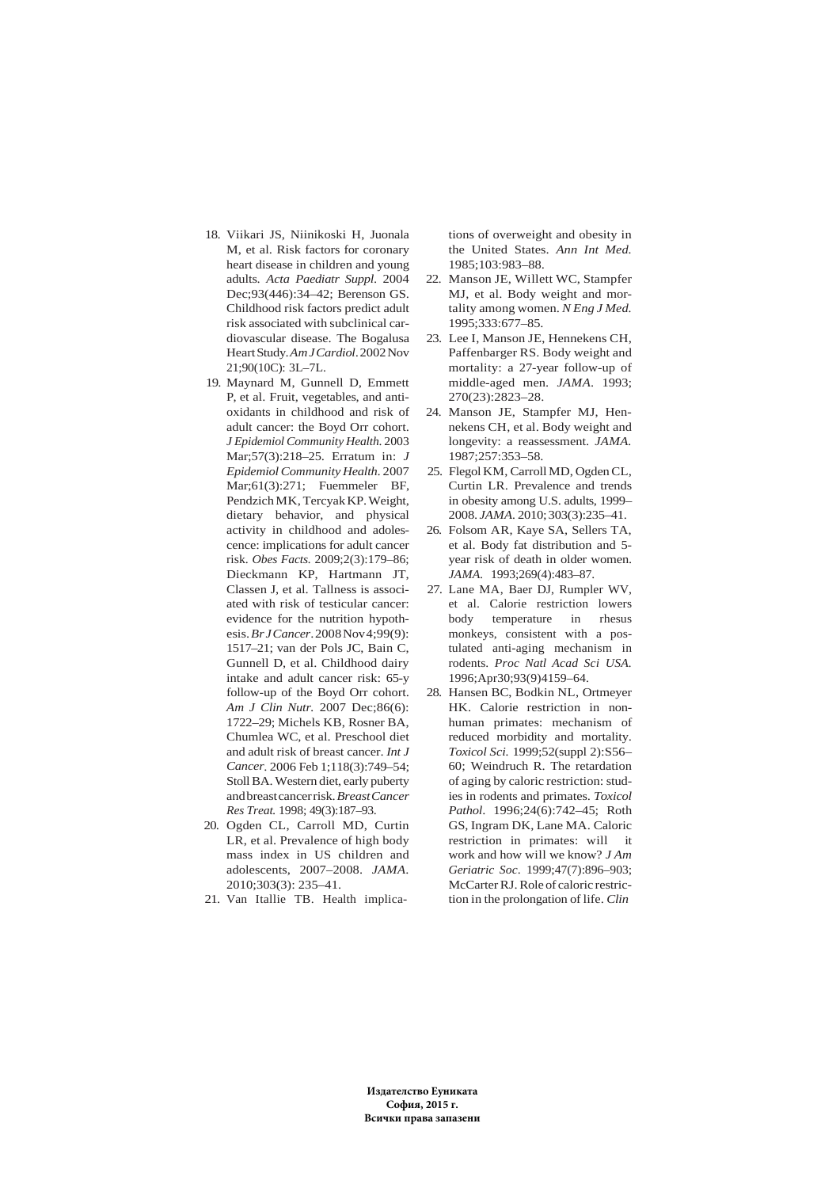- 18. Viikari JS, Niinikoski H, Juonala M, et al. Risk factors for coronary heart disease in children and young adults. *Acta Paediatr Suppl*. 2004 Dec;93(446):34–42; Berenson GS. Childhood risk factors predict adult risk associated with subclinical cardiovascular disease. The Bogalusa Heart Study. *Am J Cardiol*. 2002 Nov 21;90(10C): 3L–7L.
- 19. Maynard M, Gunnell D, Emmett P, et al. Fruit, vegetables, and antioxidants in childhood and risk of adult cancer: the Boyd Orr cohort. *J Epidemiol Community Health*. 2003 Mar;57(3):218–25. Erratum in: *J Epidemiol Community Health*. 2007 Mar;61(3):271; Fuemmeler BF, Pendzich MK, Tercyak KP. Weight, dietary behavior, and physical activity in childhood and adolescence: implications for adult cancer risk. *Obes Facts.* 2009;2(3):179–86; Dieckmann KP, Hartmann JT, Classen J, et al. Tallness is associated with risk of testicular cancer: evidence for the nutrition hypothesis. *Br J Cancer*. 2008 Nov 4;99(9): 1517–21; van der Pols JC, Bain C, Gunnell D, et al. Childhood dairy intake and adult cancer risk: 65-y follow-up of the Boyd Orr cohort. *Am J Clin Nutr.* 2007 Dec;86(6): 1722–29; Michels KB, Rosner BA, Chumlea WC, et al. Preschool diet and adult risk of breast cancer. *Int J Cancer*. 2006 Feb 1;118(3):749–54; Stoll BA. Western diet, early puberty and breast cancer risk. *Breast Cancer Res Treat.* 1998; 49(3):187–93.
- 20. Ogden CL, Carroll MD, Curtin LR, et al. Prevalence of high body mass index in US children and adolescents, 2007–2008. *JAMA*. 2010;303(3): 235–41.
- 21. Van Itallie TB. Health implica-

tions of overweight and obesity in the United States. *Ann Int Med.* 1985;103:983–88.

- 22. Manson JE, Willett WC, Stampfer MJ, et al. Body weight and mortality among women. *N Eng J Med.* 1995;333:677–85.
- 23. Lee I, Manson JE, Hennekens CH, Paffenbarger RS. Body weight and mortality: a 27-year follow-up of middle-aged men. *JAMA*. 1993; 270(23):2823–28.
- 24. Manson JE, Stampfer MJ, Hennekens CH, et al. Body weight and longevity: a reassessment. *JAMA.* 1987;257:353–58.
- 25. Flegol KM, Carroll MD, Ogden CL, Curtin LR. Prevalence and trends in obesity among U.S. adults, 1999– 2008. *JAMA.* 2010; 303(3):235–41.
- 26. Folsom AR, Kaye SA, Sellers TA, et al. Body fat distribution and 5 year risk of death in older women. *JAMA.* 1993;269(4):483–87.
- 27. Lane MA, Baer DJ, Rumpler WV, et al. Calorie restriction lowers body temperature in rhesus monkeys, consistent with a postulated anti-aging mechanism in rodents. *Proc Natl Acad Sci USA.* 1996;Apr30;93(9)4159–64.
- 28. Hansen BC, Bodkin NL, Ortmeyer HK. Calorie restriction in nonhuman primates: mechanism of reduced morbidity and mortality. *Toxicol Sci.* 1999;52(suppl 2):S56– 60; Weindruch R. The retardation of aging by caloric restriction: studies in rodents and primates. *Toxicol Pathol*. 1996;24(6):742–45; Roth GS, Ingram DK, Lane MA. Caloric restriction in primates: will it work and how will we know? *J Am Geriatric Soc*. 1999;47(7):896–903; McCarter RJ. Role of caloric restriction in the prolongation of life. *Clin*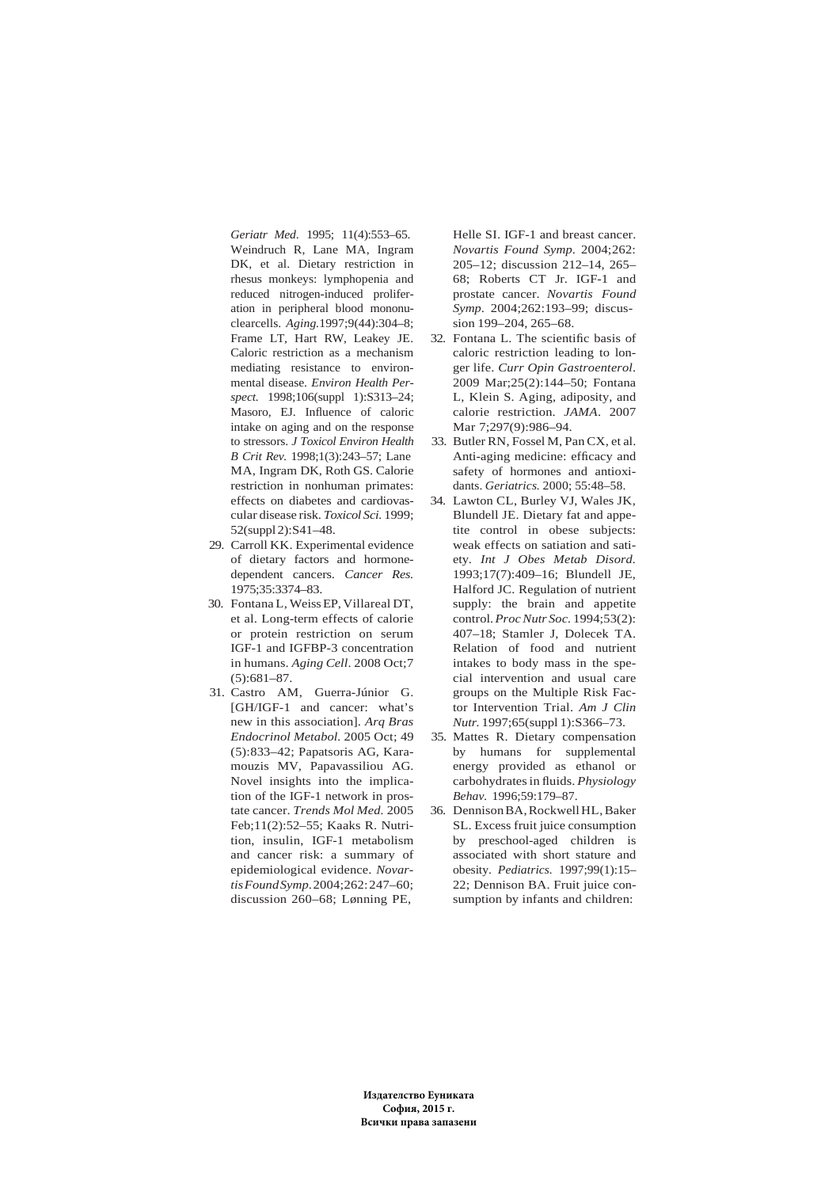*Geriatr Med*. 1995; 11(4):553–65. Weindruch R, Lane MA, Ingram DK, et al. Dietary restriction in rhesus monkeys: lymphopenia and reduced nitrogen-induced proliferation in peripheral blood mononuclearcells. *Aging.*1997;9(44):304–8; Frame LT, Hart RW, Leakey JE. Caloric restriction as a mechanism mediating resistance to environmental disease. *Environ Health Perspect.* 1998;106(suppl 1):S313–24; Masoro, EJ. Influence of caloric intake on aging and on the response to stressors. *J Toxicol Environ Health B Crit Rev.* 1998;1(3):243–57; Lane MA, Ingram DK, Roth GS. Calorie restriction in nonhuman primates: effects on diabetes and cardiovascular disease risk. *Toxicol Sci.* 1999; 52(suppl 2):S41–48.

- 29. Carroll KK. Experimental evidence of dietary factors and hormonedependent cancers. *Cancer Res.* 1975;35:3374–83.
- 30. Fontana L, Weiss EP, Villareal DT, et al. Long-term effects of calorie or protein restriction on serum IGF-1 and IGFBP-3 concentration in humans. *Aging Cell*. 2008 Oct;7 (5):681–87.
- 31. Castro AM, Guerra-Júnior G. [GH/IGF-1 and cancer: what's new in this association]. *Arq Bras Endocrinol Metabol.* 2005 Oct; 49 (5):833–42; Papatsoris AG, Karamouzis MV, Papavassiliou AG. Novel insights into the implication of the IGF-1 network in prostate cancer. *Trends Mol Med.* 2005 Feb;11(2):52–55; Kaaks R. Nutrition, insulin, IGF-1 metabolism and cancer risk: a summary of epidemiological evidence. *Novartis Found Symp*. 2004;262: 247–60; discussion 260–68; Lønning PE,

Helle SI. IGF-1 and breast cancer. *Novartis Found Symp*. 2004;262: 205–12; discussion 212–14, 265– 68; Roberts CT Jr. IGF-1 and prostate cancer. *Novartis Found Symp*. 2004;262:193–99; discussion 199–204, 265–68.

- 32. Fontana L. The scientific basis of caloric restriction leading to longer life. *Curr Opin Gastroenterol*. 2009 Mar;25(2):144–50; Fontana L, Klein S. Aging, adiposity, and calorie restriction. *JAMA*. 2007 Mar 7:297(9):986-94.
- 33. Butler RN, Fossel M, Pan CX, et al. Anti-aging medicine: efficacy and safety of hormones and antioxidants. *Geriatrics.* 2000; 55:48–58.
- 34. Lawton CL, Burley VJ, Wales JK, Blundell JE. Dietary fat and appetite control in obese subjects: weak effects on satiation and satiety. *Int J Obes Metab Disord.* 1993;17(7):409–16; Blundell JE, Halford JC. Regulation of nutrient supply: the brain and appetite control. *Proc Nutr Soc.* 1994;53(2): 407–18; Stamler J, Dolecek TA. Relation of food and nutrient intakes to body mass in the special intervention and usual care groups on the Multiple Risk Factor Intervention Trial. *Am J Clin Nutr.* 1997;65(suppl 1):S366–73.
- 35. Mattes R. Dietary compensation by humans for supplemental energy provided as ethanol or carbohydrates in fluids. *Physiology Behav.* 1996;59:179–87.
- 36. Dennison BA, Rockwell HL, Baker SL. Excess fruit juice consumption by preschool-aged children is associated with short stature and obesity. *Pediatrics.* 1997;99(1):15– 22; Dennison BA. Fruit juice consumption by infants and children: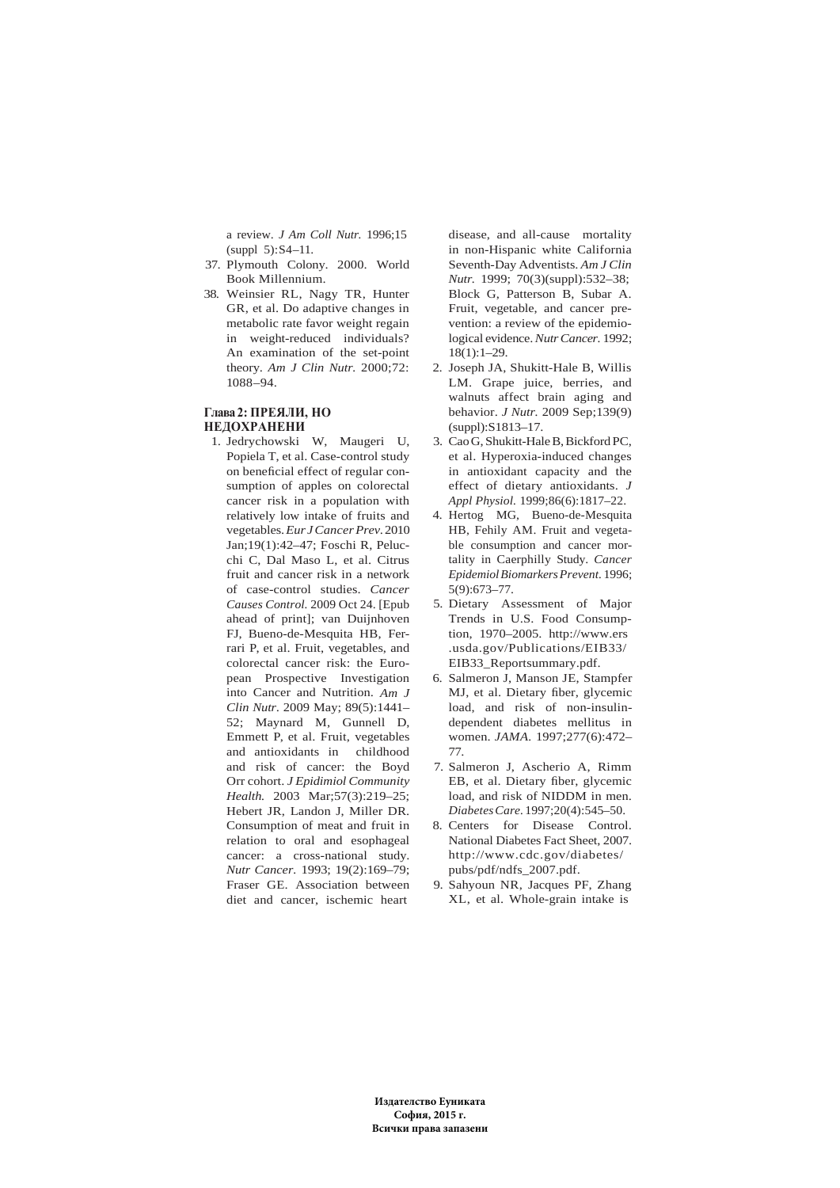a review. *J Am Coll Nutr.* 1996;15 (suppl 5):S4–11.

- 37. Plymouth Colony. 2000. World Book Millennium.
- 38. Weinsier RL, Nagy TR, Hunter GR, et al. Do adaptive changes in metabolic rate favor weight regain in weight-reduced individuals? An examination of the set-point theory. *Am J Clin Nutr.* 2000;72: 1088–94.

# **Глава 2: ПРЕЯЛИ, НО НЕДОХРАНЕНИ**

1. Jedrychowski W, Maugeri U, Popiela T, et al. Case-control study on beneficial effect of regular consumption of apples on colorectal cancer risk in a population with relatively low intake of fruits and vegetables. *Eur J Cancer Prev*. 2010 Jan;19(1):42–47; Foschi R, Pelucchi C, Dal Maso L, et al. Citrus fruit and cancer risk in a network of case-control studies. *Cancer Causes Control.* 2009 Oct 24. [Epub ahead of print]; van Duijnhoven FJ, Bueno-de-Mesquita HB, Ferrari P, et al. Fruit, vegetables, and colorectal cancer risk: the European Prospective Investigation into Cancer and Nutrition. *Am J Clin Nutr*. 2009 May; 89(5):1441– 52; Maynard M, Gunnell D, Emmett P, et al. Fruit, vegetables and antioxidants in childhood and risk of cancer: the Boyd Orr cohort. *J Epidimiol Community Health.* 2003 Mar;57(3):219–25; Hebert JR, Landon J, Miller DR. Consumption of meat and fruit in relation to oral and esophageal cancer: a cross-national study. *Nutr Cancer.* 1993; 19(2):169–79; Fraser GE. Association between diet and cancer, ischemic heart

disease, and all-cause mortality in non-Hispanic white California Seventh-Day Adventists. *Am J Clin Nutr.* 1999; 70(3)(suppl):532–38; Block G, Patterson B, Subar A. Fruit, vegetable, and cancer prevention: a review of the epidemiological evidence. *Nutr Cancer.* 1992; 18(1):1–29.

- 2. Joseph JA, Shukitt-Hale B, Willis LM. Grape juice, berries, and walnuts affect brain aging and behavior. *J Nutr.* 2009 Sep;139(9) (suppl):S1813–17.
- 3. Cao G, Shukitt-Hale B, Bickford PC, et al. Hyperoxia-induced changes in antioxidant capacity and the effect of dietary antioxidants. *J Appl Physiol.* 1999;86(6):1817–22.
- 4. Hertog MG, Bueno-de-Mesquita HB, Fehily AM. Fruit and vegetable consumption and cancer mortality in Caerphilly Study. *Cancer Epidemiol Biomarkers Prevent.* 1996; 5(9):673–77.
- 5. Dietary Assessment of Major Trends in U.S. Food Consumption, 1970–2005. http://www.ers .usda.gov/Publications/EIB33/ EIB33\_Reportsummary.pdf.
- 6. Salmeron J, Manson JE, Stampfer MJ, et al. Dietary fiber, glycemic load, and risk of non-insulindependent diabetes mellitus in women. *JAMA.* 1997;277(6):472– 77.
- 7. Salmeron J, Ascherio A, Rimm EB, et al. Dietary fiber, glycemic load, and risk of NIDDM in men. *Diabetes Care.* 1997;20(4):545–50.
- 8. Centers for Disease Control. National Diabetes Fact Sheet, 2007. http://www.cdc.gov/diabetes/ pubs/pdf/ndfs\_2007.pdf.
- 9. Sahyoun NR, Jacques PF, Zhang XL, et al. Whole-grain intake is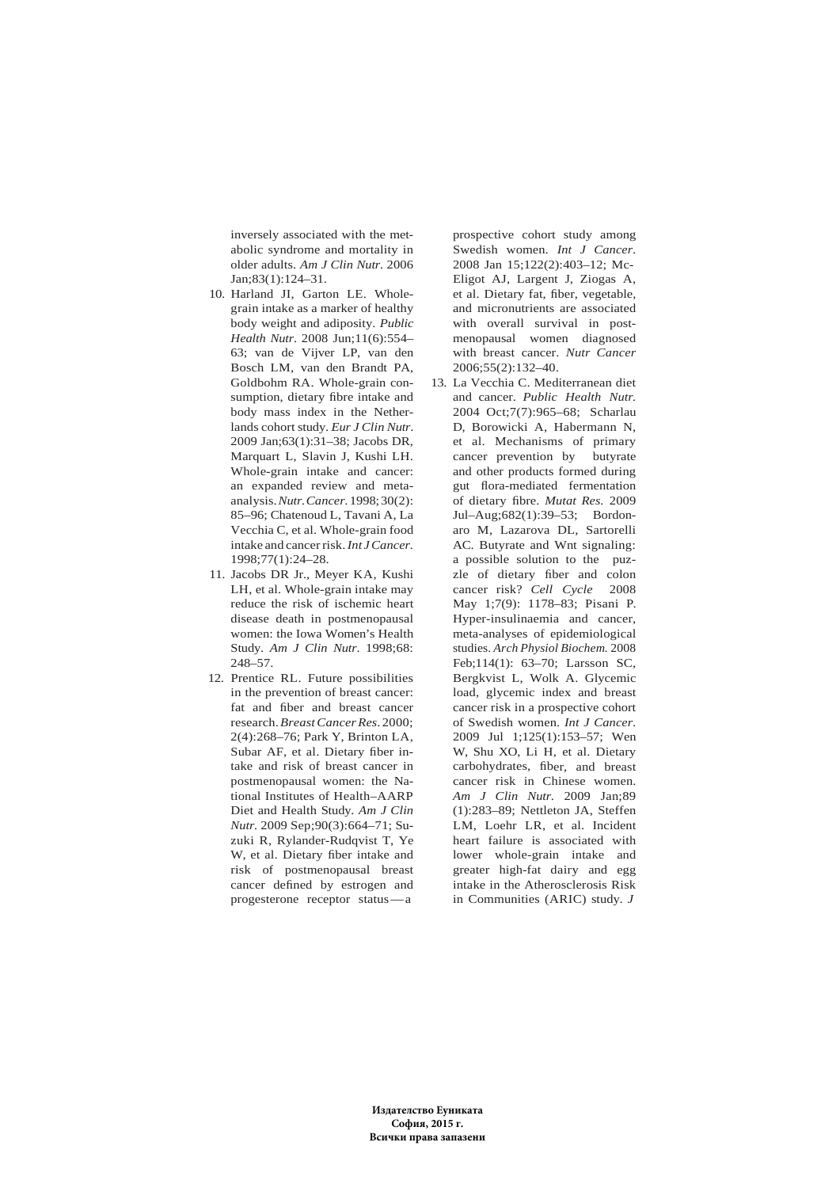inversely associated with the metabolic syndrome and mortality in older adults. *Am J Clin Nutr*. 2006 Jan;83(1):124–31.

- 10. Harland JI, Garton LE. Wholegrain intake as a marker of healthy body weight and adiposity. *Public Health Nutr*. 2008 Jun;11(6):554– 63; van de Vijver LP, van den Bosch LM, van den Brandt PA, Goldbohm RA. Whole-grain consumption, dietary fibre intake and body mass index in the Netherlands cohort study. *Eur J Clin Nutr*. 2009 Jan;63(1):31–38; Jacobs DR, Marquart L, Slavin J, Kushi LH. Whole-grain intake and cancer: an expanded review and metaanalysis. *Nutr. Cancer.* 1998; 30(2): 85–96; Chatenoud L, Tavani A, La Vecchia C, et al. Whole-grain food intake and cancer risk. *Int J Cancer.* 1998;77(1):24–28.
- 11. Jacobs DR Jr., Meyer KA, Kushi LH, et al. Whole-grain intake may reduce the risk of ischemic heart disease death in postmenopausal women: the Iowa Women's Health Study. *Am J Clin Nutr*. 1998;68: 248–57.
- 12. Prentice RL. Future possibilities in the prevention of breast cancer: fat and fiber and breast cancer research. *Breast Cancer Res*. 2000; 2(4):268–76; Park Y, Brinton LA, Subar AF, et al. Dietary fiber intake and risk of breast cancer in postmenopausal women: the National Institutes of Health–AARP Diet and Health Study. *Am J Clin Nutr.* 2009 Sep;90(3):664–71; Suzuki R, Rylander-Rudqvist T, Ye W, et al. Dietary fiber intake and risk of postmenopausal breast cancer defined by estrogen and progesterone receptor status — a

prospective cohort study among Swedish women. *Int J Cancer*. 2008 Jan 15;122(2):403–12; Mc-Eligot AJ, Largent J, Ziogas A, et al. Dietary fat, fiber, vegetable, and micronutrients are associated with overall survival in postmenopausal women diagnosed with breast cancer. *Nutr Cancer* 2006;55(2):132–40.

13. La Vecchia C. Mediterranean diet and cancer. *Public Health Nutr.* 2004 Oct;7(7):965–68; Scharlau D, Borowicki A, Habermann N, et al. Mechanisms of primary cancer prevention by butyrate and other products formed during gut flora-mediated fermentation of dietary fibre. *Mutat Res.* 2009 Jul–Aug;682(1):39–53; Bordonaro M, Lazarova DL, Sartorelli AC. Butyrate and Wnt signaling: a possible solution to the puzzle of dietary fiber and colon cancer risk? *Cell Cycle* 2008 May 1;7(9): 1178–83; Pisani P. Hyper-insulinaemia and cancer, meta-analyses of epidemiological studies. *Arch Physiol Biochem.* 2008 Feb;114(1): 63–70; Larsson SC, Bergkvist L, Wolk A. Glycemic load, glycemic index and breast cancer risk in a prospective cohort of Swedish women. *Int J Cancer*. 2009 Jul 1;125(1):153–57; Wen W, Shu XO, Li H, et al. Dietary carbohydrates, fiber, and breast cancer risk in Chinese women. *Am J Clin Nutr*. 2009 Jan;89 (1):283–89; Nettleton JA, Steffen LM, Loehr LR, et al. Incident heart failure is associated with lower whole-grain intake and greater high-fat dairy and egg intake in the Atherosclerosis Risk in Communities (ARIC) study. *J*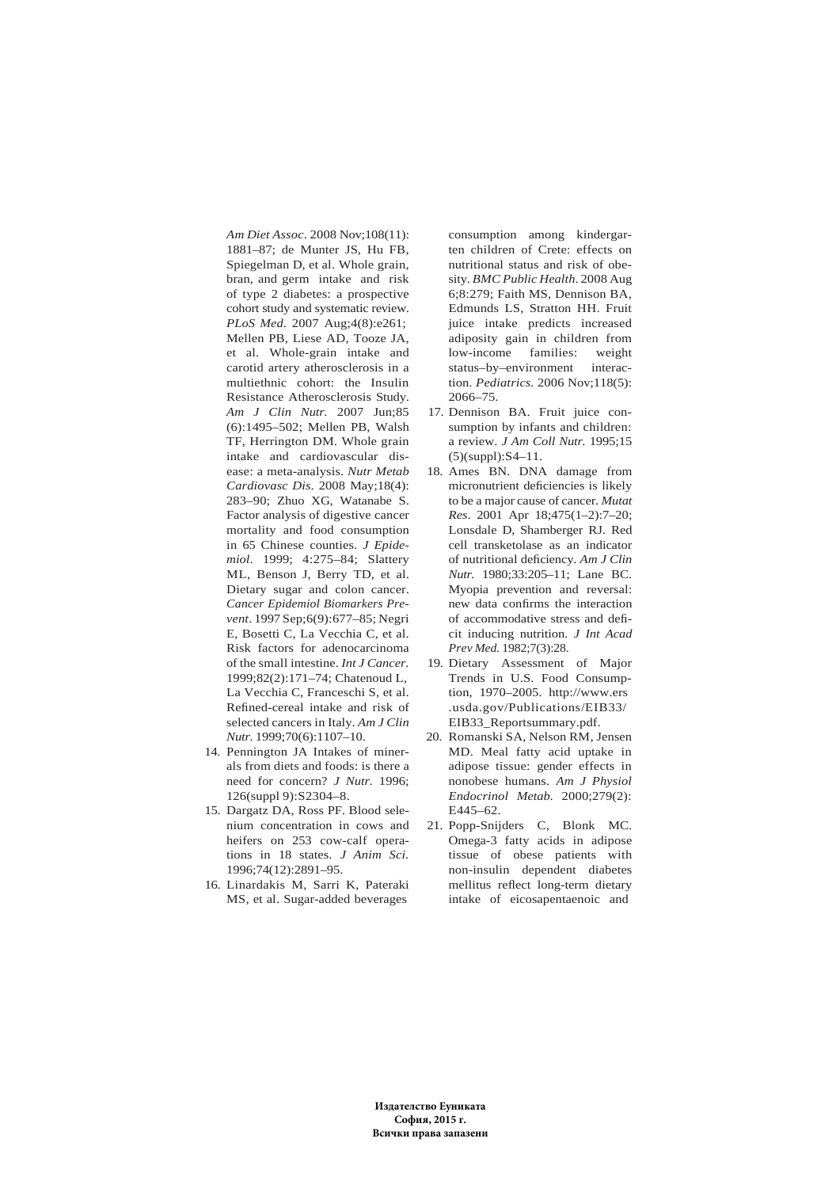*Am Diet Assoc*. 2008 Nov;108(11): 1881–87; de Munter JS, Hu FB, Spiegelman D, et al. Whole grain, bran, and germ intake and risk of type 2 diabetes: a prospective cohort study and systematic review. *PLoS Med*. 2007 Aug;4(8):e261; Mellen PB, Liese AD, Tooze JA, et al. Whole-grain intake and carotid artery atherosclerosis in a multiethnic cohort: the Insulin Resistance Atherosclerosis Study. *Am J Clin Nutr*. 2007 Jun;85 (6):1495–502; Mellen PB, Walsh TF, Herrington DM. Whole grain intake and cardiovascular disease: a meta-analysis. *Nutr Metab Cardiovasc Dis*. 2008 May;18(4): 283–90; Zhuo XG, Watanabe S. Factor analysis of digestive cancer mortality and food consumption in 65 Chinese counties. *J Epidemiol*. 1999; 4:275–84; Slattery ML, Benson J, Berry TD, et al. Dietary sugar and colon cancer. *Cancer Epidemiol Biomarkers Prevent*. 1997 Sep;6(9):677–85; Negri E, Bosetti C, La Vecchia C, et al. Risk factors for adenocarcinoma of the small intestine. *Int J Cancer.* 1999;82(2):171–74; Chatenoud L, La Vecchia C, Franceschi S, et al. Refined-cereal intake and risk of selected cancers in Italy. *Am J Clin Nutr*. 1999;70(6):1107–10.

- 14. Pennington JA Intakes of minerals from diets and foods: is there a need for concern? *J Nutr*. 1996; 126(suppl 9):S2304–8.
- 15. Dargatz DA, Ross PF. Blood selenium concentration in cows and heifers on 253 cow-calf operations in 18 states. *J Anim Sci.* 1996;74(12):2891–95.
- 16. Linardakis M, Sarri K, Pateraki MS, et al. Sugar-added beverages

consumption among kindergarten children of Crete: effects on nutritional status and risk of obesity. *BMC Public Health*. 2008 Aug 6;8:279; Faith MS, Dennison BA, Edmunds LS, Stratton HH. Fruit juice intake predicts increased adiposity gain in children from low-income families: weight status–by–environment interaction. *Pediatrics.* 2006 Nov;118(5): 2066–75.

- 17. Dennison BA. Fruit juice consumption by infants and children: a review. *J Am Coll Nutr.* 1995;15 (5)(suppl):S4–11.
- 18. Ames BN. DNA damage from micronutrient deficiencies is likely to be a major cause of cancer. *Mutat Res*. 2001 Apr 18;475(1–2):7–20; Lonsdale D, Shamberger RJ. Red cell transketolase as an indicator of nutritional deficiency. *Am J Clin Nutr.* 1980;33:205–11; Lane BC. Myopia prevention and reversal: new data confirms the interaction of accommodative stress and deficit inducing nutrition. *J Int Acad Prev Med.* 1982;7(3):28.
- 19. Dietary Assessment of Major Trends in U.S. Food Consumption, 1970–2005. http://www.ers .usda.gov/Publications/EIB33/ EIB33\_Reportsummary.pdf.
- 20. Romanski SA, Nelson RM, Jensen MD. Meal fatty acid uptake in adipose tissue: gender effects in nonobese humans. *Am J Physiol Endocrinol Metab*. 2000;279(2): E445–62.
- 21. Popp-Snijders C, Blonk MC. Omega-3 fatty acids in adipose tissue of obese patients with non-insulin dependent diabetes mellitus reflect long-term dietary intake of eicosapentaenoic and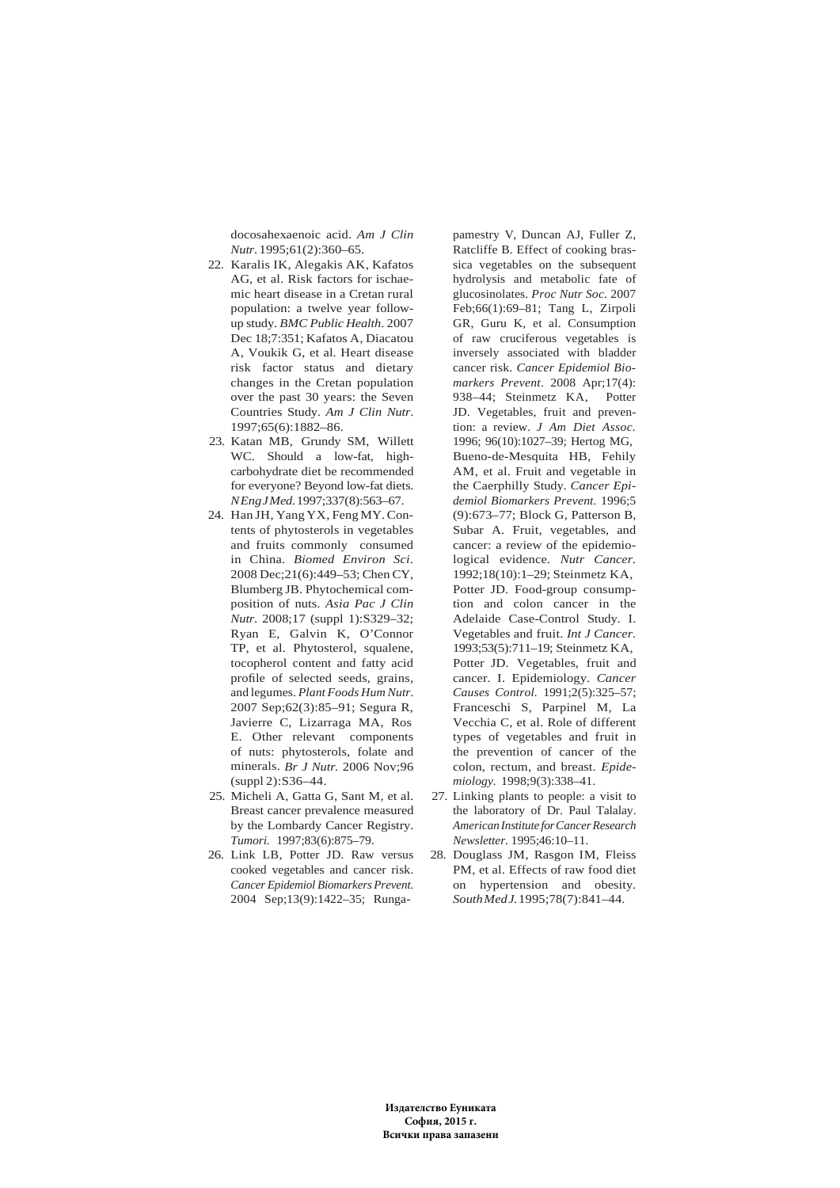docosahexaenoic acid. *Am J Clin Nutr*. 1995;61(2):360–65.

- 22. Karalis IK, Alegakis AK, Kafatos AG, et al. Risk factors for ischaemic heart disease in a Cretan rural population: a twelve year followup study. *BMC Public Health*. 2007 Dec 18;7:351; Kafatos A, Diacatou A, Voukik G, et al. Heart disease risk factor status and dietary changes in the Cretan population over the past 30 years: the Seven Countries Study. *Am J Clin Nutr*. 1997;65(6):1882–86.
- 23. Katan MB, Grundy SM, Willett WC. Should a low-fat, highcarbohydrate diet be recommended for everyone? Beyond low-fat diets. *N Eng J Med*. 1997;337(8):563–67.
- 24. Han JH, Yang YX, Feng MY. Contents of phytosterols in vegetables and fruits commonly consumed in China. *Biomed Environ Sci*. 2008 Dec;21(6):449–53; Chen CY, Blumberg JB. Phytochemical composition of nuts. *Asia Pac J Clin Nutr*. 2008;17 (suppl 1):S329–32; Ryan E, Galvin K, O'Connor TP, et al. Phytosterol, squalene, tocopherol content and fatty acid profile of selected seeds, grains, and legumes. *Plant Foods Hum Nutr*. 2007 Sep;62(3):85–91; Segura R, Javierre C, Lizarraga MA, Ros E. Other relevant components of nuts: phytosterols, folate and minerals. *Br J Nutr.* 2006 Nov;96 (suppl 2):S36–44.
- 25. Micheli A, Gatta G, Sant M, et al. Breast cancer prevalence measured by the Lombardy Cancer Registry. *Tumori.* 1997;83(6):875–79.
- 26. Link LB, Potter JD. Raw versus cooked vegetables and cancer risk. *Cancer Epidemiol Biomarkers Prevent*. 2004 Sep;13(9):1422–35; Runga-

pamestry V, Duncan AJ, Fuller Z, Ratcliffe B. Effect of cooking brassica vegetables on the subsequent hydrolysis and metabolic fate of glucosinolates. *Proc Nutr Soc*. 2007 Feb;66(1):69–81; Tang L, Zirpoli GR, Guru K, et al. Consumption of raw cruciferous vegetables is inversely associated with bladder cancer risk. *Cancer Epidemiol Biomarkers Prevent*. 2008 Apr;17(4): 938–44; Steinmetz KA, Potter JD. Vegetables, fruit and prevention: a review. *J Am Diet Assoc.* 1996; 96(10):1027–39; Hertog MG, Bueno-de-Mesquita HB, Fehily AM, et al. Fruit and vegetable in the Caerphilly Study. *Cancer Epidemiol Biomarkers Prevent.* 1996;5 (9):673–77; Block G, Patterson B, Subar A. Fruit, vegetables, and cancer: a review of the epidemiological evidence. *Nutr Cancer.* 1992;18(10):1–29; Steinmetz KA, Potter JD. Food-group consumption and colon cancer in the Adelaide Case-Control Study. I. Vegetables and fruit. *Int J Cancer.* 1993;53(5):711–19; Steinmetz KA, Potter JD. Vegetables, fruit and cancer. I. Epidemiology. *Cancer Causes Control.* 1991;2(5):325–57; Franceschi S, Parpinel M, La Vecchia C, et al. Role of different types of vegetables and fruit in the prevention of cancer of the colon, rectum, and breast. *Epidemiology.* 1998;9(3):338–41.

- 27. Linking plants to people: a visit to the laboratory of Dr. Paul Talalay. *American Institute for Cancer Research Newsletter*. 1995;46:10–11.
- 28. Douglass JM, Rasgon IM, Fleiss PM, et al. Effects of raw food diet on hypertension and obesity. *South Med J.* 1995;78(7):841–44.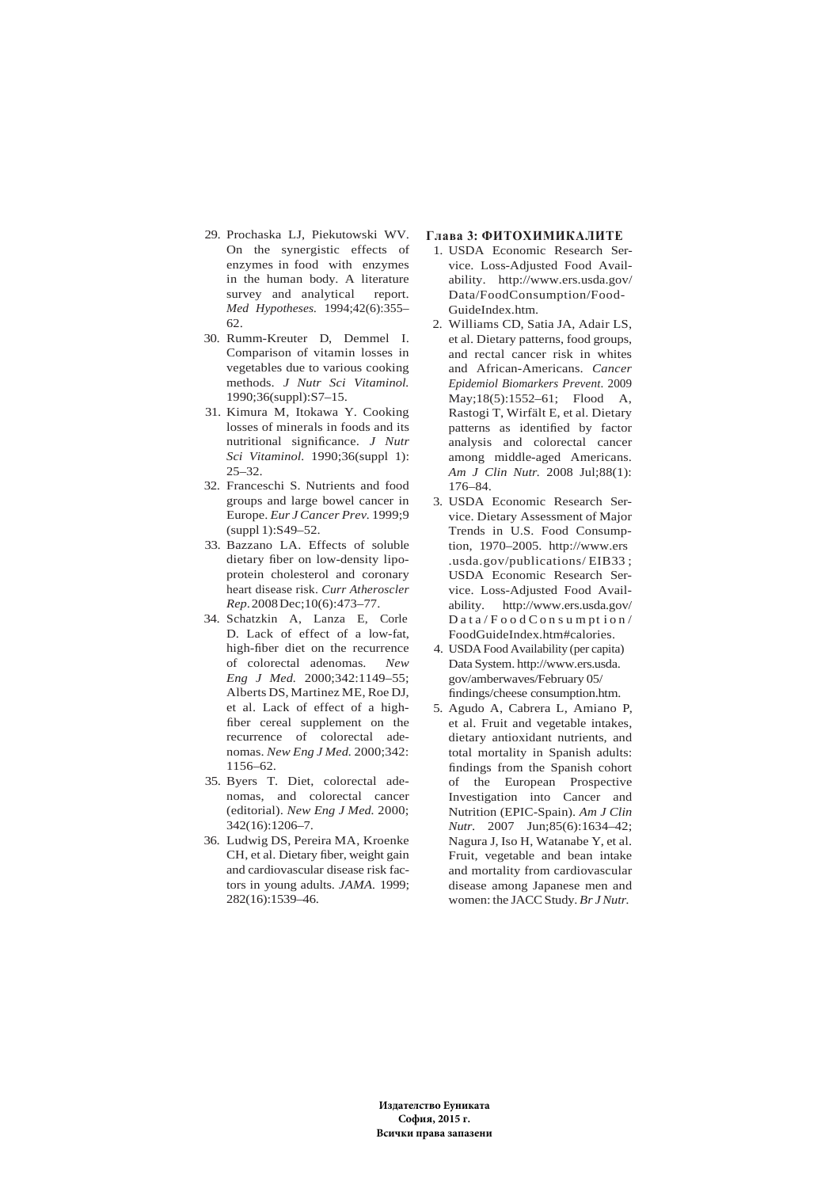- 29. Prochaska LJ, Piekutowski WV. On the synergistic effects of enzymes in food with enzymes in the human body. A literature survey and analytical report. *Med Hypotheses.* 1994;42(6):355– 62.
- 30. Rumm-Kreuter D, Demmel I. Comparison of vitamin losses in vegetables due to various cooking methods. *J Nutr Sci Vitaminol.* 1990;36(suppl):S7–15.
- 31. Kimura M, Itokawa Y. Cooking losses of minerals in foods and its nutritional significance. *J Nutr Sci Vitaminol.* 1990;36(suppl 1): 25–32.
- 32. Franceschi S. Nutrients and food groups and large bowel cancer in Europe. *Eur J Cancer Prev.* 1999;9 (suppl 1):S49–52.
- 33. Bazzano LA. Effects of soluble dietary fiber on low-density lipoprotein cholesterol and coronary heart disease risk. *Curr Atheroscler Rep*. 2008 Dec;10(6):473–77.
- 34. Schatzkin A, Lanza E, Corle D. Lack of effect of a low-fat, high-fiber diet on the recurrence of colorectal adenomas. *New Eng J Med.* 2000;342:1149–55; Alberts DS, Martinez ME, Roe DJ, et al. Lack of effect of a highfiber cereal supplement on the recurrence of colorectal adenomas. *New Eng J Med.* 2000;342: 1156–62.
- 35. Byers T. Diet, colorectal adenomas, and colorectal cancer (editorial). *New Eng J Med.* 2000; 342(16):1206–7.
- 36. Ludwig DS, Pereira MA, Kroenke CH, et al. Dietary fiber, weight gain and cardiovascular disease risk factors in young adults. *JAMA.* 1999; 282(16):1539–46.

## **Глава 3: ФИТОХИМИКАЛИТЕ**

- 1. USDA Economic Research Service. Loss-Adjusted Food Availability. http://www.ers.usda.gov/ Data/FoodConsumption/Food-GuideIndex.htm.
- 2. Williams CD, Satia JA, Adair LS, et al. Dietary patterns, food groups, and rectal cancer risk in whites and African-Americans. *Cancer Epidemiol Biomarkers Prevent*. 2009 May;18(5):1552–61; Flood A, Rastogi T, Wirfält E, et al. Dietary patterns as identified by factor analysis and colorectal cancer among middle-aged Americans. *Am J Clin Nutr.* 2008 Jul;88(1): 176–84.
- 3. USDA Economic Research Service. Dietary Assessment of Major Trends in U.S. Food Consumption, 1970–2005. http://www.ers .usda.gov/publications/ EIB33 ; USDA Economic Research Service. Loss-Adjusted Food Availability. http://www.ers.usda.gov/  $Data/FoodConsum$  ption/ FoodGuideIndex.htm#calories.
- 4. USDA Food Availability (per capita) Data System. http://www.ers.usda. gov/amberwaves/February 05/ findings/cheese consumption.htm.
- 5. Agudo A, Cabrera L, Amiano P, et al. Fruit and vegetable intakes, dietary antioxidant nutrients, and total mortality in Spanish adults: findings from the Spanish cohort of the European Prospective Investigation into Cancer and Nutrition (EPIC-Spain). *Am J Clin Nutr*. 2007 Jun;85(6):1634–42; Nagura J, Iso H, Watanabe Y, et al. Fruit, vegetable and bean intake and mortality from cardiovascular disease among Japanese men and women: the JACC Study. *Br J Nutr.*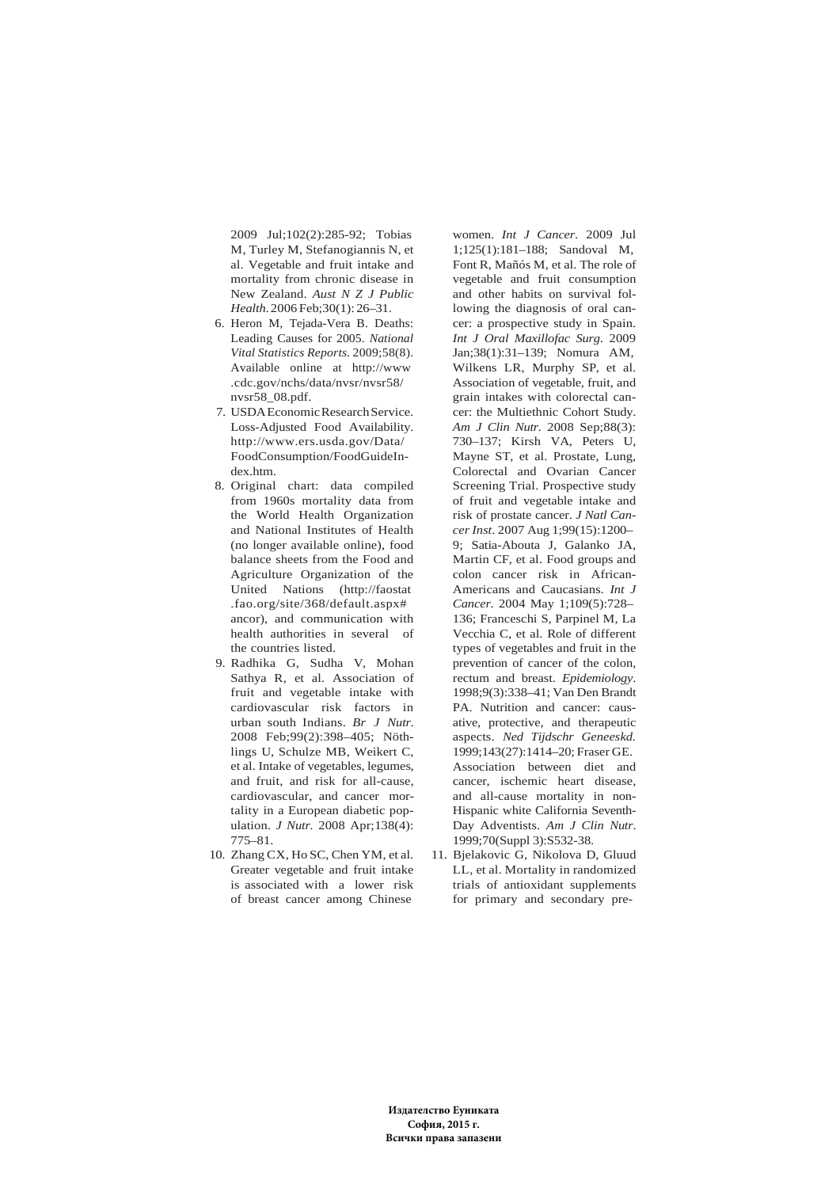2009 Jul;102(2):285-92; Tobias M, Turley M, Stefanogiannis N, et al. Vegetable and fruit intake and mortality from chronic disease in New Zealand. *Aust N Z J Public Health*. 2006 Feb;30(1): 26–31.

- 6. Heron M, Tejada-Vera B. Deaths: Leading Causes for 2005. *National Vital Statistics Reports*. 2009;58(8). Available online at http://www .cdc.gov/nchs/data/nvsr/nvsr58/ nvsr58\_08.pdf.
- 7. USDA Economic Research Service. Loss-Adjusted Food Availability. http://www.ers.usda.gov/Data/ FoodConsumption/FoodGuideIndex.htm.
- 8. Original chart: data compiled from 1960s mortality data from the World Health Organization and National Institutes of Health (no longer available online), food balance sheets from the Food and Agriculture Organization of the United Nations (http://faostat .fao.org/site/368/default.aspx# ancor), and communication with health authorities in several of the countries listed.
- 9. Radhika G, Sudha V, Mohan Sathya R, et al. Association of fruit and vegetable intake with cardiovascular risk factors in urban south Indians. *Br J Nutr*. 2008 Feb;99(2):398–405; Nöthlings U, Schulze MB, Weikert C, et al. Intake of vegetables, legumes, and fruit, and risk for all-cause, cardiovascular, and cancer mortality in a European diabetic population. *J Nutr.* 2008 Apr;138(4): 775–81.
- 10. Zhang CX, Ho SC, Chen YM, et al. Greater vegetable and fruit intake is associated with a lower risk of breast cancer among Chinese

women. *Int J Cancer*. 2009 Jul 1;125(1):181–188; Sandoval M, Font R, Mañós M, et al. The role of vegetable and fruit consumption and other habits on survival following the diagnosis of oral cancer: a prospective study in Spain. *Int J Oral Maxillofac Surg*. 2009 Jan;38(1):31–139; Nomura AM, Wilkens LR, Murphy SP, et al. Association of vegetable, fruit, and grain intakes with colorectal cancer: the Multiethnic Cohort Study. *Am J Clin Nutr.* 2008 Sep;88(3): 730–137; Kirsh VA, Peters U, Mayne ST, et al. Prostate, Lung, Colorectal and Ovarian Cancer Screening Trial. Prospective study of fruit and vegetable intake and risk of prostate cancer. *J Natl Cancer Inst*. 2007 Aug 1;99(15):1200– 9; Satia-Abouta J, Galanko JA, Martin CF, et al. Food groups and colon cancer risk in African-Americans and Caucasians. *Int J Cancer.* 2004 May 1;109(5):728– 136; Franceschi S, Parpinel M, La Vecchia C, et al. Role of different types of vegetables and fruit in the prevention of cancer of the colon, rectum and breast. *Epidemiology*. 1998;9(3):338–41; Van Den Brandt PA. Nutrition and cancer: causative, protective, and therapeutic aspects. *Ned Tijdschr Geneeskd.* 1999;143(27):1414–20; Fraser GE. Association between diet and cancer, ischemic heart disease, and all-cause mortality in non-Hispanic white California Seventh-Day Adventists. *Am J Clin Nutr*. 1999;70(Suppl 3):S532-38.

11. Bjelakovic G, Nikolova D, Gluud LL, et al. Mortality in randomized trials of antioxidant supplements for primary and secondary pre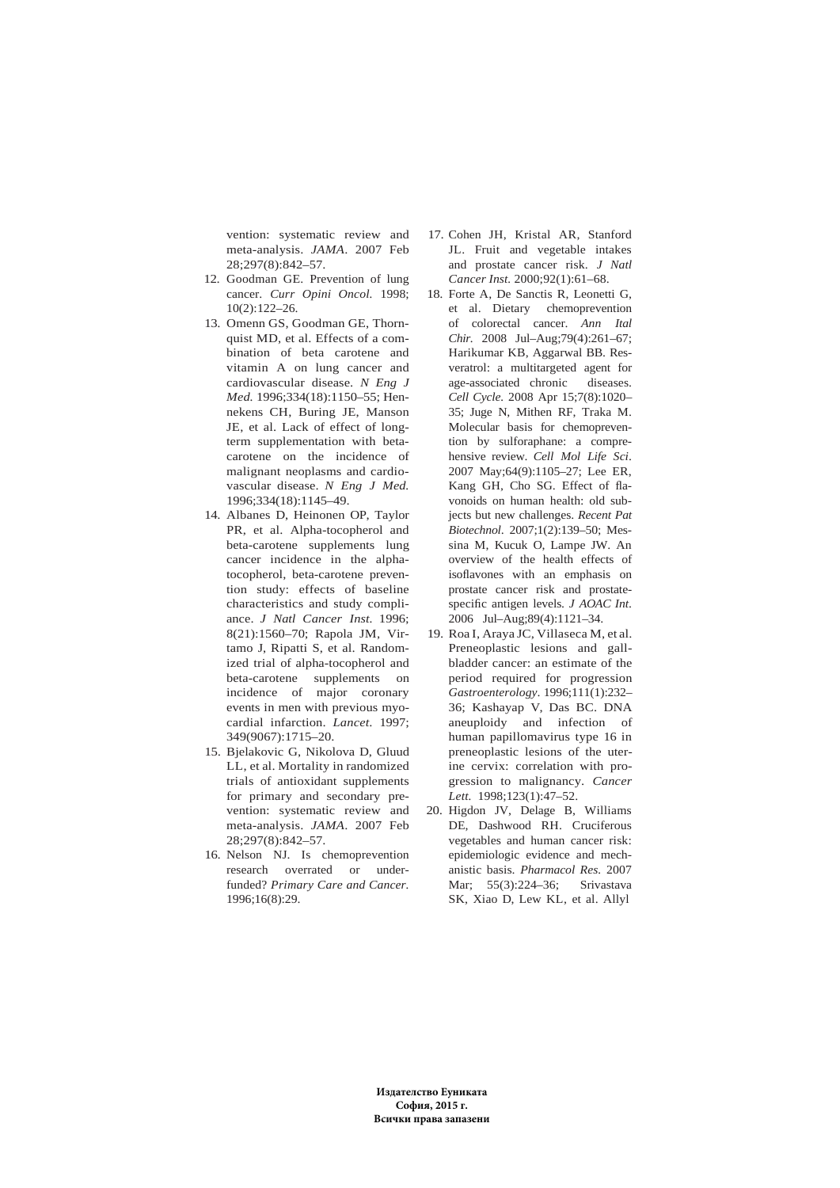vention: systematic review and meta-analysis. *JAMA*. 2007 Feb 28;297(8):842–57.

- 12. Goodman GE. Prevention of lung cancer. *Curr Opini Oncol.* 1998;  $10(2):122-26.$
- 13. Omenn GS, Goodman GE, Thornquist MD, et al. Effects of a combination of beta carotene and vitamin A on lung cancer and cardiovascular disease. *N Eng J Med.* 1996;334(18):1150–55; Hennekens CH, Buring JE, Manson JE, et al. Lack of effect of longterm supplementation with betacarotene on the incidence of malignant neoplasms and cardiovascular disease. *N Eng J Med.* 1996;334(18):1145–49.
- 14. Albanes D, Heinonen OP, Taylor PR, et al. Alpha-tocopherol and beta-carotene supplements lung cancer incidence in the alphatocopherol, beta-carotene prevention study: effects of baseline characteristics and study compliance. *J Natl Cancer Inst.* 1996; 8(21):1560–70; Rapola JM, Virtamo J, Ripatti S, et al. Randomized trial of alpha-tocopherol and beta-carotene supplements on incidence of major coronary events in men with previous myocardial infarction. *Lancet*. 1997; 349(9067):1715–20.
- 15. Bjelakovic G, Nikolova D, Gluud LL, et al. Mortality in randomized trials of antioxidant supplements for primary and secondary prevention: systematic review and meta-analysis. *JAMA*. 2007 Feb 28;297(8):842–57.
- 16. Nelson NJ. Is chemoprevention research overrated or underfunded? *Primary Care and Cancer.* 1996;16(8):29.
- 17. Cohen JH, Kristal AR, Stanford JL. Fruit and vegetable intakes and prostate cancer risk. *J Natl Cancer Inst.* 2000;92(1):61–68.
- 18. Forte A, De Sanctis R, Leonetti G, et al. Dietary chemoprevention of colorectal cancer. *Ann Ital Chir.* 2008 Jul–Aug;79(4):261–67; Harikumar KB, Aggarwal BB. Resveratrol: a multitargeted agent for age-associated chronic diseases. *Cell Cycle.* 2008 Apr 15;7(8):1020– 35; Juge N, Mithen RF, Traka M. Molecular basis for chemoprevention by sulforaphane: a comprehensive review. *Cell Mol Life Sci*. 2007 May;64(9):1105–27; Lee ER, Kang GH, Cho SG. Effect of flavonoids on human health: old subjects but new challenges. *Recent Pat Biotechnol*. 2007;1(2):139–50; Messina M, Kucuk O, Lampe JW. An overview of the health effects of isoflavones with an emphasis on prostate cancer risk and prostatespecific antigen levels. *J AOAC Int*. 2006 Jul–Aug;89(4):1121–34.
- 19. Roa I, Araya JC, Villaseca M, et al. Preneoplastic lesions and gallbladder cancer: an estimate of the period required for progression *Gastroenterology*. 1996;111(1):232– 36; Kashayap V, Das BC. DNA aneuploidy and infection of human papillomavirus type 16 in preneoplastic lesions of the uterine cervix: correlation with progression to malignancy. *Cancer Lett.* 1998;123(1):47–52.
- 20. Higdon JV, Delage B, Williams DE, Dashwood RH. Cruciferous vegetables and human cancer risk: epidemiologic evidence and mechanistic basis. *Pharmacol Res.* 2007 Mar; 55(3):224–36; Srivastava SK, Xiao D, Lew KL, et al. Allyl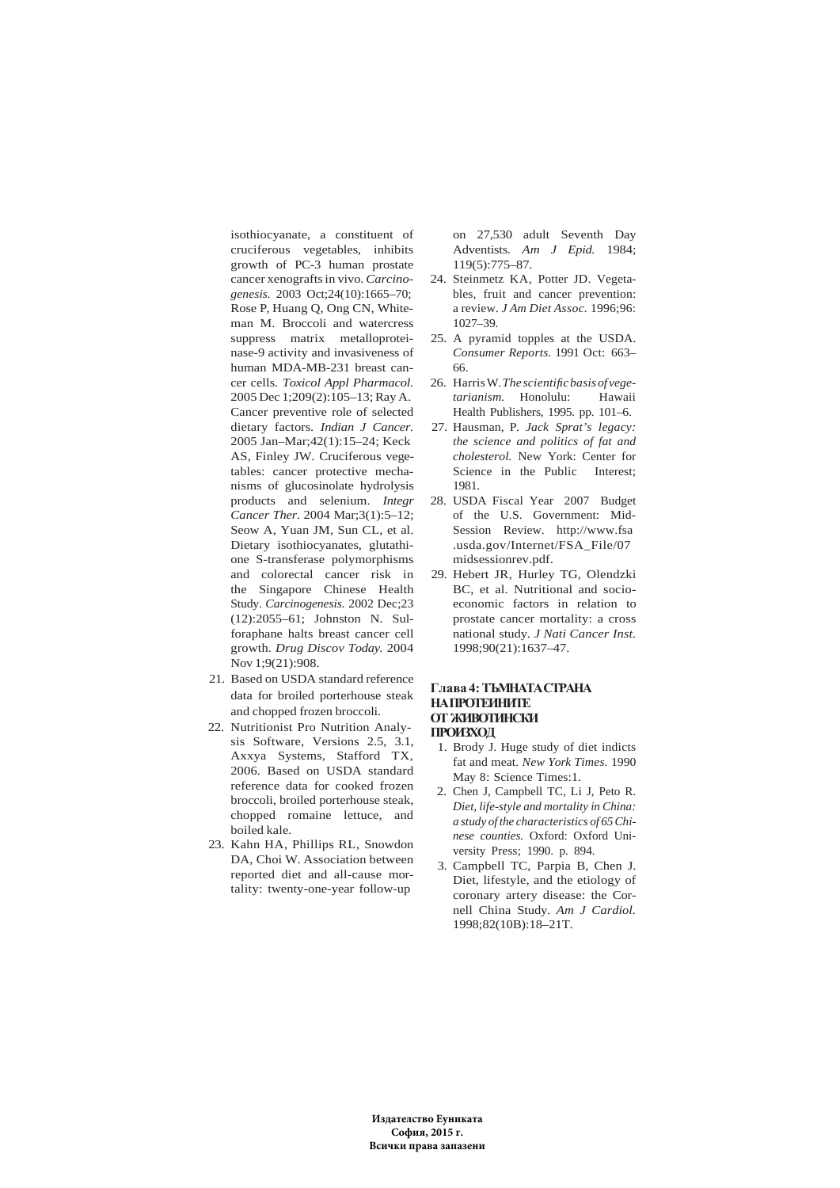isothiocyanate, a constituent of cruciferous vegetables, inhibits growth of PC-3 human prostate cancer xenografts in vivo. *Carcinogenesis.* 2003 Oct;24(10):1665–70; Rose P, Huang Q, Ong CN, Whiteman M. Broccoli and watercress suppress matrix metalloproteinase-9 activity and invasiveness of human MDA-MB-231 breast cancer cells. *Toxicol Appl Pharmacol.* 2005 Dec 1;209(2):105–13; Ray A. Cancer preventive role of selected dietary factors. *Indian J Cancer.* 2005 Jan–Mar;42(1):15–24; Keck AS, Finley JW. Cruciferous vegetables: cancer protective mechanisms of glucosinolate hydrolysis products and selenium. *Integr Cancer Ther*. 2004 Mar;3(1):5–12; Seow A, Yuan JM, Sun CL, et al. Dietary isothiocyanates, glutathione S-transferase polymorphisms and colorectal cancer risk in the Singapore Chinese Health Study. *Carcinogenesis.* 2002 Dec;23 (12):2055–61; Johnston N. Sulforaphane halts breast cancer cell growth. *Drug Discov Today.* 2004 Nov 1;9(21):908.

- 21. Based on USDA standard reference data for broiled porterhouse steak and chopped frozen broccoli.
- 22. Nutritionist Pro Nutrition Analysis Software, Versions 2.5, 3.1, Axxya Systems, Stafford TX, 2006. Based on USDA standard reference data for cooked frozen broccoli, broiled porterhouse steak, chopped romaine lettuce, and boiled kale.
- 23. Kahn HA, Phillips RL, Snowdon DA, Choi W. Association between reported diet and all-cause mortality: twenty-one-year follow-up

on 27,530 adult Seventh Day Adventists. *Am J Epid.* 1984; 119(5):775–87.

- 24. Steinmetz KA, Potter JD. Vegetables, fruit and cancer prevention: a review. *J Am Diet Assoc.* 1996;96: 1027–39.
- 25. A pyramid topples at the USDA. *Consumer Reports.* 1991 Oct: 663– 66.
- 26. Harris W. *The scientific basis of vegetarianism.* Honolulu: Hawaii Health Publishers, 1995. pp. 101–6.
- 27. Hausman, P. *Jack Sprat's legacy: the science and politics of fat and cholesterol.* New York: Center for Science in the Public Interest; 1981.
- 28. USDA Fiscal Year 2007 Budget of the U.S. Government: Mid-Session Review. http://www.fsa .usda.gov/Internet/FSA\_File/07 midsessionrev.pdf.
- 29. Hebert JR, Hurley TG, Olendzki BC, et al. Nutritional and socioeconomic factors in relation to prostate cancer mortality: a cross national study. *J Nati Cancer Inst.* 1998;90(21):1637–47.

### **Глава 4: ТЪМНАТАСТРАНА НАПРОТЕИНИТЕ ОТ ЖИВОТИНСКИ ПРОИЗХОД**

- 1. Brody J. Huge study of diet indicts fat and meat. *New York Times*. 1990 May 8: Science Times:1.
- 2. Chen J, Campbell TC, Li J, Peto R. *Diet, life-style and mortality in China: a study of the characteristics of 65 Chinese counties.* Oxford: Oxford University Press; 1990. p. 894.
- 3. Campbell TC, Parpia B, Chen J. Diet, lifestyle, and the etiology of coronary artery disease: the Cornell China Study. *Am J Cardiol.* 1998;82(10B):18–21T.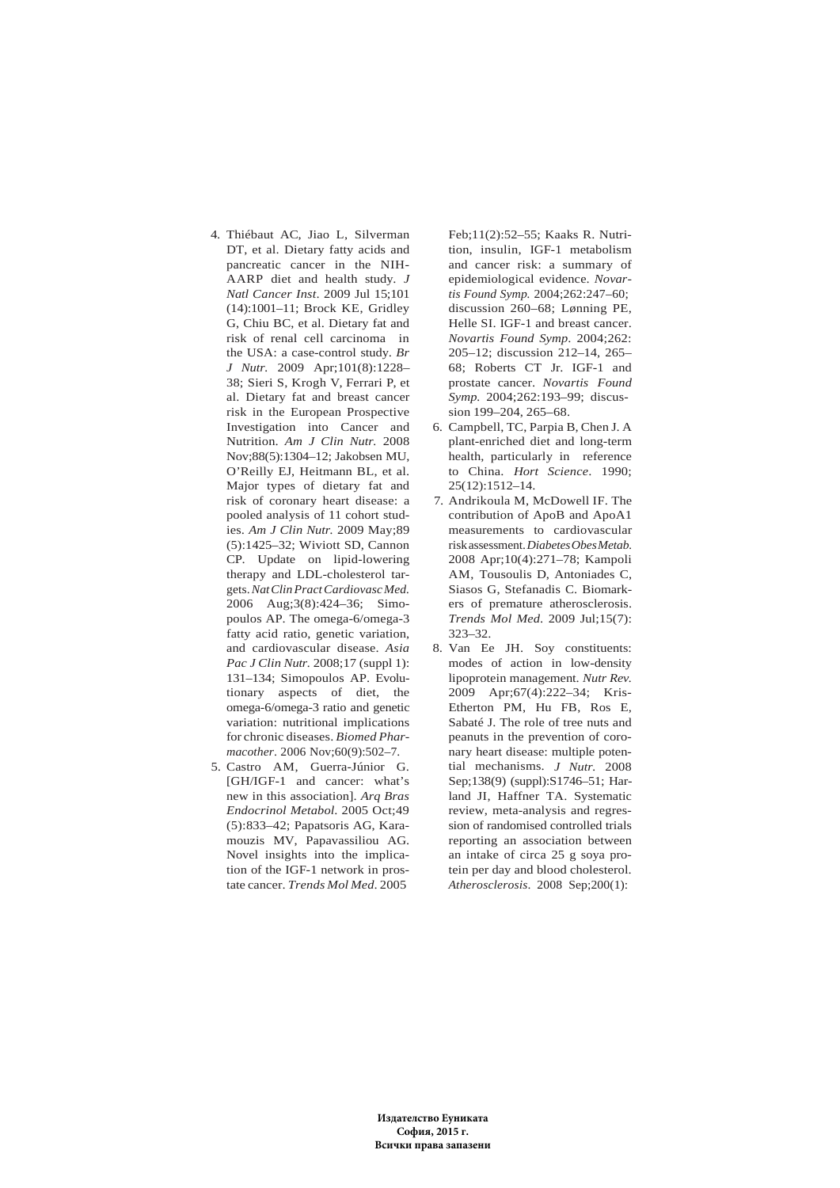- 4. Thiébaut AC, Jiao L, Silverman DT, et al. Dietary fatty acids and pancreatic cancer in the NIH-AARP diet and health study. *J Natl Cancer Inst*. 2009 Jul 15;101 (14):1001–11; Brock KE, Gridley G, Chiu BC, et al. Dietary fat and risk of renal cell carcinoma in the USA: a case-control study. *Br J Nutr.* 2009 Apr;101(8):1228– 38; Sieri S, Krogh V, Ferrari P, et al. Dietary fat and breast cancer risk in the European Prospective Investigation into Cancer and Nutrition. *Am J Clin Nutr.* 2008 Nov;88(5):1304–12; Jakobsen MU, O'Reilly EJ, Heitmann BL, et al. Major types of dietary fat and risk of coronary heart disease: a pooled analysis of 11 cohort studies. *Am J Clin Nutr.* 2009 May;89 (5):1425–32; Wiviott SD, Cannon CP. Update on lipid-lowering therapy and LDL-cholesterol targets. *Nat Clin Pract Cardiovasc Med.* 2006 Aug;3(8):424–36; Simopoulos AP. The omega-6/omega-3 fatty acid ratio, genetic variation, and cardiovascular disease. *Asia Pac J Clin Nutr.* 2008;17 (suppl 1): 131–134; Simopoulos AP. Evolutionary aspects of diet, the omega-6/omega-3 ratio and genetic variation: nutritional implications for chronic diseases. *Biomed Pharmacother*. 2006 Nov;60(9):502–7.
- 5. Castro AM, Guerra-Júnior G. [GH/IGF-1 and cancer: what's new in this association]. *Arq Bras Endocrinol Metabol*. 2005 Oct;49 (5):833–42; Papatsoris AG, Karamouzis MV, Papavassiliou AG. Novel insights into the implication of the IGF-1 network in prostate cancer. *Trends Mol Med*. 2005

Feb;11(2):52–55; Kaaks R. Nutrition, insulin, IGF-1 metabolism and cancer risk: a summary of epidemiological evidence. *Novartis Found Symp.* 2004;262:247–60; discussion 260–68; Lønning PE, Helle SI. IGF-1 and breast cancer. *Novartis Found Symp*. 2004;262: 205–12; discussion 212–14, 265– 68; Roberts CT Jr. IGF-1 and prostate cancer. *Novartis Found Symp.* 2004;262:193–99; discussion 199–204, 265–68.

- 6. Campbell, TC, Parpia B, Chen J. A plant-enriched diet and long-term health, particularly in reference to China. *Hort Science*. 1990; 25(12):1512–14.
- 7. Andrikoula M, McDowell IF. The contribution of ApoB and ApoA1 measurements to cardiovascular risk assessment. *Diabetes Obes Metab.* 2008 Apr;10(4):271–78; Kampoli AM, Tousoulis D, Antoniades C, Siasos G, Stefanadis C. Biomarkers of premature atherosclerosis. *Trends Mol Med*. 2009 Jul;15(7): 323–32.
- 8. Van Ee JH. Soy constituents: modes of action in low-density lipoprotein management. *Nutr Rev.* 2009 Apr;67(4):222–34; Kris-Etherton PM, Hu FB, Ros E, Sabaté J. The role of tree nuts and peanuts in the prevention of coronary heart disease: multiple potential mechanisms. *J Nutr.* 2008 Sep;138(9) (suppl):S1746–51; Harland JI, Haffner TA. Systematic review, meta-analysis and regression of randomised controlled trials reporting an association between an intake of circa 25 g soya protein per day and blood cholesterol. *Atherosclerosis*. 2008 Sep;200(1):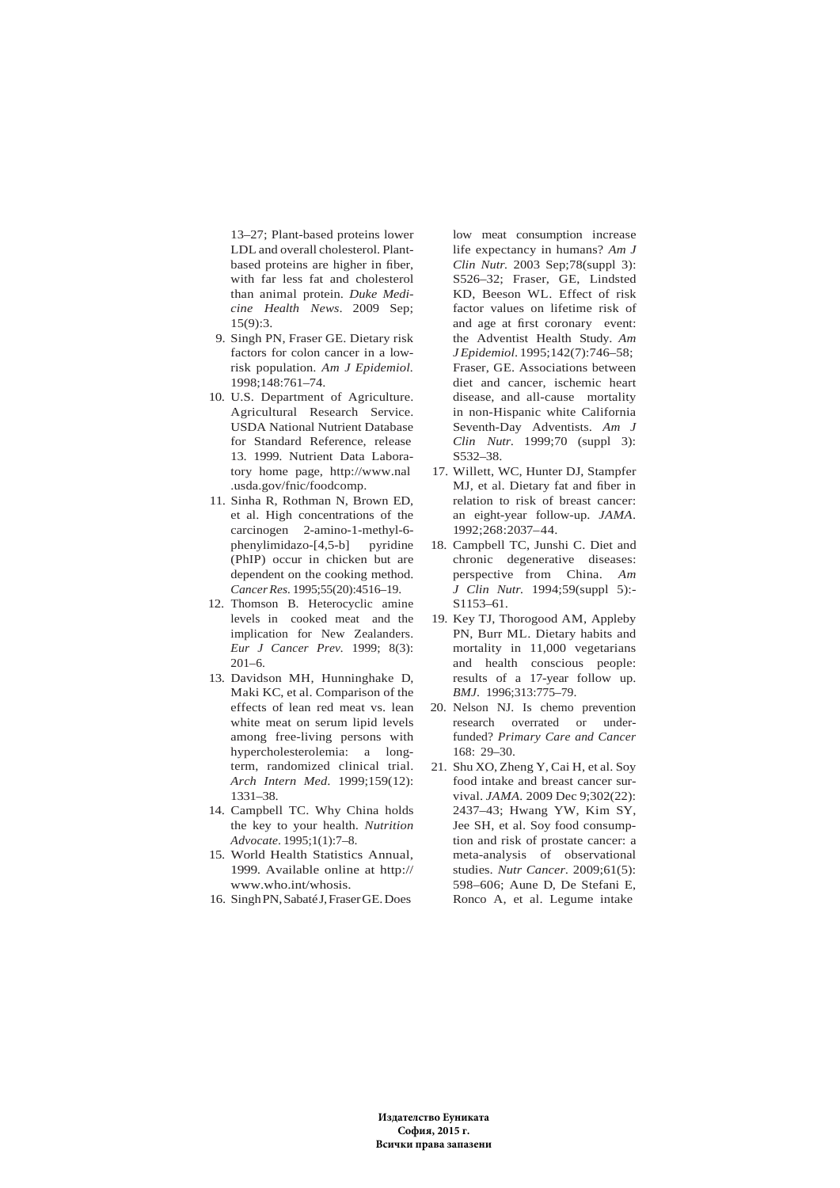13–27; Plant-based proteins lower LDL and overall cholesterol. Plantbased proteins are higher in fiber, with far less fat and cholesterol than animal protein. *Duke Medicine Health News*. 2009 Sep; 15(9):3.

- 9. Singh PN, Fraser GE. Dietary risk factors for colon cancer in a lowrisk population. *Am J Epidemiol.* 1998;148:761–74.
- 10. U.S. Department of Agriculture. Agricultural Research Service. USDA National Nutrient Database for Standard Reference, release 13. 1999. Nutrient Data Laboratory home page, http://www.nal .usda.gov/fnic/foodcomp.
- 11. Sinha R, Rothman N, Brown ED, et al. High concentrations of the carcinogen 2-amino-1-methyl-6 phenylimidazo-[4,5-b] pyridine (PhIP) occur in chicken but are dependent on the cooking method. *Cancer Res.* 1995;55(20):4516–19.
- 12. Thomson B. Heterocyclic amine levels in cooked meat and the implication for New Zealanders. *Eur J Cancer Prev.* 1999; 8(3):  $201 - 6$ .
- 13. Davidson MH, Hunninghake D, Maki KC, et al. Comparison of the effects of lean red meat vs. lean white meat on serum lipid levels among free-living persons with hypercholesterolemia: a longterm, randomized clinical trial. *Arch Intern Med*. 1999;159(12): 1331–38.
- 14. Campbell TC. Why China holds the key to your health. *Nutrition Advocate*. 1995;1(1):7–8.
- 15. World Health Statistics Annual, 1999. Available online at http:// www.who.int/whosis.
- 16. Singh PN, Sabaté J, Fraser GE. Does

low meat consumption increase life expectancy in humans? *Am J Clin Nutr.* 2003 Sep;78(suppl 3): S526–32; Fraser, GE, Lindsted KD, Beeson WL. Effect of risk factor values on lifetime risk of and age at first coronary event: the Adventist Health Study. *Am J Epidemiol*. 1995;142(7):746–58; Fraser, GE. Associations between diet and cancer, ischemic heart disease, and all-cause mortality in non-Hispanic white California Seventh-Day Adventists. *Am J Clin Nutr*. 1999;70 (suppl 3): S532–38.

- 17. Willett, WC, Hunter DJ, Stampfer MJ, et al. Dietary fat and fiber in relation to risk of breast cancer: an eight-year follow-up. *JAMA*. 1992;268:2037–44.
- 18. Campbell TC, Junshi C. Diet and chronic degenerative diseases: perspective from China. *Am J Clin Nutr.* 1994;59(suppl 5):- S1153–61.
- 19. Key TJ, Thorogood AM, Appleby PN, Burr ML. Dietary habits and mortality in 11,000 vegetarians and health conscious people: results of a 17-year follow up. *BMJ*. 1996;313:775–79.
- 20. Nelson NJ. Is chemo prevention research overrated or underfunded? *Primary Care and Cancer* 168: 29–30.
- 21. Shu XO, Zheng Y, Cai H, et al. Soy food intake and breast cancer survival. *JAMA.* 2009 Dec 9;302(22): 2437–43; Hwang YW, Kim SY, Jee SH, et al. Soy food consumption and risk of prostate cancer: a meta-analysis of observational studies. *Nutr Cancer*. 2009;61(5): 598–606; Aune D, De Stefani E, Ronco A, et al. Legume intake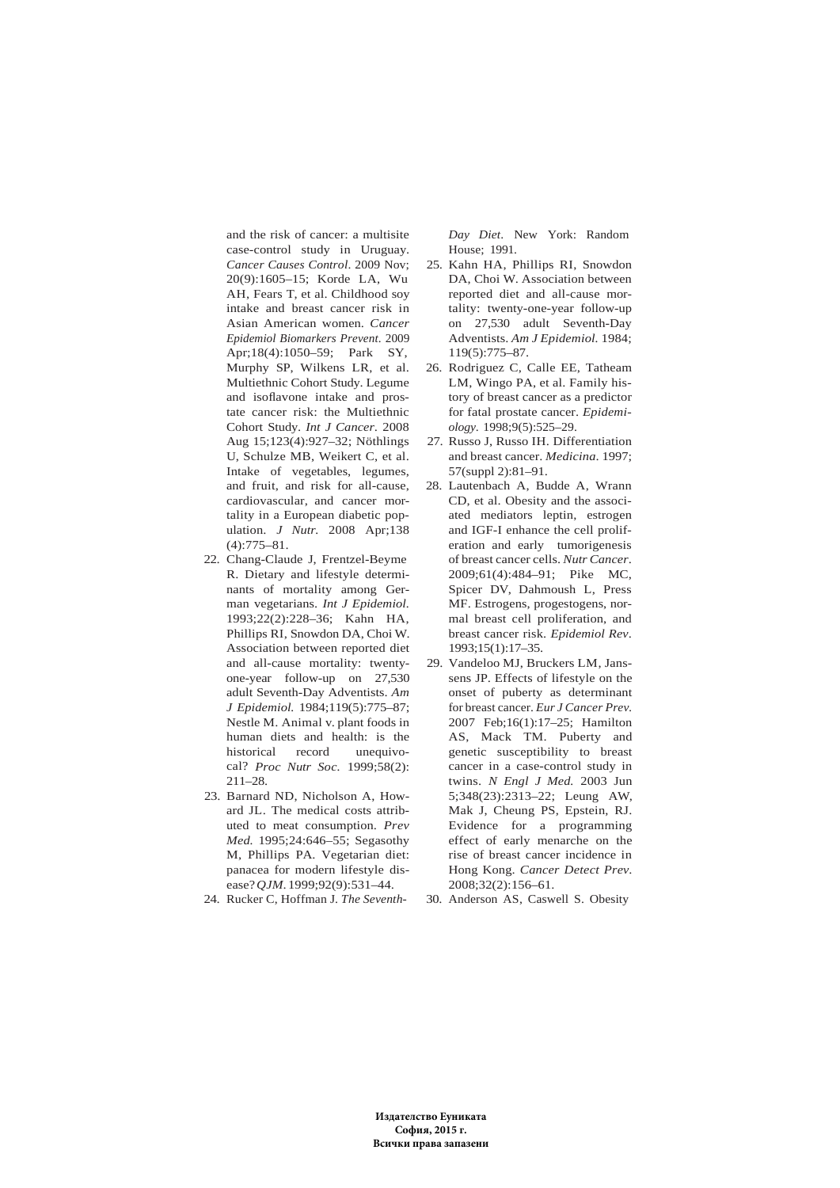and the risk of cancer: a multisite case-control study in Uruguay. *Cancer Causes Control*. 2009 Nov; 20(9):1605–15; Korde LA, Wu AH, Fears T, et al. Childhood soy intake and breast cancer risk in Asian American women. *Cancer Epidemiol Biomarkers Prevent*. 2009 Apr;18(4):1050–59; Park SY, Murphy SP, Wilkens LR, et al. Multiethnic Cohort Study. Legume and isoflavone intake and prostate cancer risk: the Multiethnic Cohort Study. *Int J Cancer*. 2008 Aug 15;123(4):927–32; Nöthlings U, Schulze MB, Weikert C, et al. Intake of vegetables, legumes, and fruit, and risk for all-cause, cardiovascular, and cancer mortality in a European diabetic population. *J Nutr.* 2008 Apr;138 (4):775–81.

- 22. Chang-Claude J, Frentzel-Beyme R. Dietary and lifestyle determinants of mortality among German vegetarians. *Int J Epidemiol.* 1993;22(2):228–36; Kahn HA, Phillips RI, Snowdon DA, Choi W. Association between reported diet and all-cause mortality: twentyone-year follow-up on 27,530 adult Seventh-Day Adventists. *Am J Epidemiol.* 1984;119(5):775–87; Nestle M. Animal v. plant foods in human diets and health: is the historical record unequivocal? *Proc Nutr Soc.* 1999;58(2): 211–28.
- 23. Barnard ND, Nicholson A, Howard JL. The medical costs attributed to meat consumption. *Prev Med.* 1995;24:646–55; Segasothy M, Phillips PA. Vegetarian diet: panacea for modern lifestyle disease? *QJM*. 1999;92(9):531–44.
- 24. Rucker C, Hoffman J. *The Seventh-*

*Day Diet*. New York: Random House; 1991.

- 25. Kahn HA, Phillips RI, Snowdon DA, Choi W. Association between reported diet and all-cause mortality: twenty-one-year follow-up on 27,530 adult Seventh-Day Adventists. *Am J Epidemiol.* 1984; 119(5):775–87.
- 26. Rodriguez C, Calle EE, Tatheam LM, Wingo PA, et al. Family history of breast cancer as a predictor for fatal prostate cancer. *Epidemiology*. 1998;9(5):525–29.
- 27. Russo J, Russo IH. Differentiation and breast cancer. *Medicina*. 1997; 57(suppl 2):81–91.
- 28. Lautenbach A, Budde A, Wrann CD, et al. Obesity and the associated mediators leptin, estrogen and IGF-I enhance the cell proliferation and early tumorigenesis of breast cancer cells. *Nutr Cancer*. 2009;61(4):484–91; Pike MC, Spicer DV, Dahmoush L, Press MF. Estrogens, progestogens, normal breast cell proliferation, and breast cancer risk. *Epidemiol Rev*. 1993;15(1):17–35.
- 29. Vandeloo MJ, Bruckers LM, Janssens JP. Effects of lifestyle on the onset of puberty as determinant for breast cancer. *Eur J Cancer Prev.* 2007 Feb;16(1):17–25; Hamilton AS, Mack TM. Puberty and genetic susceptibility to breast cancer in a case-control study in twins. *N Engl J Med.* 2003 Jun 5;348(23):2313–22; Leung AW, Mak J, Cheung PS, Epstein, RJ. Evidence for a programming effect of early menarche on the rise of breast cancer incidence in Hong Kong. *Cancer Detect Prev*. 2008;32(2):156–61.
- 30. Anderson AS, Caswell S. Obesity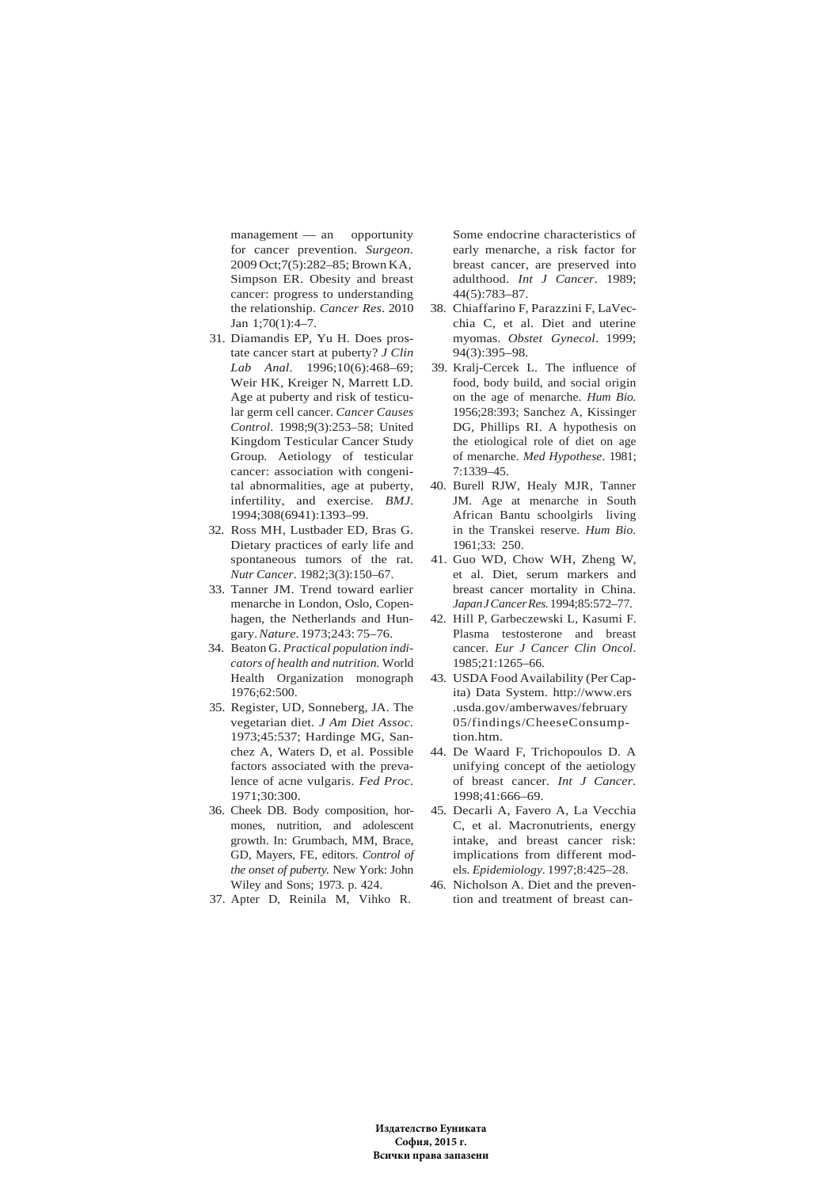management — an opportunity for cancer prevention. *Surgeon.* 2009 Oct;7(5):282–85; Brown KA, Simpson ER. Obesity and breast cancer: progress to understanding the relationship. *Cancer Res*. 2010 Jan 1;70(1):4–7.

- 31. Diamandis EP, Yu H. Does prostate cancer start at puberty? *J Clin Lab Anal*. 1996;10(6):468–69; Weir HK, Kreiger N, Marrett LD. Age at puberty and risk of testicular germ cell cancer. *Cancer Causes Control*. 1998;9(3):253–58; United Kingdom Testicular Cancer Study Group. Aetiology of testicular cancer: association with congenital abnormalities, age at puberty, infertility, and exercise. *BMJ*. 1994;308(6941):1393–99.
- 32. Ross MH, Lustbader ED, Bras G. Dietary practices of early life and spontaneous tumors of the rat. *Nutr Cancer*. 1982;3(3):150–67.
- 33. Tanner JM. Trend toward earlier menarche in London, Oslo, Copenhagen, the Netherlands and Hungary. *Nature*. 1973;243: 75–76.
- 34. Beaton G. *Practical population indicators of health and nutrition.* World Health Organization monograph 1976;62:500.
- 35. Register, UD, Sonneberg, JA. The vegetarian diet. *J Am Diet Assoc*. 1973;45:537; Hardinge MG, Sanchez A, Waters D, et al. Possible factors associated with the prevalence of acne vulgaris. *Fed Proc*. 1971;30:300.
- 36. Cheek DB. Body composition, hormones, nutrition, and adolescent growth. In: Grumbach, MM, Brace, GD, Mayers, FE, editors. *Control of the onset of puberty.* New York: John Wiley and Sons; 1973. p. 424.
- 37. Apter D, Reinila M, Vihko R.

Some endocrine characteristics of early menarche, a risk factor for breast cancer, are preserved into adulthood. *Int J Cancer*. 1989; 44(5):783–87.

- 38. Chiaffarino F, Parazzini F, LaVecchia C, et al. Diet and uterine myomas. *Obstet Gynecol*. 1999; 94(3):395–98.
- 39. Kralj-Cercek L. The influence of food, body build, and social origin on the age of menarche. *Hum Bio.* 1956;28:393; Sanchez A, Kissinger DG, Phillips RI. A hypothesis on the etiological role of diet on age of menarche. *Med Hypothese*. 1981; 7:1339–45.
- 40. Burell RJW, Healy MJR, Tanner JM. Age at menarche in South African Bantu schoolgirls living in the Transkei reserve. *Hum Bio.* 1961;33: 250.
- 41. Guo WD, Chow WH, Zheng W, et al. Diet, serum markers and breast cancer mortality in China. *Japan J Cancer Res.* 1994;85:572–77.
- 42. Hill P, Garbeczewski L, Kasumi F. Plasma testosterone and breast cancer. *Eur J Cancer Clin Oncol*. 1985;21:1265–66.
- 43. USDA Food Availability (Per Capita) Data System. http://www.ers .usda.gov/amberwaves/february 05/findings/CheeseConsumption.htm.
- 44. De Waard F, Trichopoulos D. A unifying concept of the aetiology of breast cancer. *Int J Cancer*. 1998;41:666–69.
- 45. Decarli A, Favero A, La Vecchia C, et al. Macronutrients, energy intake, and breast cancer risk: implications from different models. *Epidemiology*. 1997;8:425–28.
- 46. Nicholson A. Diet and the prevention and treatment of breast can-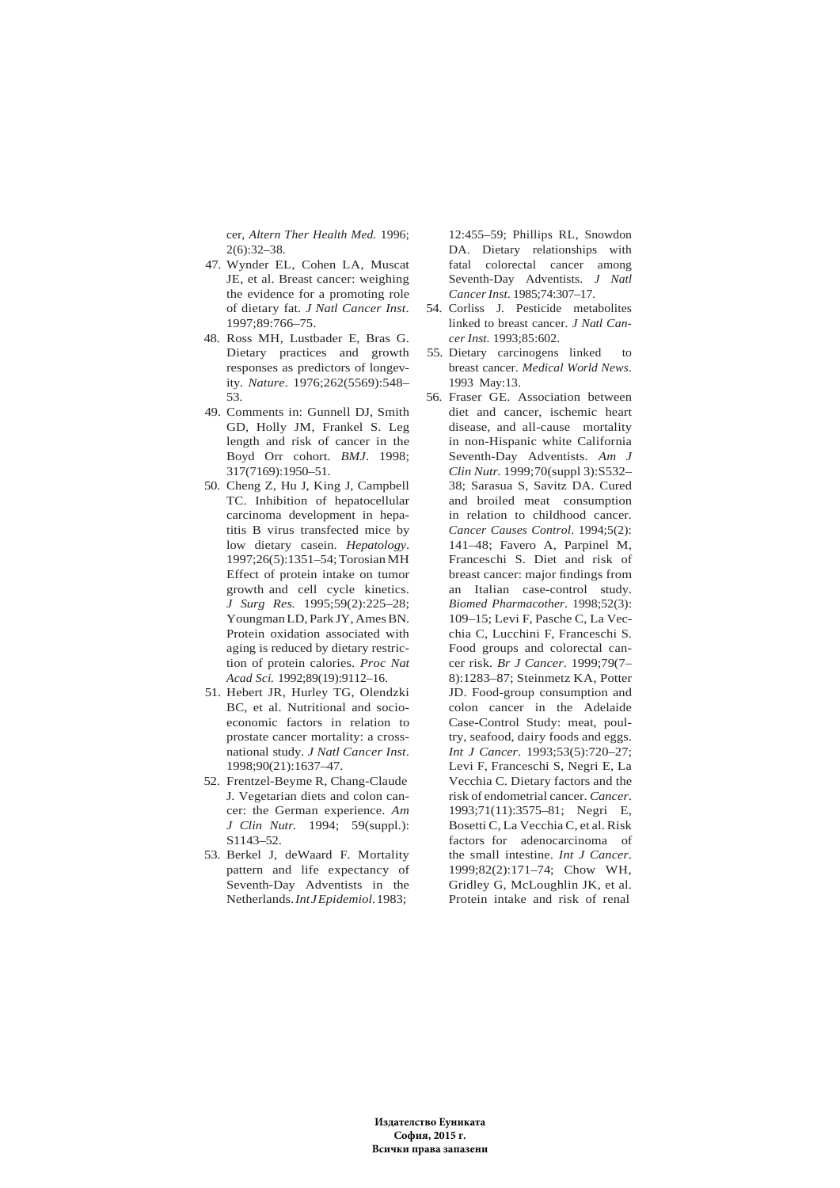cer, *Altern Ther Health Med.* 1996; 2(6):32–38.

- 47. Wynder EL, Cohen LA, Muscat JE, et al. Breast cancer: weighing the evidence for a promoting role of dietary fat. *J Natl Cancer Inst*. 1997;89:766–75.
- 48. Ross MH, Lustbader E, Bras G. Dietary practices and growth responses as predictors of longevity. *Nature*. 1976;262(5569):548– 53.
- 49. Comments in: Gunnell DJ, Smith GD, Holly JM, Frankel S. Leg length and risk of cancer in the Boyd Orr cohort. *BMJ*. 1998; 317(7169):1950–51.
- 50. Cheng Z, Hu J, King J, Campbell TC. Inhibition of hepatocellular carcinoma development in hepatitis B virus transfected mice by low dietary casein. *Hepatology*. 1997;26(5):1351–54; Torosian MH Effect of protein intake on tumor growth and cell cycle kinetics. *J Surg Res.* 1995;59(2):225–28; Youngman LD, Park JY, Ames BN. Protein oxidation associated with aging is reduced by dietary restriction of protein calories. *Proc Nat Acad Sci.* 1992;89(19):9112–16.
- 51. Hebert JR, Hurley TG, Olendzki BC, et al. Nutritional and socioeconomic factors in relation to prostate cancer mortality: a crossnational study. *J Natl Cancer Inst*. 1998;90(21):1637–47.
- 52. Frentzel-Beyme R, Chang-Claude J. Vegetarian diets and colon cancer: the German experience. *Am J Clin Nutr.* 1994; 59(suppl.): S1143–52.
- 53. Berkel J, deWaard F. Mortality pattern and life expectancy of Seventh-Day Adventists in the Netherlands. *Int J Epidemiol*. 1983;

12:455–59; Phillips RL, Snowdon DA. Dietary relationships with fatal colorectal cancer among Seventh-Day Adventists. *J Natl Cancer Inst*. 1985;74:307–17.

- 54. Corliss J. Pesticide metabolites linked to breast cancer. *J Natl Cancer Inst.* 1993;85:602.
- 55. Dietary carcinogens linked to breast cancer. *Medical World News*. 1993 May:13.
- 56. Fraser GE. Association between diet and cancer, ischemic heart disease, and all-cause mortality in non-Hispanic white California Seventh-Day Adventists. *Am J Clin Nutr.* 1999;70(suppl 3):S532– 38; Sarasua S, Savitz DA. Cured and broiled meat consumption in relation to childhood cancer. *Cancer Causes Control*. 1994;5(2): 141–48; Favero A, Parpinel M, Franceschi S. Diet and risk of breast cancer: major findings from an Italian case-control study. *Biomed Pharmacother*. 1998;52(3): 109–15; Levi F, Pasche C, La Vecchia C, Lucchini F, Franceschi S. Food groups and colorectal cancer risk. *Br J Cancer*. 1999;79(7– 8):1283–87; Steinmetz KA, Potter JD. Food-group consumption and colon cancer in the Adelaide Case-Control Study: meat, poultry, seafood, dairy foods and eggs. *Int J Cancer*. 1993;53(5):720–27; Levi F, Franceschi S, Negri E, La Vecchia C. Dietary factors and the risk of endometrial cancer. *Cancer*. 1993;71(11):3575–81; Negri E, Bosetti C, La Vecchia C, et al. Risk factors for adenocarcinoma of the small intestine. *Int J Cancer*. 1999;82(2):171–74; Chow WH, Gridley G, McLoughlin JK, et al. Protein intake and risk of renal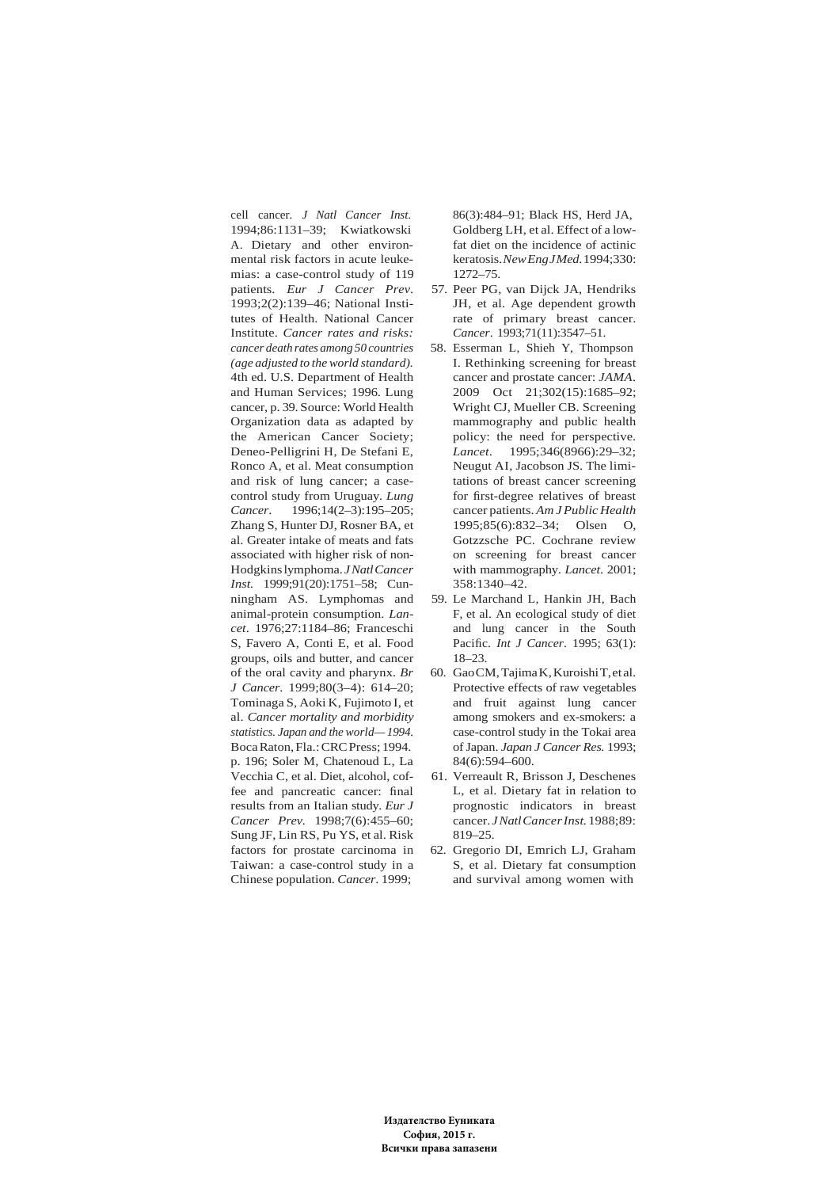cell cancer. *J Natl Cancer Inst.* 1994;86:1131–39; Kwiatkowski A. Dietary and other environmental risk factors in acute leukemias: a case-control study of 119 patients. *Eur J Cancer Prev*. 1993;2(2):139–46; National Institutes of Health. National Cancer Institute. *Cancer rates and risks: cancer death rates among 50 countries (age adjusted to the world standard).* 4th ed. U.S. Department of Health and Human Services; 1996. Lung cancer, p. 39. Source: World Health Organization data as adapted by the American Cancer Society; Deneo-Pelligrini H, De Stefani E, Ronco A, et al. Meat consumption and risk of lung cancer; a casecontrol study from Uruguay. *Lung Cancer*. 1996;14(2–3):195–205; Zhang S, Hunter DJ, Rosner BA, et al. Greater intake of meats and fats associated with higher risk of non-Hodgkins lymphoma. *J Natl Cancer Inst.* 1999;91(20):1751–58; Cunningham AS. Lymphomas and animal-protein consumption. *Lancet*. 1976;27:1184–86; Franceschi S, Favero A, Conti E, et al. Food groups, oils and butter, and cancer of the oral cavity and pharynx. *Br J Cancer*. 1999;80(3–4): 614–20; Tominaga S, Aoki K, Fujimoto I, et al. *Cancer mortality and morbidity statistics. Japan and the world— 1994.*  Boca Raton, Fla.: CRC Press; 1994. p. 196; Soler M, Chatenoud L, La Vecchia C, et al. Diet, alcohol, coffee and pancreatic cancer: final results from an Italian study. *Eur J Cancer Prev.* 1998;7(6):455–60; Sung JF, Lin RS, Pu YS, et al. Risk factors for prostate carcinoma in Taiwan: a case-control study in a Chinese population. *Cancer*. 1999;

86(3):484–91; Black HS, Herd JA, Goldberg LH, et al. Effect of a lowfat diet on the incidence of actinic keratosis. *New Eng J Med.* 1994;330: 1272–75.

- 57. Peer PG, van Dijck JA, Hendriks JH, et al. Age dependent growth rate of primary breast cancer. *Cancer*. 1993;71(11):3547–51.
- 58. Esserman L, Shieh Y, Thompson I. Rethinking screening for breast cancer and prostate cancer: *JAMA*. 2009 Oct 21;302(15):1685–92; Wright CJ, Mueller CB. Screening mammography and public health policy: the need for perspective. *Lancet*. 1995;346(8966):29–32; Neugut AI, Jacobson JS. The limitations of breast cancer screening for first-degree relatives of breast cancer patients. *Am J Public Health* 1995;85(6):832–34; Olsen O, Gotzzsche PC. Cochrane review on screening for breast cancer with mammography. *Lancet*. 2001; 358:1340–42.
- 59. Le Marchand L, Hankin JH, Bach F, et al. An ecological study of diet and lung cancer in the South Pacific. *Int J Cancer*. 1995; 63(1): 18–23.
- 60. Gao CM, Tajima K, Kuroishi T, et al. Protective effects of raw vegetables and fruit against lung cancer among smokers and ex-smokers: a case-control study in the Tokai area of Japan. *Japan J Cancer Res.* 1993; 84(6):594–600.
- 61. Verreault R, Brisson J, Deschenes L, et al. Dietary fat in relation to prognostic indicators in breast cancer. *J Natl Cancer Inst.* 1988;89: 819–25.
- 62. Gregorio DI, Emrich LJ, Graham S, et al. Dietary fat consumption and survival among women with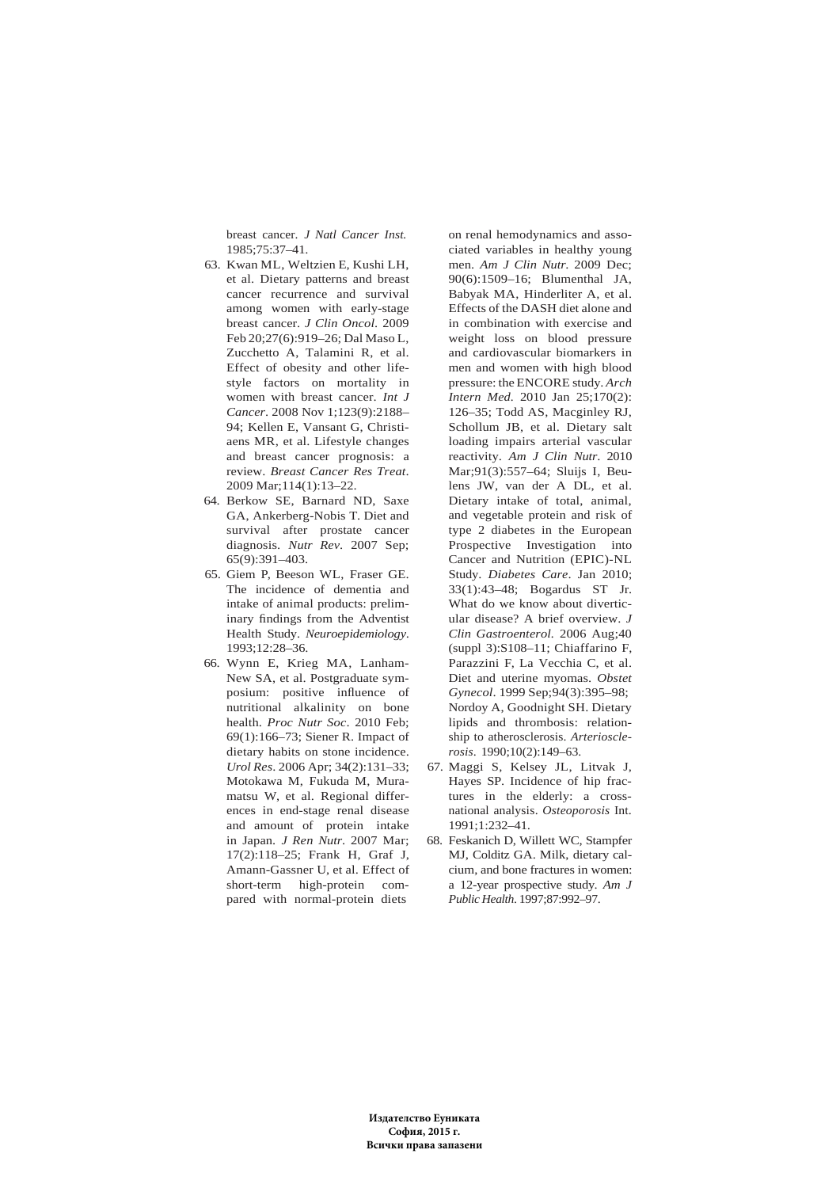breast cancer. *J Natl Cancer Inst.* 1985;75:37–41.

- 63. Kwan ML, Weltzien E, Kushi LH, et al. Dietary patterns and breast cancer recurrence and survival among women with early-stage breast cancer. *J Clin Oncol*. 2009 Feb 20;27(6):919–26; Dal Maso L, Zucchetto A, Talamini R, et al. Effect of obesity and other lifestyle factors on mortality in women with breast cancer. *Int J Cancer*. 2008 Nov 1;123(9):2188– 94; Kellen E, Vansant G, Christiaens MR, et al. Lifestyle changes and breast cancer prognosis: a review. *Breast Cancer Res Treat*. 2009 Mar;114(1):13–22.
- 64. Berkow SE, Barnard ND, Saxe GA, Ankerberg-Nobis T. Diet and survival after prostate cancer diagnosis. *Nutr Rev*. 2007 Sep; 65(9):391–403.
- 65. Giem P, Beeson WL, Fraser GE. The incidence of dementia and intake of animal products: preliminary findings from the Adventist Health Study. *Neuroepidemiology*. 1993;12:28–36.
- 66. Wynn E, Krieg MA, Lanham-New SA, et al. Postgraduate symposium: positive influence of nutritional alkalinity on bone health. *Proc Nutr Soc*. 2010 Feb; 69(1):166–73; Siener R. Impact of dietary habits on stone incidence. *Urol Res*. 2006 Apr; 34(2):131–33; Motokawa M, Fukuda M, Muramatsu W, et al. Regional differences in end-stage renal disease and amount of protein intake in Japan. *J Ren Nutr*. 2007 Mar; 17(2):118–25; Frank H, Graf J, Amann-Gassner U, et al. Effect of short-term high-protein compared with normal-protein diets

on renal hemodynamics and associated variables in healthy young men. *Am J Clin Nutr*. 2009 Dec; 90(6):1509–16; Blumenthal JA, Babyak MA, Hinderliter A, et al. Effects of the DASH diet alone and in combination with exercise and weight loss on blood pressure and cardiovascular biomarkers in men and women with high blood pressure: the ENCORE study. *Arch Intern Med.* 2010 Jan 25;170(2): 126–35; Todd AS, Macginley RJ, Schollum JB, et al. Dietary salt loading impairs arterial vascular reactivity. *Am J Clin Nutr*. 2010 Mar;91(3):557–64; Sluijs I, Beulens JW, van der A DL, et al. Dietary intake of total, animal, and vegetable protein and risk of type 2 diabetes in the European Prospective Investigation into Cancer and Nutrition (EPIC)-NL Study. *Diabetes Care*. Jan 2010; 33(1):43–48; Bogardus ST Jr. What do we know about diverticular disease? A brief overview. *J Clin Gastroenterol.* 2006 Aug;40 (suppl 3):S108–11; Chiaffarino F, Parazzini F, La Vecchia C, et al. Diet and uterine myomas. *Obstet Gynecol*. 1999 Sep;94(3):395–98; Nordoy A, Goodnight SH. Dietary lipids and thrombosis: relationship to atherosclerosis. *Arteriosclerosis*. 1990;10(2):149–63.

- 67. Maggi S, Kelsey JL, Litvak J, Hayes SP. Incidence of hip fractures in the elderly: a crossnational analysis. *Osteoporosis* Int.  $1991 \cdot 1.232 - 41$
- 68. Feskanich D, Willett WC, Stampfer MJ, Colditz GA. Milk, dietary calcium, and bone fractures in women: a 12-year prospective study. *Am J Public Health*. 1997;87:992–97.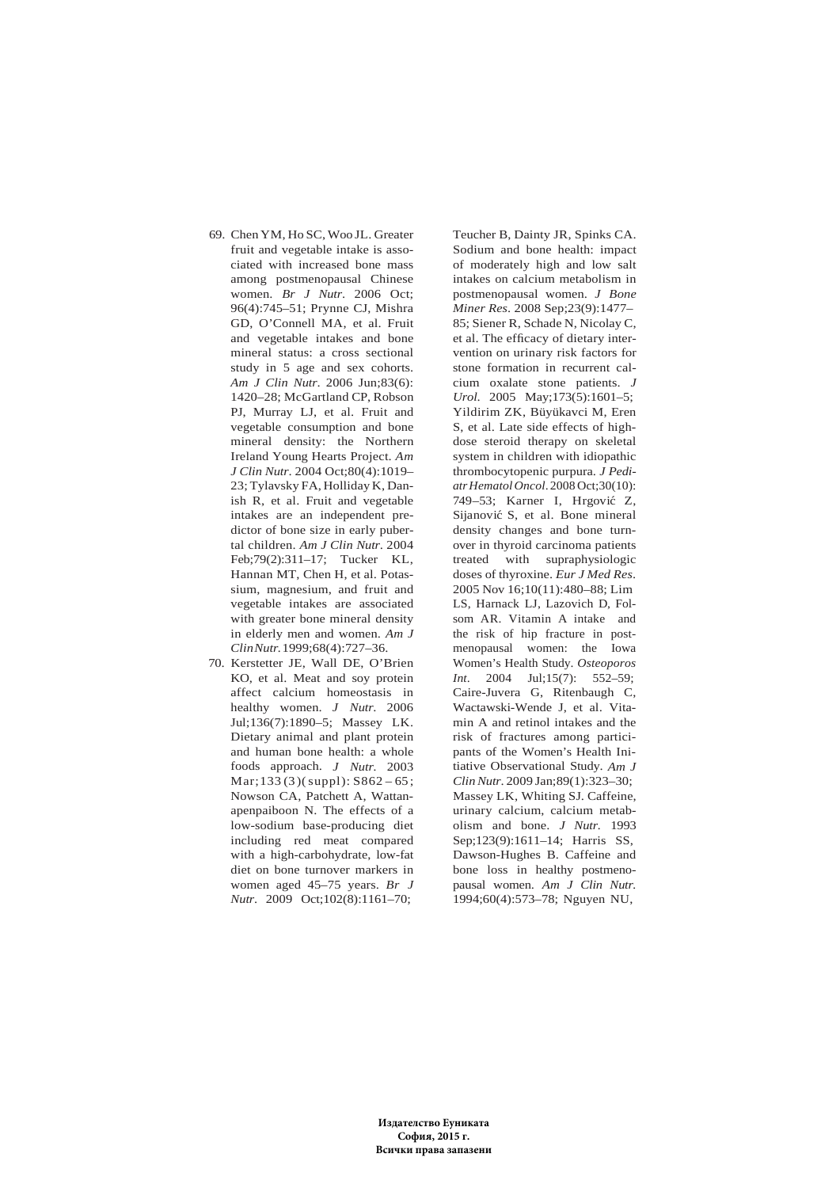- 69. Chen YM, Ho SC, Woo JL. Greater fruit and vegetable intake is associated with increased bone mass among postmenopausal Chinese women. *Br J Nutr*. 2006 Oct; 96(4):745–51; Prynne CJ, Mishra GD, O'Connell MA, et al. Fruit and vegetable intakes and bone mineral status: a cross sectional study in 5 age and sex cohorts. *Am J Clin Nutr*. 2006 Jun;83(6): 1420–28; McGartland CP, Robson PJ, Murray LJ, et al. Fruit and vegetable consumption and bone mineral density: the Northern Ireland Young Hearts Project. *Am J Clin Nutr*. 2004 Oct;80(4):1019– 23; Tylavsky FA, Holliday K, Danish R, et al. Fruit and vegetable intakes are an independent predictor of bone size in early pubertal children. *Am J Clin Nutr*. 2004 Feb;79(2):311–17; Tucker KL, Hannan MT, Chen H, et al. Potassium, magnesium, and fruit and vegetable intakes are associated with greater bone mineral density in elderly men and women. *Am J Clin Nutr.* 1999;68(4):727–36.
- 70. Kerstetter JE, Wall DE, O'Brien KO, et al. Meat and soy protein affect calcium homeostasis in healthy women. *J Nutr*. 2006 Jul;136(7):1890–5; Massey LK. Dietary animal and plant protein and human bone health: a whole foods approach. *J Nutr.* 2003  $Mar: 133 (3) (supp1): S862 - 65$ : Nowson CA, Patchett A, Wattanapenpaiboon N. The effects of a low-sodium base-producing diet including red meat compared with a high-carbohydrate, low-fat diet on bone turnover markers in women aged 45–75 years. *Br J Nutr*. 2009 Oct;102(8):1161–70;

Teucher B, Dainty JR, Spinks CA. Sodium and bone health: impact of moderately high and low salt intakes on calcium metabolism in postmenopausal women. *J Bone Miner Res*. 2008 Sep;23(9):1477– 85; Siener R, Schade N, Nicolay C, et al. The efficacy of dietary intervention on urinary risk factors for stone formation in recurrent calcium oxalate stone patients. *J Urol*. 2005 May;173(5):1601–5; Yildirim ZK, Büyükavci M, Eren S, et al. Late side effects of highdose steroid therapy on skeletal system in children with idiopathic thrombocytopenic purpura. *J Pediatr Hematol Oncol*. 2008 Oct;30(10): 749–53; Karner I, Hrgović Z, Sijanović S, et al. Bone mineral density changes and bone turnover in thyroid carcinoma patients treated with supraphysiologic doses of thyroxine. *Eur J Med Res*. 2005 Nov 16;10(11):480–88; Lim LS, Harnack LJ, Lazovich D, Folsom AR. Vitamin A intake and the risk of hip fracture in postmenopausal women: the Iowa Women's Health Study. *Osteoporos Int.* 2004 Jul;15(7): 552–59; Caire-Juvera G, Ritenbaugh C, Wactawski-Wende J, et al. Vitamin A and retinol intakes and the risk of fractures among participants of the Women's Health Initiative Observational Study. *Am J Clin Nutr*. 2009 Jan;89(1):323–30; Massey LK, Whiting SJ. Caffeine, urinary calcium, calcium metabolism and bone. *J Nutr.* 1993 Sep;123(9):1611–14; Harris SS, Dawson-Hughes B. Caffeine and bone loss in healthy postmenopausal women. *Am J Clin Nutr.* 1994;60(4):573–78; Nguyen NU,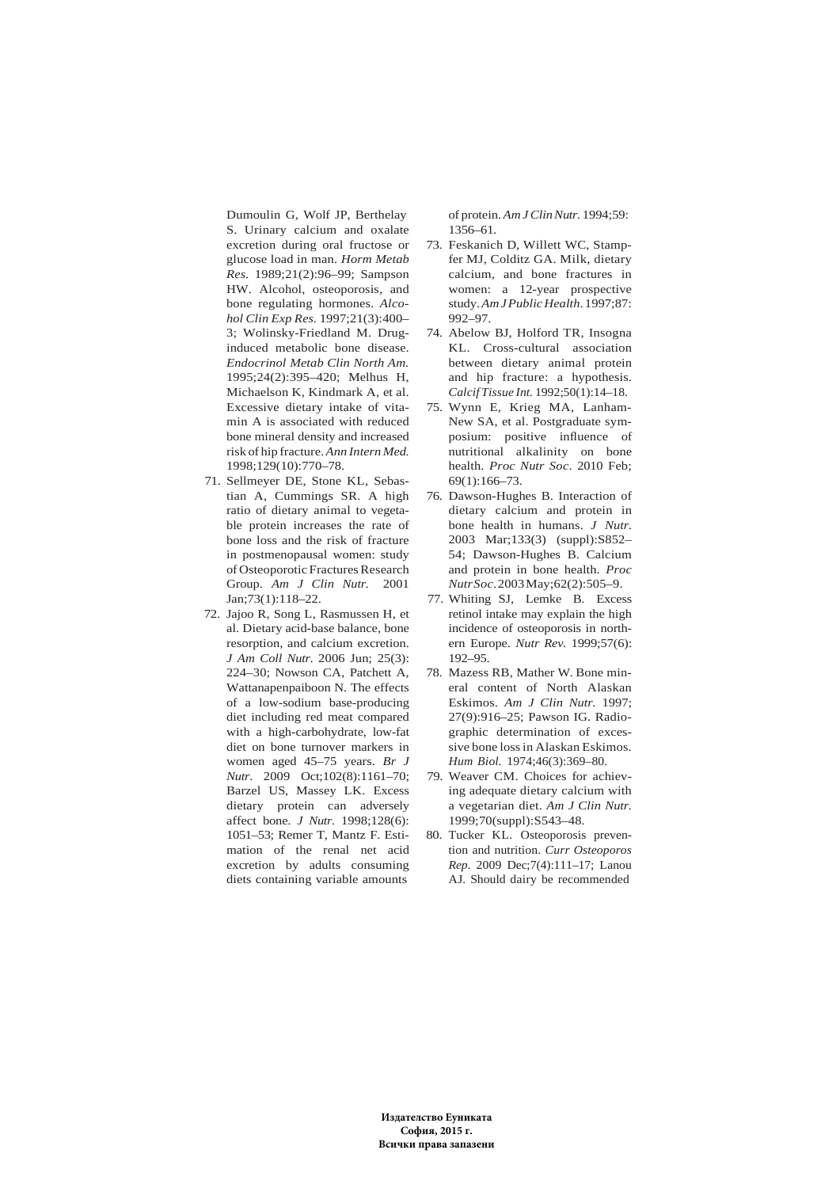Dumoulin G, Wolf JP, Berthelay S. Urinary calcium and oxalate excretion during oral fructose or glucose load in man. *Horm Metab Res.* 1989;21(2):96–99; Sampson HW. Alcohol, osteoporosis, and bone regulating hormones. *Alcohol Clin Exp Res.* 1997;21(3):400– 3; Wolinsky-Friedland M. Druginduced metabolic bone disease. *Endocrinol Metab Clin North Am.* 1995;24(2):395–420; Melhus H, Michaelson K, Kindmark A, et al. Excessive dietary intake of vitamin A is associated with reduced bone mineral density and increased risk of hip fracture. *Ann Intern Med.* 1998;129(10):770–78.

- 71. Sellmeyer DE, Stone KL, Sebastian A, Cummings SR. A high ratio of dietary animal to vegetable protein increases the rate of bone loss and the risk of fracture in postmenopausal women: study of Osteoporotic Fractures Research Group. *Am J Clin Nutr.* 2001 Jan;73(1):118–22.
- 72. Jajoo R, Song L, Rasmussen H, et al. Dietary acid-base balance, bone resorption, and calcium excretion. *J Am Coll Nutr*. 2006 Jun; 25(3): 224–30; Nowson CA, Patchett A, Wattanapenpaiboon N. The effects of a low-sodium base-producing diet including red meat compared with a high-carbohydrate, low-fat diet on bone turnover markers in women aged 45–75 years. *Br J Nutr*. 2009 Oct;102(8):1161–70; Barzel US, Massey LK. Excess dietary protein can adversely affect bone. *J Nutr.* 1998;128(6): 1051–53; Remer T, Mantz F. Estimation of the renal net acid excretion by adults consuming diets containing variable amounts

of protein. *Am J Clin Nutr.* 1994;59: 1356–61.

- 73. Feskanich D, Willett WC, Stampfer MJ, Colditz GA. Milk, dietary calcium, and bone fractures in women: a 12-year prospective study. *Am J Public Health*. 1997;87: 992–97.
- 74. Abelow BJ, Holford TR, Insogna KL. Cross-cultural association between dietary animal protein and hip fracture: a hypothesis. *Calcif Tissue Int.* 1992;50(1):14–18.
- 75. Wynn E, Krieg MA, Lanham-New SA, et al. Postgraduate symposium: positive influence of nutritional alkalinity on bone health. *Proc Nutr Soc*. 2010 Feb; 69(1):166–73.
- 76. Dawson-Hughes B. Interaction of dietary calcium and protein in bone health in humans. *J Nutr*. 2003 Mar;133(3) (suppl):S852– 54; Dawson-Hughes B. Calcium and protein in bone health. *Proc Nutr Soc*. 2003 May;62(2):505–9.
- 77. Whiting SJ, Lemke B. Excess retinol intake may explain the high incidence of osteoporosis in northern Europe. *Nutr Rev.* 1999;57(6): 192–95.
- 78. Mazess RB, Mather W. Bone mineral content of North Alaskan Eskimos. *Am J Clin Nutr.* 1997; 27(9):916–25; Pawson IG. Radiographic determination of excessive bone loss in Alaskan Eskimos. *Hum Biol.* 1974;46(3):369–80.
- 79. Weaver CM. Choices for achieving adequate dietary calcium with a vegetarian diet. *Am J Clin Nutr.* 1999;70(suppl):S543–48.
- 80. Tucker KL. Osteoporosis prevention and nutrition. *Curr Osteoporos Rep*. 2009 Dec;7(4):111–17; Lanou AJ. Should dairy be recommended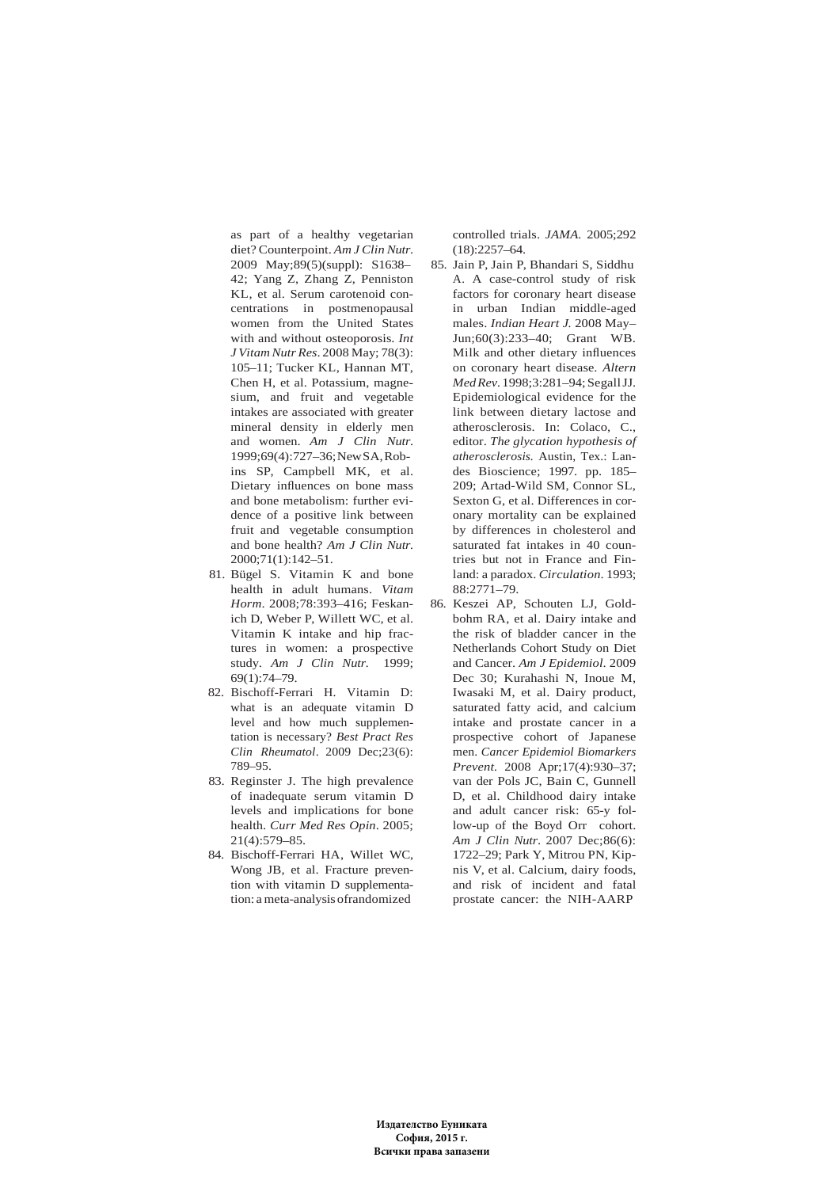as part of a healthy vegetarian diet? Counterpoint. *Am J Clin Nutr*. 2009 May;89(5)(suppl): S1638– 42; Yang Z, Zhang Z, Penniston KL, et al. Serum carotenoid concentrations in postmenopausal women from the United States with and without osteoporosis. *Int J Vitam Nutr Res*. 2008 May; 78(3): 105–11; Tucker KL, Hannan MT, Chen H, et al. Potassium, magnesium, and fruit and vegetable intakes are associated with greater mineral density in elderly men and women. *Am J Clin Nutr*. 1999;69(4):727–36; New SA, Robins SP, Campbell MK, et al. Dietary influences on bone mass and bone metabolism: further evidence of a positive link between fruit and vegetable consumption and bone health? *Am J Clin Nutr.* 2000;71(1):142–51.

- 81. Bügel S. Vitamin K and bone health in adult humans. *Vitam Horm*. 2008;78:393–416; Feskanich D, Weber P, Willett WC, et al. Vitamin K intake and hip fractures in women: a prospective study. *Am J Clin Nutr.* 1999; 69(1):74–79.
- 82. Bischoff-Ferrari H. Vitamin D: what is an adequate vitamin D level and how much supplementation is necessary? *Best Pract Res Clin Rheumatol*. 2009 Dec;23(6): 789–95.
- 83. Reginster J. The high prevalence of inadequate serum vitamin D levels and implications for bone health. *Curr Med Res Opin*. 2005; 21(4):579–85.
- 84. Bischoff-Ferrari HA, Willet WC, Wong JB, et al. Fracture prevention with vitamin D supplementation: a meta-analysis ofrandomized

controlled trials. *JAMA.* 2005;292  $(18) \cdot 2257 - 64$ 

- 85. Jain P, Jain P, Bhandari S, Siddhu A. A case-control study of risk factors for coronary heart disease in urban Indian middle-aged males. *Indian Heart J.* 2008 May– Jun;60(3):233–40; Grant WB. Milk and other dietary influences on coronary heart disease. *Altern Med Rev.* 1998;3:281–94; Segall JJ. Epidemiological evidence for the link between dietary lactose and atherosclerosis. In: Colaco, C., editor. *The glycation hypothesis of atherosclerosis.* Austin, Tex.: Landes Bioscience; 1997. pp. 185– 209; Artad-Wild SM, Connor SL, Sexton G, et al. Differences in coronary mortality can be explained by differences in cholesterol and saturated fat intakes in 40 countries but not in France and Finland: a paradox. *Circulation*. 1993; 88:2771–79.
- 86. Keszei AP, Schouten LJ, Goldbohm RA, et al. Dairy intake and the risk of bladder cancer in the Netherlands Cohort Study on Diet and Cancer. *Am J Epidemiol*. 2009 Dec 30; Kurahashi N, Inoue M, Iwasaki M, et al. Dairy product, saturated fatty acid, and calcium intake and prostate cancer in a prospective cohort of Japanese men. *Cancer Epidemiol Biomarkers Prevent.* 2008 Apr;17(4):930–37; van der Pols JC, Bain C, Gunnell D, et al. Childhood dairy intake and adult cancer risk: 65-y follow-up of the Boyd Orr cohort. *Am J Clin Nutr*. 2007 Dec;86(6): 1722–29; Park Y, Mitrou PN, Kipnis V, et al. Calcium, dairy foods, and risk of incident and fatal prostate cancer: the NIH-AARP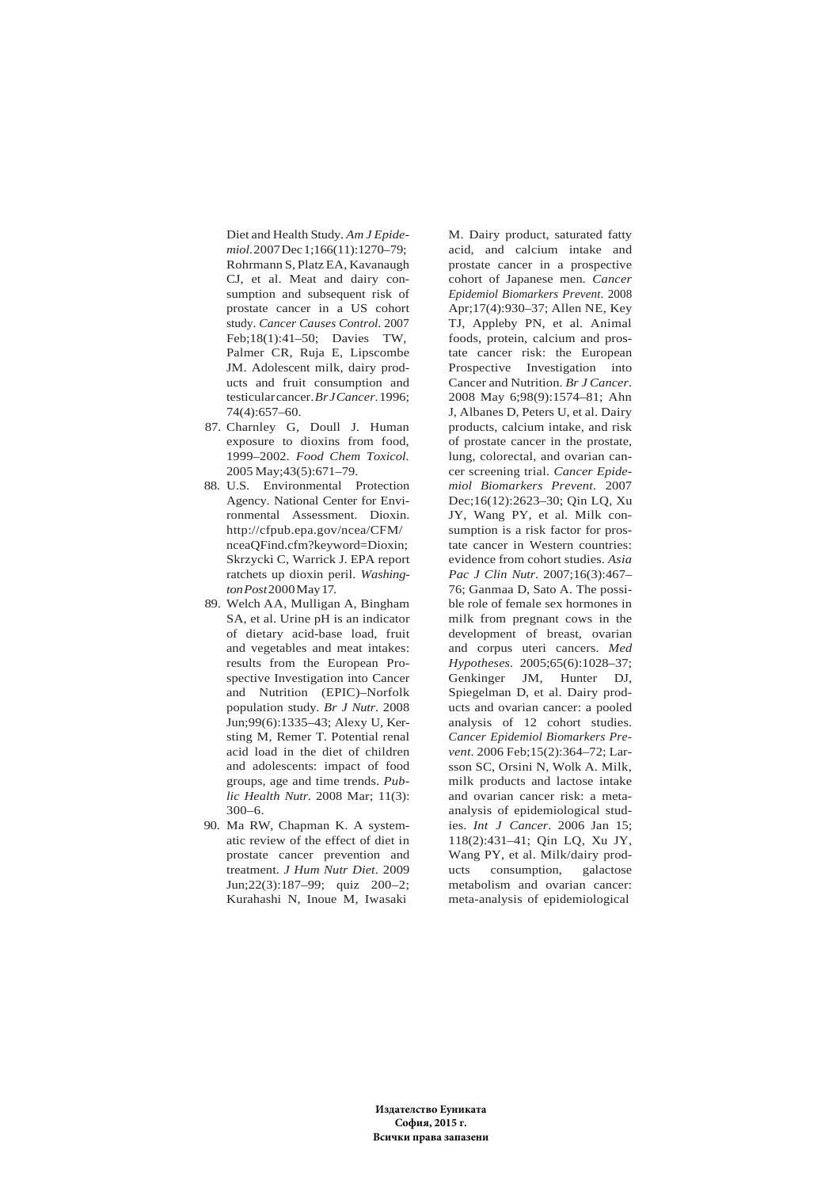Diet and Health Study. *Am J Epidemiol*. 2007 Dec 1;166(11):1270–79; Rohrmann S, Platz EA, Kavanaugh CJ, et al. Meat and dairy consumption and subsequent risk of prostate cancer in a US cohort study. *Cancer Causes Control*. 2007 Feb;18(1):41–50; Davies TW, Palmer CR, Ruja E, Lipscombe JM. Adolescent milk, dairy products and fruit consumption and testicular cancer. *Br J Cancer*. 1996; 74(4):657–60.

- 87. Charnley G, Doull J. Human exposure to dioxins from food, 1999–2002. *Food Chem Toxicol.* 2005 May;43(5):671–79.
- 88. U.S. Environmental Protection Agency. National Center for Environmental Assessment. Dioxin. http://cfpub.epa.gov/ncea/CFM/ nceaQFind.cfm?keyword=Dioxin; Skrzycki C, Warrick J. EPA report ratchets up dioxin peril. *Washington Post* 2000 May 17.
- 89. Welch AA, Mulligan A, Bingham SA, et al. Urine pH is an indicator of dietary acid-base load, fruit and vegetables and meat intakes: results from the European Prospective Investigation into Cancer and Nutrition (EPIC)–Norfolk population study. *Br J Nutr*. 2008 Jun;99(6):1335–43; Alexy U, Kersting M, Remer T. Potential renal acid load in the diet of children and adolescents: impact of food groups, age and time trends. *Public Health Nutr*. 2008 Mar; 11(3): 300–6.
- 90. Ma RW, Chapman K. A systematic review of the effect of diet in prostate cancer prevention and treatment. *J Hum Nutr Diet*. 2009 Jun;22(3):187–99; quiz 200–2; Kurahashi N, Inoue M, Iwasaki

M. Dairy product, saturated fatty acid, and calcium intake and prostate cancer in a prospective cohort of Japanese men. *Cancer Epidemiol Biomarkers Prevent*. 2008 Apr;17(4):930–37; Allen NE, Key TJ, Appleby PN, et al. Animal foods, protein, calcium and prostate cancer risk: the European Prospective Investigation into Cancer and Nutrition. *Br J Cancer*. 2008 May 6;98(9):1574–81; Ahn J, Albanes D, Peters U, et al. Dairy products, calcium intake, and risk of prostate cancer in the prostate, lung, colorectal, and ovarian cancer screening trial. *Cancer Epidemiol Biomarkers Prevent*. 2007 Dec;16(12):2623–30; Qin LQ, Xu JY, Wang PY, et al. Milk consumption is a risk factor for prostate cancer in Western countries: evidence from cohort studies. *Asia Pac J Clin Nutr*. 2007;16(3):467– 76; Ganmaa D, Sato A. The possible role of female sex hormones in milk from pregnant cows in the development of breast, ovarian and corpus uteri cancers. *Med Hypotheses*. 2005;65(6):1028–37; Genkinger JM, Hunter DJ, Spiegelman D, et al. Dairy products and ovarian cancer: a pooled analysis of 12 cohort studies. *Cancer Epidemiol Biomarkers Prevent*. 2006 Feb;15(2):364–72; Larsson SC, Orsini N, Wolk A. Milk, milk products and lactose intake and ovarian cancer risk: a metaanalysis of epidemiological studies. *Int J Cancer*. 2006 Jan 15; 118(2):431–41; Qin LQ, Xu JY, Wang PY, et al. Milk/dairy products consumption, galactose metabolism and ovarian cancer: meta-analysis of epidemiological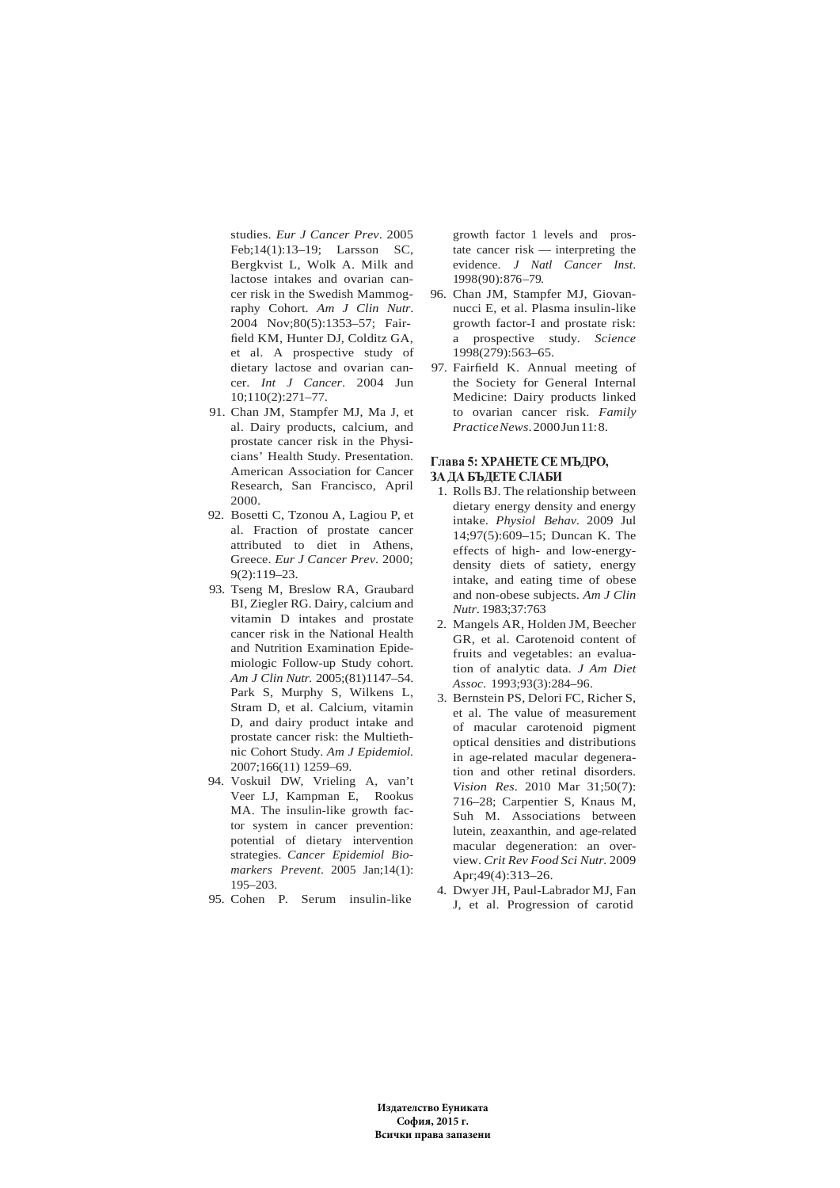studies. *Eur J Cancer Prev*. 2005 Feb;14(1):13–19; Larsson SC, Bergkvist L, Wolk A. Milk and lactose intakes and ovarian cancer risk in the Swedish Mammography Cohort. *Am J Clin Nutr*. 2004 Nov;80(5):1353–57; Fairfield KM, Hunter DJ, Colditz GA, et al. A prospective study of dietary lactose and ovarian cancer. *Int J Cancer*. 2004 Jun 10;110(2):271–77.

- 91. Chan JM, Stampfer MJ, Ma J, et al. Dairy products, calcium, and prostate cancer risk in the Physicians' Health Study. Presentation. American Association for Cancer Research, San Francisco, April 2000.
- 92. Bosetti C, Tzonou A, Lagiou P, et al. Fraction of prostate cancer attributed to diet in Athens, Greece. *Eur J Cancer Prev*. 2000; 9(2):119–23.
- 93. Tseng M, Breslow RA, Graubard BI, Ziegler RG. Dairy, calcium and vitamin D intakes and prostate cancer risk in the National Health and Nutrition Examination Epidemiologic Follow-up Study cohort. *Am J Clin Nutr.* 2005;(81)1147–54. Park S, Murphy S, Wilkens L, Stram D, et al. Calcium, vitamin D, and dairy product intake and prostate cancer risk: the Multiethnic Cohort Study. *Am J Epidemiol.* 2007;166(11) 1259–69.
- 94. Voskuil DW, Vrieling A, van't Veer LJ, Kampman E, Rookus MA. The insulin-like growth factor system in cancer prevention: potential of dietary intervention strategies. *Cancer Epidemiol Biomarkers Prevent*. 2005 Jan;14(1): 195–203.
- 95. Cohen P. Serum insulin-like

growth factor 1 levels and prostate cancer risk — interpreting the evidence. *J Natl Cancer Inst*. 1998(90):876–79.

- 96. Chan JM, Stampfer MJ, Giovannucci E, et al. Plasma insulin-like growth factor-I and prostate risk: a prospective study. *Science* 1998(279):563–65.
- 97. Fairfield K. Annual meeting of the Society for General Internal Medicine: Dairy products linked to ovarian cancer risk. *Family Practice News*. 2000 Jun 11: 8.

#### **Глава 5: ХРАНЕТЕ СЕ МЪДРО, ЗА ДА БЪДЕТЕ СЛАБИ**

- 1. Rolls BJ. The relationship between dietary energy density and energy intake. *Physiol Behav*. 2009 Jul 14;97(5):609–15; Duncan K. The effects of high- and low-energydensity diets of satiety, energy intake, and eating time of obese and non-obese subjects. *Am J Clin Nutr*. 1983;37:763
- 2. Mangels AR, Holden JM, Beecher GR, et al. Carotenoid content of fruits and vegetables: an evaluation of analytic data. *J Am Diet Assoc.* 1993;93(3):284–96.
- 3. Bernstein PS, Delori FC, Richer S, et al. The value of measurement of macular carotenoid pigment optical densities and distributions in age-related macular degeneration and other retinal disorders. *Vision Res*. 2010 Mar 31;50(7): 716–28; Carpentier S, Knaus M, Suh M. Associations between lutein, zeaxanthin, and age-related macular degeneration: an overview. *Crit Rev Food Sci Nutr.* 2009 Apr;49(4):313–26.
- 4. Dwyer JH, Paul-Labrador MJ, Fan J, et al. Progression of carotid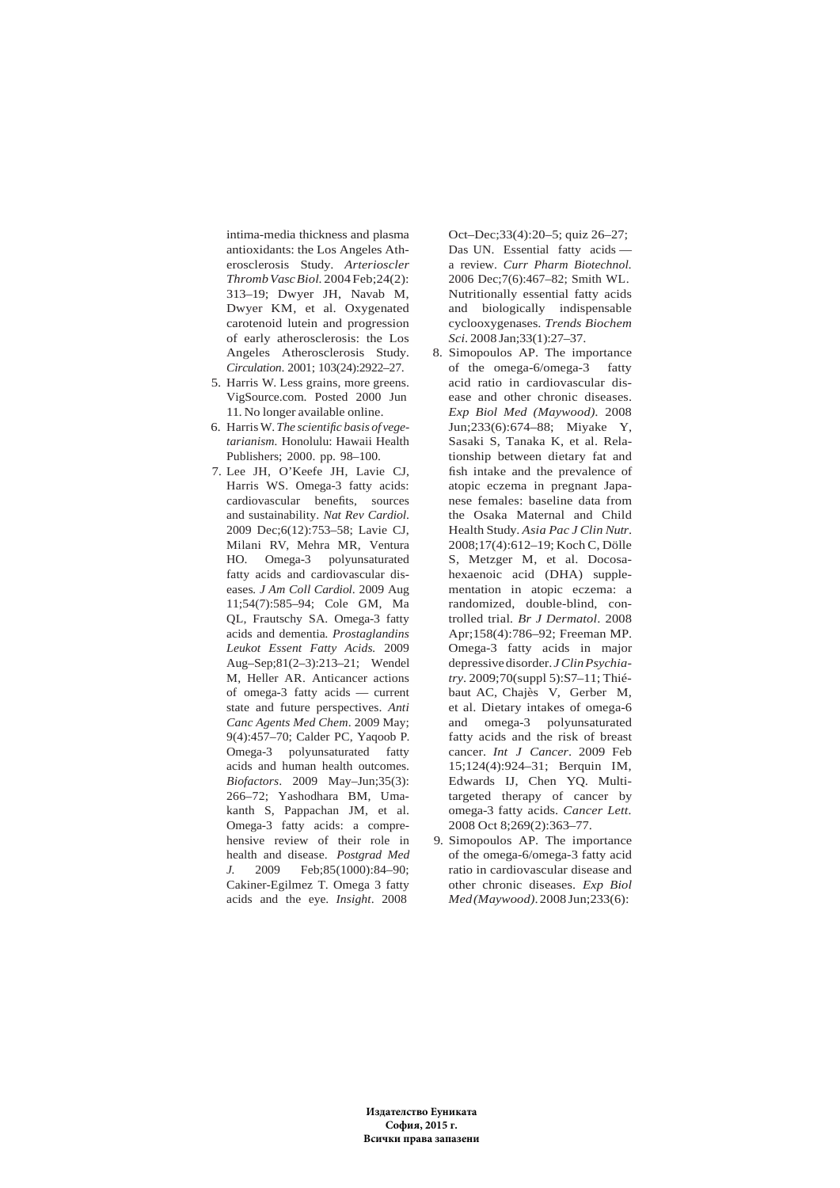intima-media thickness and plasma antioxidants: the Los Angeles Atherosclerosis Study. *Arterioscler Thromb Vasc Biol.* 2004 Feb;24(2): 313–19; Dwyer JH, Navab M, Dwyer KM, et al. Oxygenated carotenoid lutein and progression of early atherosclerosis: the Los Angeles Atherosclerosis Study. *Circulation*. 2001; 103(24):2922–27.

- 5. Harris W. Less grains, more greens. VigSource.com. Posted 2000 Jun 11. No longer available online.
- 6. Harris W. *The scientific basis of vegetarianism.* Honolulu: Hawaii Health Publishers; 2000. pp. 98–100.
- 7. Lee JH, O'Keefe JH, Lavie CJ, Harris WS. Omega-3 fatty acids: cardiovascular benefits, sources and sustainability. *Nat Rev Cardiol*. 2009 Dec;6(12):753–58; Lavie CJ, Milani RV, Mehra MR, Ventura HO. Omega-3 polyunsaturated fatty acids and cardiovascular diseases*. J Am Coll Cardiol*. 2009 Aug 11;54(7):585–94; Cole GM, Ma QL, Frautschy SA. Omega-3 fatty acids and dementia*. Prostaglandins Leukot Essent Fatty Acids.* 2009 Aug–Sep;81(2–3):213–21; Wendel M, Heller AR. Anticancer actions of omega-3 fatty acids — current state and future perspectives. *Anti Canc Agents Med Chem*. 2009 May; 9(4):457–70; Calder PC, Yaqoob P. Omega-3 polyunsaturated fatty acids and human health outcomes. *Biofactors*. 2009 May–Jun;35(3): 266–72; Yashodhara BM, Umakanth S, Pappachan JM, et al. Omega-3 fatty acids: a comprehensive review of their role in health and disease. *Postgrad Med J.* 2009 Feb;85(1000):84–90; Cakiner-Egilmez T. Omega 3 fatty acids and the eye. *Insight*. 2008

Oct–Dec;33(4):20–5; quiz 26–27; Das UN. Essential fatty acids a review. *Curr Pharm Biotechnol.* 2006 Dec;7(6):467–82; Smith WL. Nutritionally essential fatty acids and biologically indispensable cyclooxygenases. *Trends Biochem Sci*. 2008 Jan;33(1):27–37.

- 8. Simopoulos AP. The importance of the omega-6/omega-3 fatty acid ratio in cardiovascular disease and other chronic diseases. *Exp Biol Med (Maywood).* 2008 Jun;233(6):674–88; Miyake Y, Sasaki S, Tanaka K, et al. Relationship between dietary fat and fish intake and the prevalence of atopic eczema in pregnant Japanese females: baseline data from the Osaka Maternal and Child Health Study. *Asia Pac J Clin Nutr*. 2008;17(4):612–19; Koch C, Dölle S, Metzger M, et al. Docosahexaenoic acid (DHA) supplementation in atopic eczema: a randomized, double-blind, controlled trial*. Br J Dermatol*. 2008 Apr;158(4):786–92; Freeman MP. Omega-3 fatty acids in major depressive disorder. *J Clin Psychiatry*. 2009;70(suppl 5):S7–11; Thiébaut AC, Chajès V, Gerber M, et al. Dietary intakes of omega-6 and omega-3 polyunsaturated fatty acids and the risk of breast cancer. *Int J Cancer*. 2009 Feb 15;124(4):924–31; Berquin IM, Edwards IJ, Chen YQ. Multitargeted therapy of cancer by omega-3 fatty acids. *Cancer Lett.* 2008 Oct 8;269(2):363–77.
- 9. Simopoulos AP. The importance of the omega-6/omega-3 fatty acid ratio in cardiovascular disease and other chronic diseases. *Exp Biol Med (Maywood)*. 2008 Jun;233(6):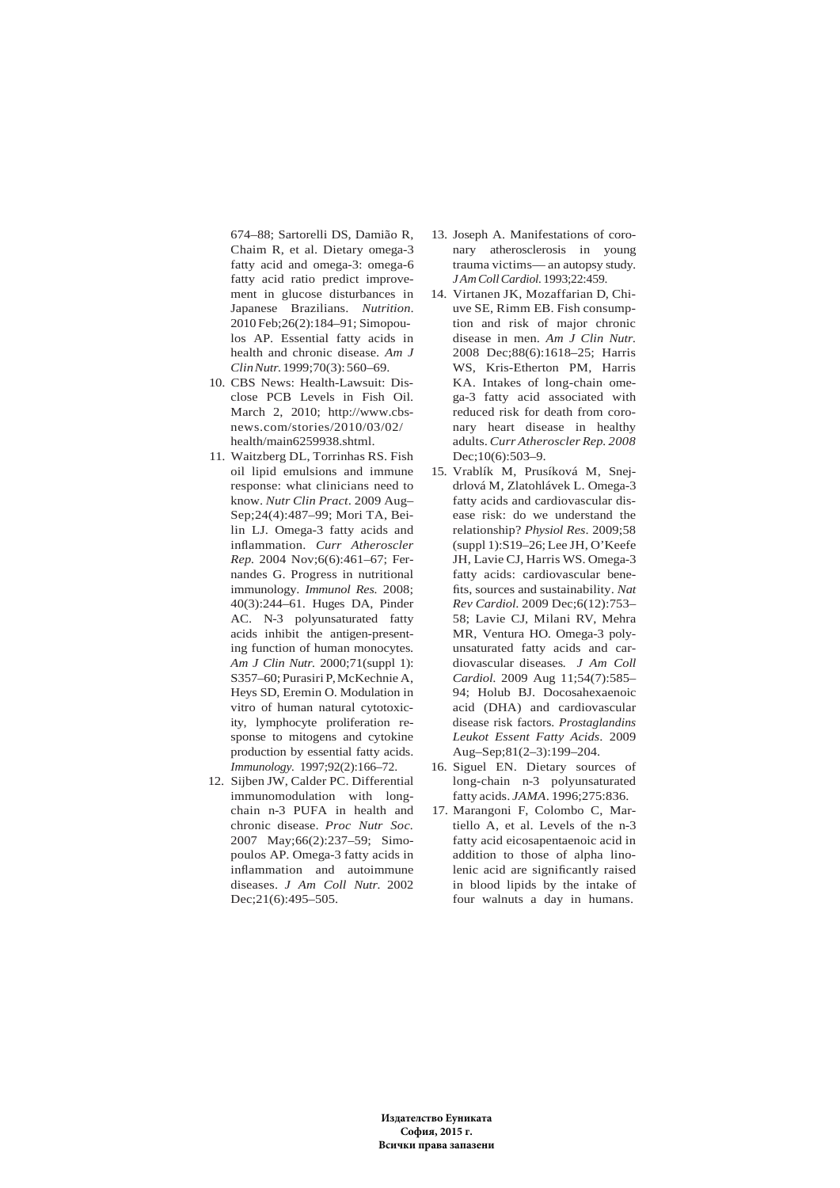674–88; Sartorelli DS, Damião R, Chaim R, et al. Dietary omega-3 fatty acid and omega-3: omega-6 fatty acid ratio predict improvement in glucose disturbances in Japanese Brazilians. *Nutrition*. 2010 Feb;26(2):184–91; Simopoulos AP. Essential fatty acids in health and chronic disease. *Am J Clin Nutr.* 1999;70(3): 560–69.

- 10. CBS News: Health-Lawsuit: Disclose PCB Levels in Fish Oil. March 2, 2010; http://www.cbsnews.com/stories/2010/03/02/ health/main6259938.shtml.
- 11. Waitzberg DL, Torrinhas RS. Fish oil lipid emulsions and immune response: what clinicians need to know. *Nutr Clin Pract*. 2009 Aug– Sep;24(4):487–99; Mori TA, Beilin LJ. Omega-3 fatty acids and inflammation. *Curr Atheroscler Rep.* 2004 Nov;6(6):461–67; Fernandes G. Progress in nutritional immunology. *Immunol Res.* 2008; 40(3):244–61. Huges DA, Pinder AC. N-3 polyunsaturated fatty acids inhibit the antigen-presenting function of human monocytes. *Am J Clin Nutr.* 2000;71(suppl 1): S357–60; Purasiri P, McKechnie A, Heys SD, Eremin O. Modulation in vitro of human natural cytotoxicity, lymphocyte proliferation response to mitogens and cytokine production by essential fatty acids. *Immunology.* 1997;92(2):166–72.
- 12. Sijben JW, Calder PC. Differential immunomodulation with longchain n-3 PUFA in health and chronic disease. *Proc Nutr Soc.* 2007 May;66(2):237–59; Simopoulos AP. Omega-3 fatty acids in inflammation and autoimmune diseases. *J Am Coll Nutr.* 2002 Dec; 21(6): 495 - 505.
- 13. Joseph A. Manifestations of coronary atherosclerosis in young trauma victims— an autopsy study*. J Am Coll Cardiol.* 1993;22:459.
- 14. Virtanen JK, Mozaffarian D, Chiuve SE, Rimm EB. Fish consumption and risk of major chronic disease in men. *Am J Clin Nutr.* 2008 Dec;88(6):1618–25; Harris WS, Kris-Etherton PM, Harris KA. Intakes of long-chain omega-3 fatty acid associated with reduced risk for death from coronary heart disease in healthy adults. *Curr Atheroscler Rep. 2008* Dec;10(6):503-9.
- 15. Vrablík M, Prusíková M, Snejdrlová M, Zlatohlávek L. Omega-3 fatty acids and cardiovascular disease risk: do we understand the relationship? *Physiol Res*. 2009;58 (suppl 1):S19–26; Lee JH, O'Keefe JH, Lavie CJ, Harris WS. Omega-3 fatty acids: cardiovascular benefits, sources and sustainability. *Nat Rev Cardiol*. 2009 Dec;6(12):753– 58; Lavie CJ, Milani RV, Mehra MR, Ventura HO. Omega-3 polyunsaturated fatty acids and cardiovascular diseases*. J Am Coll Cardiol*. 2009 Aug 11;54(7):585– 94; Holub BJ. Docosahexaenoic acid (DHA) and cardiovascular disease risk factors. *Prostaglandins Leukot Essent Fatty Acids*. 2009 Aug–Sep;81(2–3):199–204.
- 16. Siguel EN. Dietary sources of long-chain n-3 polyunsaturated fatty acids. *JAMA*. 1996;275:836.
- 17. Marangoni F, Colombo C, Martiello A, et al. Levels of the n-3 fatty acid eicosapentaenoic acid in addition to those of alpha linolenic acid are significantly raised in blood lipids by the intake of four walnuts a day in humans.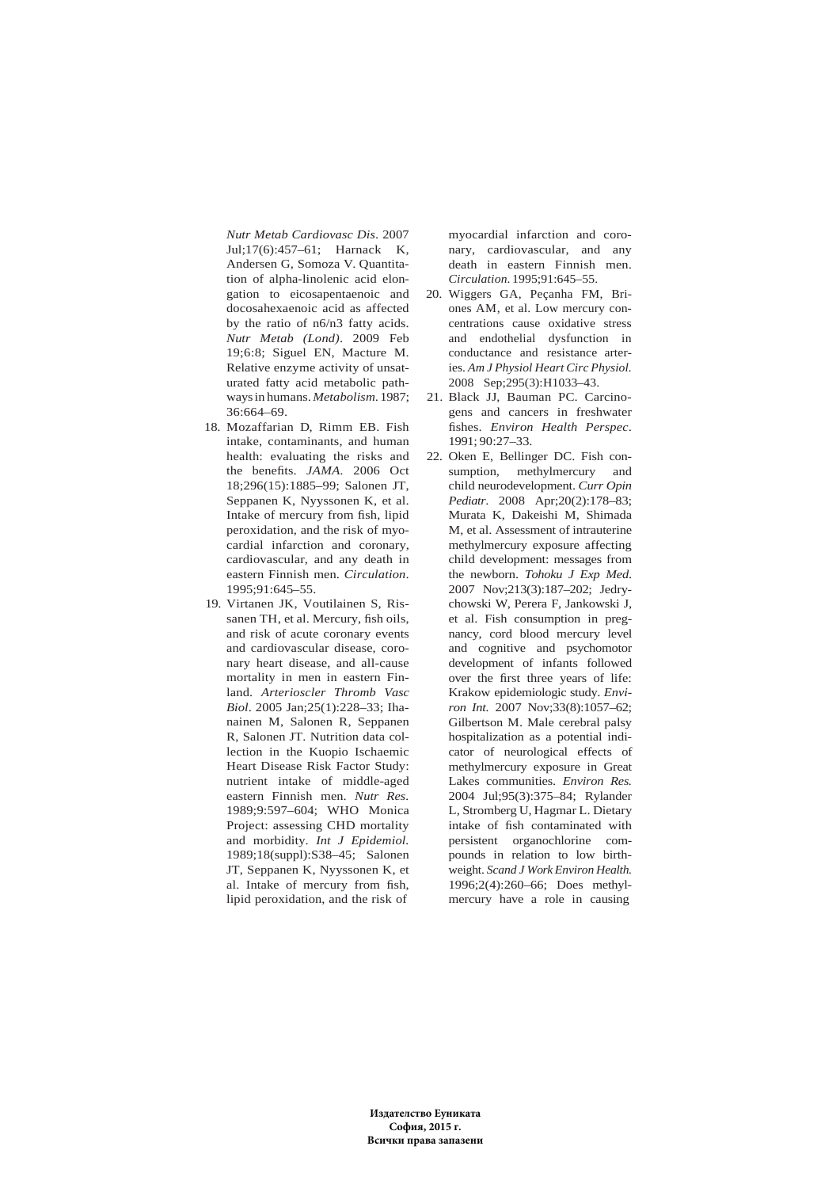*Nutr Metab Cardiovasc Dis*. 2007 Jul;17(6):457–61; Harnack K, Andersen G, Somoza V. Quantitation of alpha-linolenic acid elongation to eicosapentaenoic and docosahexaenoic acid as affected by the ratio of n6/n3 fatty acids. *Nutr Metab (Lond)*. 2009 Feb 19;6:8; Siguel EN, Macture M. Relative enzyme activity of unsaturated fatty acid metabolic pathways in humans. *Metabolism*. 1987; 36:664–69.

- 18. Mozaffarian D, Rimm EB. Fish intake, contaminants, and human health: evaluating the risks and the benefits. *JAMA.* 2006 Oct 18;296(15):1885–99; Salonen JT, Seppanen K, Nyyssonen K, et al. Intake of mercury from fish, lipid peroxidation, and the risk of myocardial infarction and coronary, cardiovascular, and any death in eastern Finnish men. *Circulation*. 1995;91:645–55.
- 19. Virtanen JK, Voutilainen S, Rissanen TH, et al. Mercury, fish oils, and risk of acute coronary events and cardiovascular disease, coronary heart disease, and all-cause mortality in men in eastern Finland. *Arterioscler Thromb Vasc Biol*. 2005 Jan;25(1):228–33; Ihanainen M, Salonen R, Seppanen R, Salonen JT. Nutrition data collection in the Kuopio Ischaemic Heart Disease Risk Factor Study: nutrient intake of middle-aged eastern Finnish men. *Nutr Res.* 1989;9:597–604; WHO Monica Project: assessing CHD mortality and morbidity. *Int J Epidemiol.* 1989;18(suppl):S38–45; Salonen JT, Seppanen K, Nyyssonen K, et al. Intake of mercury from fish, lipid peroxidation, and the risk of

myocardial infarction and coronary, cardiovascular, and any death in eastern Finnish men. *Circulation*. 1995;91:645–55.

- 20. Wiggers GA, Peçanha FM, Briones AM, et al. Low mercury concentrations cause oxidative stress and endothelial dysfunction in conductance and resistance arteries. *Am J Physiol Heart Circ Physiol.* 2008 Sep;295(3):H1033–43.
- 21. Black JJ, Bauman PC. Carcinogens and cancers in freshwater fishes. *Environ Health Perspec*.  $1991: 90:27 - 33$
- 22. Oken E, Bellinger DC. Fish consumption, methylmercury and child neurodevelopment. *Curr Opin Pediatr*. 2008 Apr;20(2):178–83; Murata K, Dakeishi M, Shimada M, et al. Assessment of intrauterine methylmercury exposure affecting child development: messages from the newborn. *Tohoku J Exp Med*. 2007 Nov;213(3):187–202; Jedrychowski W, Perera F, Jankowski J, et al. Fish consumption in pregnancy, cord blood mercury level and cognitive and psychomotor development of infants followed over the first three years of life: Krakow epidemiologic study. *Environ Int.* 2007 Nov;33(8):1057–62; Gilbertson M. Male cerebral palsy hospitalization as a potential indicator of neurological effects of methylmercury exposure in Great Lakes communities. *Environ Res.* 2004 Jul;95(3):375–84; Rylander L, Stromberg U, Hagmar L. Dietary intake of fish contaminated with persistent organochlorine compounds in relation to low birthweight. *Scand J Work Environ Health.* 1996;2(4):260–66; Does methylmercury have a role in causing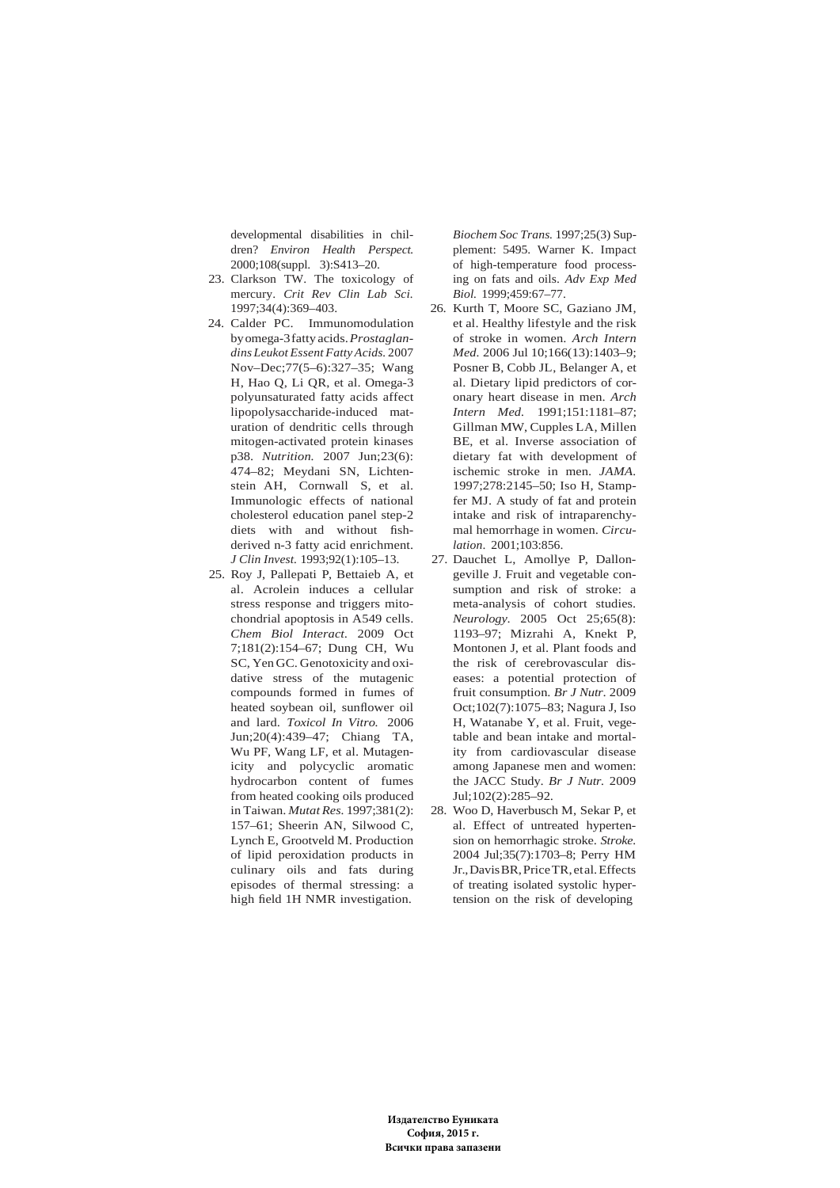developmental disabilities in children? *Environ Health Perspect.* 2000;108(suppl. 3):S413–20.

- 23. Clarkson TW. The toxicology of mercury. *Crit Rev Clin Lab Sci.* 1997;34(4):369–403.
- 24. Calder PC. Immunomodulation by omega-3 fatty acids. *Prostaglandins Leukot Essent Fatty Acids.* 2007 Nov–Dec;77(5–6):327–35; Wang H, Hao Q, Li QR, et al. Omega-3 polyunsaturated fatty acids affect lipopolysaccharide-induced maturation of dendritic cells through mitogen-activated protein kinases p38. *Nutrition.* 2007 Jun;23(6): 474–82; Meydani SN, Lichtenstein AH, Cornwall S, et al. Immunologic effects of national cholesterol education panel step-2 diets with and without fishderived n-3 fatty acid enrichment. *J Clin Invest.* 1993;92(1):105–13.
- 25. Roy J, Pallepati P, Bettaieb A, et al. Acrolein induces a cellular stress response and triggers mitochondrial apoptosis in A549 cells. *Chem Biol Interact*. 2009 Oct 7;181(2):154–67; Dung CH, Wu SC, Yen GC. Genotoxicity and oxidative stress of the mutagenic compounds formed in fumes of heated soybean oil, sunflower oil and lard. *Toxicol In Vitro.* 2006 Jun;20(4):439–47; Chiang TA, Wu PF, Wang LF, et al. Mutagenicity and polycyclic aromatic hydrocarbon content of fumes from heated cooking oils produced in Taiwan. *Mutat Res.* 1997;381(2): 157–61; Sheerin AN, Silwood C, Lynch E, Grootveld M. Production of lipid peroxidation products in culinary oils and fats during episodes of thermal stressing: a high field 1H NMR investigation.

*Biochem Soc Trans.* 1997;25(3) Supplement: 5495. Warner K. Impact of high-temperature food processing on fats and oils. *Adv Exp Med Biol.* 1999;459:67–77.

- 26. Kurth T, Moore SC, Gaziano JM, et al. Healthy lifestyle and the risk of stroke in women. *Arch Intern Med.* 2006 Jul 10;166(13):1403–9; Posner B, Cobb JL, Belanger A, et al. Dietary lipid predictors of coronary heart disease in men. *Arch Intern Med.* 1991;151:1181–87; Gillman MW, Cupples LA, Millen BE, et al. Inverse association of dietary fat with development of ischemic stroke in men. *JAMA.* 1997;278:2145–50; Iso H, Stampfer MJ. A study of fat and protein intake and risk of intraparenchymal hemorrhage in women. *Circulation*. 2001;103:856.
- 27. Dauchet L, Amollye P, Dallongeville J. Fruit and vegetable consumption and risk of stroke: a meta-analysis of cohort studies. *Neurology*. 2005 Oct 25;65(8): 1193–97; Mizrahi A, Knekt P, Montonen J, et al. Plant foods and the risk of cerebrovascular diseases: a potential protection of fruit consumption. *Br J Nutr*. 2009 Oct;102(7):1075–83; Nagura J, Iso H, Watanabe Y, et al. Fruit, vegetable and bean intake and mortality from cardiovascular disease among Japanese men and women: the JACC Study. *Br J Nutr.* 2009 Jul;102(2):285–92.
- 28. Woo D, Haverbusch M, Sekar P, et al. Effect of untreated hypertension on hemorrhagic stroke. *Stroke.* 2004 Jul;35(7):1703–8; Perry HM Jr., Davis BR, Price TR, et al. Effects of treating isolated systolic hypertension on the risk of developing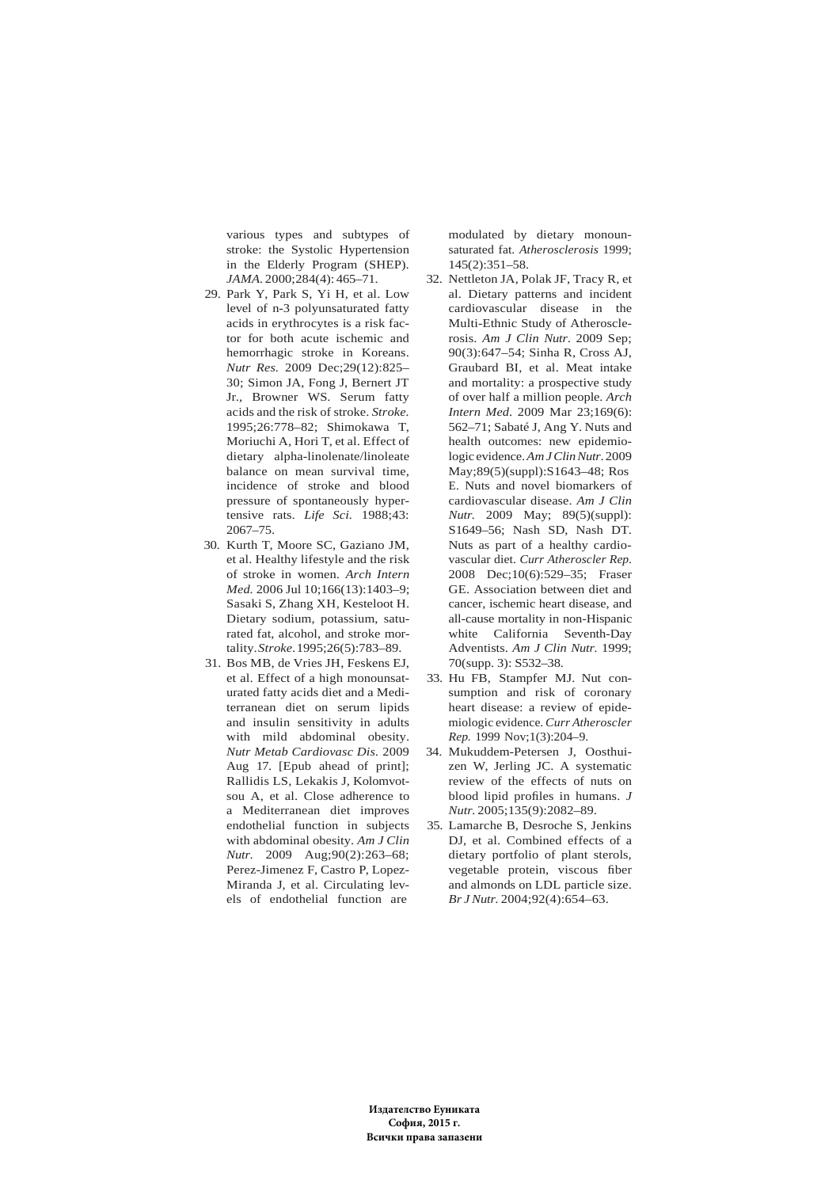various types and subtypes of stroke: the Systolic Hypertension in the Elderly Program (SHEP). *JAMA.* 2000;284(4): 465–71.

- 29. Park Y, Park S, Yi H, et al. Low level of n-3 polyunsaturated fatty acids in erythrocytes is a risk factor for both acute ischemic and hemorrhagic stroke in Koreans. *Nutr Res.* 2009 Dec;29(12):825– 30; Simon JA, Fong J, Bernert JT Jr., Browner WS. Serum fatty acids and the risk of stroke. *Stroke.* 1995;26:778–82; Shimokawa T, Moriuchi A, Hori T, et al. Effect of dietary alpha-linolenate/linoleate balance on mean survival time, incidence of stroke and blood pressure of spontaneously hypertensive rats. *Life Sci.* 1988;43: 2067–75.
- 30. Kurth T, Moore SC, Gaziano JM, et al. Healthy lifestyle and the risk of stroke in women. *Arch Intern Med.* 2006 Jul 10;166(13):1403–9; Sasaki S, Zhang XH, Kesteloot H. Dietary sodium, potassium, saturated fat, alcohol, and stroke mortality. *Stroke*. 1995;26(5):783–89.
- 31. Bos MB, de Vries JH, Feskens EJ, et al. Effect of a high monounsaturated fatty acids diet and a Mediterranean diet on serum lipids and insulin sensitivity in adults with mild abdominal obesity. *Nutr Metab Cardiovasc Dis.* 2009 Aug 17. [Epub ahead of print]; Rallidis LS, Lekakis J, Kolomvotsou A, et al. Close adherence to a Mediterranean diet improves endothelial function in subjects with abdominal obesity. *Am J Clin Nutr*. 2009 Aug;90(2):263–68; Perez-Jimenez F, Castro P, Lopez-Miranda J, et al. Circulating levels of endothelial function are

modulated by dietary monounsaturated fat. *Atherosclerosis* 1999; 145(2):351–58.

- 32. Nettleton JA, Polak JF, Tracy R, et al. Dietary patterns and incident cardiovascular disease in the Multi-Ethnic Study of Atherosclerosis. *Am J Clin Nutr*. 2009 Sep; 90(3):647–54; Sinha R, Cross AJ, Graubard BI, et al. Meat intake and mortality: a prospective study of over half a million people. *Arch Intern Med*. 2009 Mar 23;169(6): 562–71; Sabaté J, Ang Y. Nuts and health outcomes: new epidemiologic evidence. *Am J Clin Nutr*. 2009 May;89(5)(suppl):S1643–48; Ros E. Nuts and novel biomarkers of cardiovascular disease. *Am J Clin Nutr.* 2009 May; 89(5)(suppl): S1649–56; Nash SD, Nash DT. Nuts as part of a healthy cardiovascular diet. *Curr Atheroscler Rep*. 2008 Dec;10(6):529–35; Fraser GE. Association between diet and cancer, ischemic heart disease, and all-cause mortality in non-Hispanic white California Seventh-Day Adventists. *Am J Clin Nutr.* 1999; 70(supp. 3): S532–38.
- 33. Hu FB, Stampfer MJ. Nut consumption and risk of coronary heart disease: a review of epidemiologic evidence. *Curr Atheroscler Rep.* 1999 Nov;1(3):204–9.
- 34. Mukuddem-Petersen J, Oosthuizen W, Jerling JC. A systematic review of the effects of nuts on blood lipid profiles in humans. *J Nutr.* 2005;135(9):2082–89.
- 35. Lamarche B, Desroche S, Jenkins DJ, et al. Combined effects of a dietary portfolio of plant sterols, vegetable protein, viscous fiber and almonds on LDL particle size. *Br J Nutr.* 2004;92(4):654–63.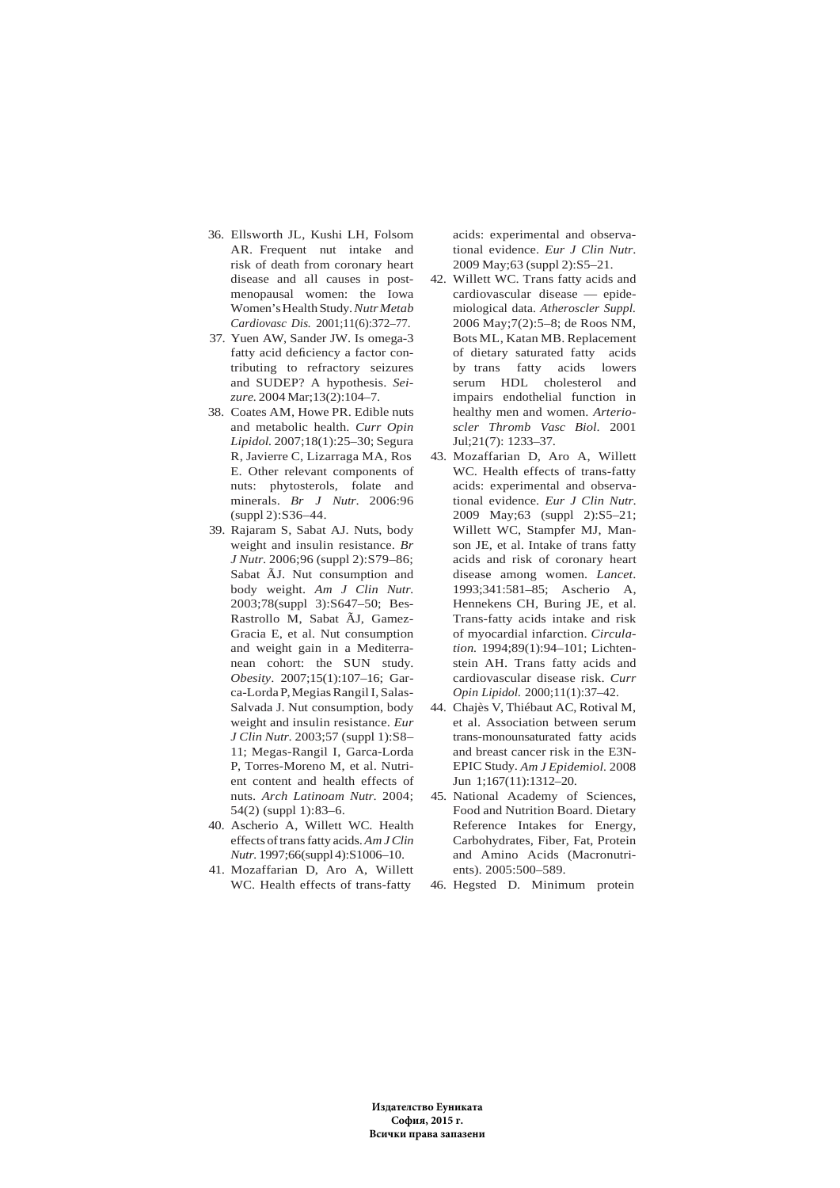- 36. Ellsworth JL, Kushi LH, Folsom AR. Frequent nut intake and risk of death from coronary heart disease and all causes in postmenopausal women: the Iowa Women's Health Study. *Nutr Metab Cardiovasc Dis.* 2001;11(6):372–77.
- 37. Yuen AW, Sander JW. Is omega-3 fatty acid deficiency a factor contributing to refractory seizures and SUDEP? A hypothesis. *Seizure.* 2004 Mar;13(2):104–7.
- 38. Coates AM, Howe PR. Edible nuts and metabolic health. *Curr Opin Lipidol.* 2007;18(1):25–30; Segura R, Javierre C, Lizarraga MA, Ros E. Other relevant components of nuts: phytosterols, folate and minerals. *Br J Nutr*. 2006:96 (suppl 2):S36–44.
- 39. Rajaram S, Sabat AJ. Nuts, body weight and insulin resistance. *Br J Nutr*. 2006;96 (suppl 2):S79–86; Sabat ÃJ. Nut consumption and body weight. *Am J Clin Nutr.* 2003;78(suppl 3):S647–50; Bes-Rastrollo M, Sabat ÃJ, Gamez-Gracia E, et al. Nut consumption and weight gain in a Mediterranean cohort: the SUN study. *Obesity*. 2007;15(1):107–16; Garca-Lorda P, Megias Rangil I, Salas-Salvada J. Nut consumption, body weight and insulin resistance. *Eur J Clin Nutr*. 2003;57 (suppl 1):S8– 11; Megas-Rangil I, Garca-Lorda P, Torres-Moreno M, et al. Nutrient content and health effects of nuts. *Arch Latinoam Nutr*. 2004; 54(2) (suppl 1):83–6.
- 40. Ascherio A, Willett WC. Health effects of trans fatty acids. *Am J Clin Nutr.* 1997;66(suppl 4):S1006–10.
- 41. Mozaffarian D, Aro A, Willett WC. Health effects of trans-fatty

acids: experimental and observational evidence. *Eur J Clin Nutr*. 2009 May;63 (suppl 2):S5–21.

- 42. Willett WC. Trans fatty acids and cardiovascular disease — epidemiological data. *Atheroscler Suppl.* 2006 May;7(2):5–8; de Roos NM, Bots ML, Katan MB. Replacement of dietary saturated fatty acids by trans fatty acids lowers serum HDL cholesterol and impairs endothelial function in healthy men and women. *Arterioscler Thromb Vasc Biol*. 2001 Jul;21(7): 1233–37.
- 43. Mozaffarian D, Aro A, Willett WC. Health effects of trans-fatty acids: experimental and observational evidence. *Eur J Clin Nutr*. 2009 May;63 (suppl 2):S5–21; Willett WC, Stampfer MJ, Manson JE, et al. Intake of trans fatty acids and risk of coronary heart disease among women. *Lancet*. 1993;341:581–85; Ascherio A, Hennekens CH, Buring JE, et al. Trans-fatty acids intake and risk of myocardial infarction. *Circulation.* 1994;89(1):94–101; Lichtenstein AH. Trans fatty acids and cardiovascular disease risk. *Curr Opin Lipidol.* 2000;11(1):37–42.
- 44. Chajès V, Thiébaut AC, Rotival M, et al. Association between serum trans-monounsaturated fatty acids and breast cancer risk in the E3N-EPIC Study. *Am J Epidemiol.* 2008 Jun 1;167(11):1312–20.
- 45. National Academy of Sciences, Food and Nutrition Board. Dietary Reference Intakes for Energy, Carbohydrates, Fiber, Fat, Protein and Amino Acids (Macronutrients). 2005:500–589.
- 46. Hegsted D. Minimum protein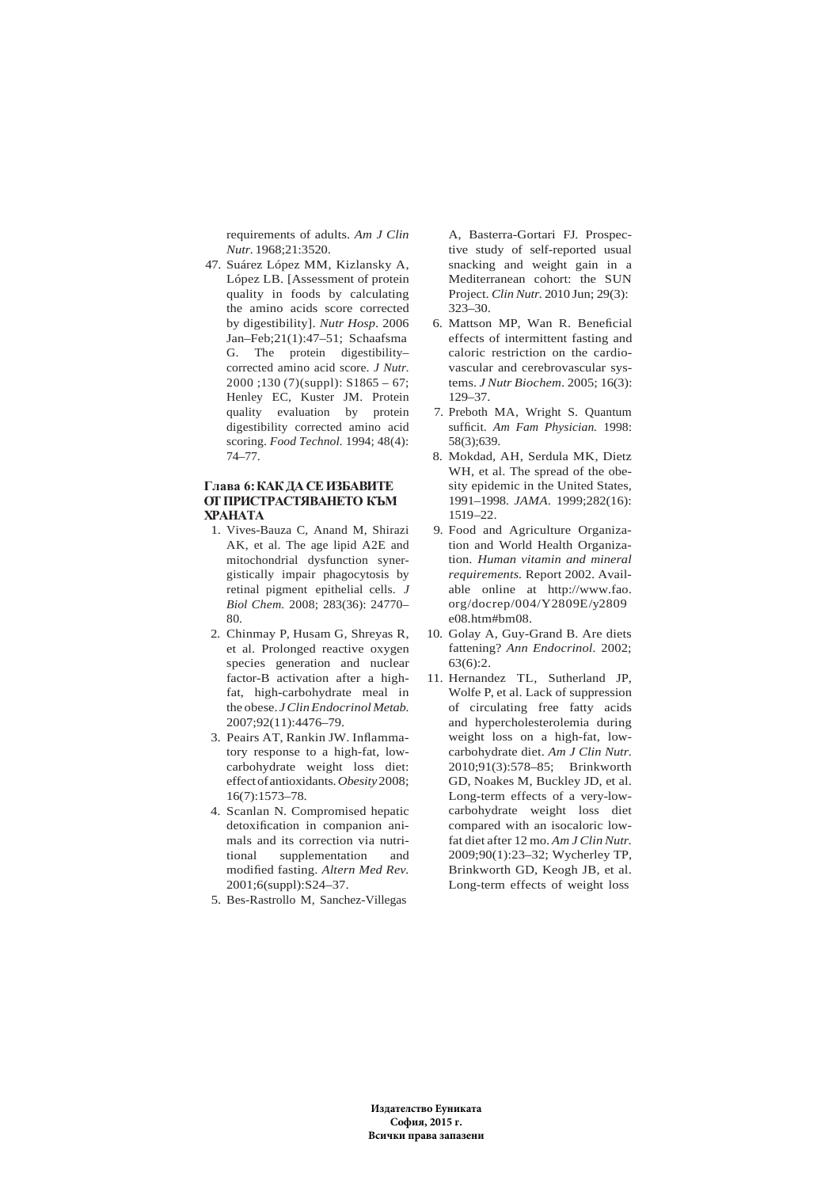requirements of adults. *Am J Clin Nutr.* 1968;21:3520.

47. Suárez López MM, Kizlansky A, López LB. [Assessment of protein quality in foods by calculating the amino acids score corrected by digestibility]. *Nutr Hosp*. 2006 Jan–Feb;21(1):47–51; Schaafsma G. The protein digestibility– corrected amino acid score. *J Nutr.* 2000 ;130 (7)(suppl): S1865 – 67; Henley EC, Kuster JM. Protein quality evaluation by protein digestibility corrected amino acid scoring. *Food Technol.* 1994; 48(4): 74–77.

# **Глава 6: КАК ДА СЕ ИЗБАВИТЕ ОТ ПРИСТРАСТЯВАНЕТО КЪМ ХРАНАТА**

- 1. Vives-Bauza C, Anand M, Shirazi AK, et al. The age lipid A2E and mitochondrial dysfunction synergistically impair phagocytosis by retinal pigment epithelial cells. *J Biol Chem.* 2008; 283(36): 24770– 80.
- 2. Chinmay P, Husam G, Shreyas R, et al. Prolonged reactive oxygen species generation and nuclear factor-B activation after a highfat, high-carbohydrate meal in the obese. *J Clin Endocrinol Metab.* 2007;92(11):4476–79.
- 3. Peairs AT, Rankin JW. Inflammatory response to a high-fat, lowcarbohydrate weight loss diet: effect of antioxidants. *Obesity* 2008; 16(7):1573–78.
- 4. Scanlan N. Compromised hepatic detoxification in companion animals and its correction via nutritional supplementation and modified fasting. *Altern Med Rev.* 2001;6(suppl):S24–37.
- 5. Bes-Rastrollo M, Sanchez-Villegas

A, Basterra-Gortari FJ. Prospective study of self-reported usual snacking and weight gain in a Mediterranean cohort: the SUN Project. *Clin Nutr.* 2010 Jun; 29(3): 323–30.

- 6. Mattson MP, Wan R. Beneficial effects of intermittent fasting and caloric restriction on the cardiovascular and cerebrovascular systems. *J Nutr Biochem*. 2005; 16(3): 129–37.
- 7. Preboth MA, Wright S. Quantum sufficit. *Am Fam Physician.* 1998:  $58(3)$ ;639
- 8. Mokdad, AH, Serdula MK, Dietz WH, et al. The spread of the obesity epidemic in the United States, 1991–1998. *JAMA*. 1999;282(16): 1519–22.
- 9. Food and Agriculture Organization and World Health Organization. *Human vitamin and mineral requirements.* Report 2002. Available online at http://www.fao. org/docrep/004/Y2809E/y2809 e08.htm#bm08.
- 10. Golay A, Guy-Grand B. Are diets fattening? *Ann Endocrinol.* 2002; 63(6):2.
- 11. Hernandez TL, Sutherland JP, Wolfe P, et al. Lack of suppression of circulating free fatty acids and hypercholesterolemia during weight loss on a high-fat, lowcarbohydrate diet. *Am J Clin Nutr.* 2010;91(3):578–85; Brinkworth GD, Noakes M, Buckley JD, et al. Long-term effects of a very-lowcarbohydrate weight loss diet compared with an isocaloric lowfat diet after 12 mo. *Am J Clin Nutr.* 2009;90(1):23–32; Wycherley TP, Brinkworth GD, Keogh JB, et al. Long-term effects of weight loss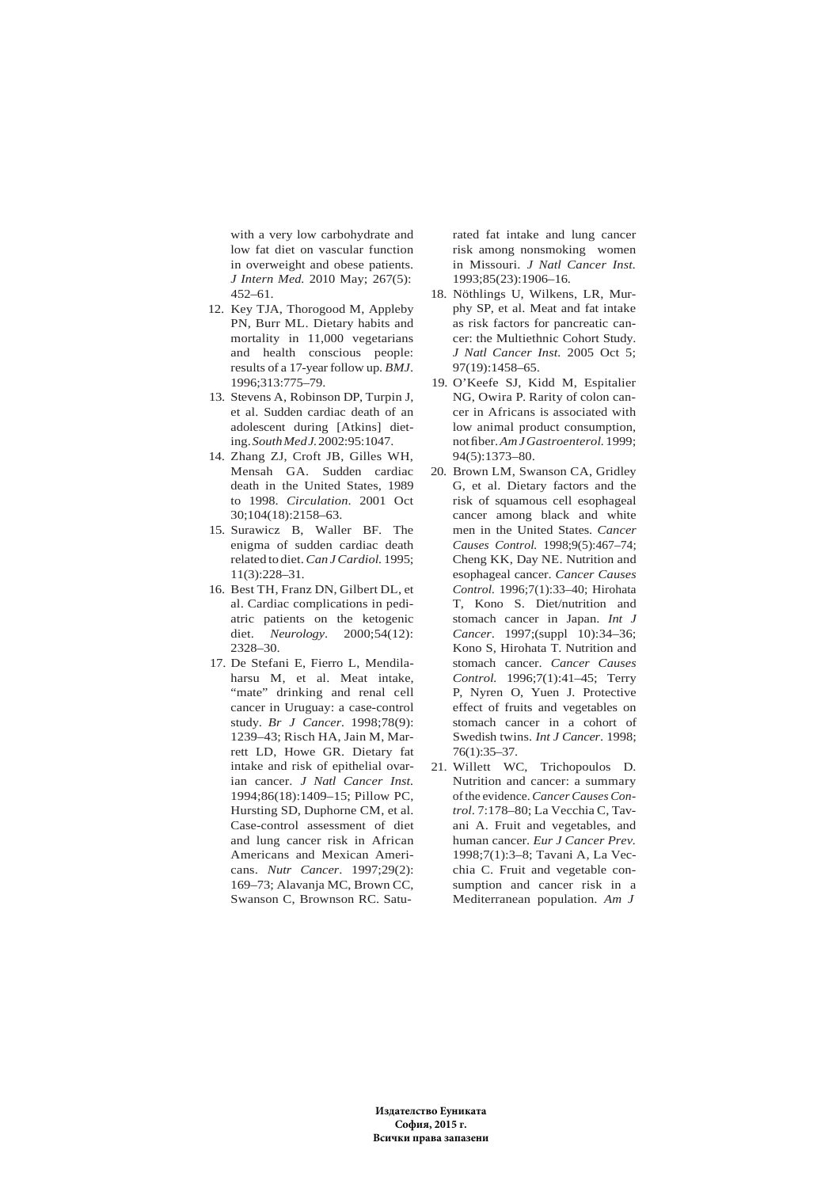with a very low carbohydrate and low fat diet on vascular function in overweight and obese patients. *J Intern Med.* 2010 May; 267(5): 452–61.

- 12. Key TJA, Thorogood M, Appleby PN, Burr ML. Dietary habits and mortality in 11,000 vegetarians and health conscious people: results of a 17-year follow up. *BMJ*. 1996;313:775–79.
- 13. Stevens A, Robinson DP, Turpin J, et al. Sudden cardiac death of an adolescent during [Atkins] dieting. *South Med J.* 2002:95:1047.
- 14. Zhang ZJ, Croft JB, Gilles WH, Mensah GA. Sudden cardiac death in the United States, 1989 to 1998. *Circulation*. 2001 Oct 30;104(18):2158–63.
- 15. Surawicz B, Waller BF. The enigma of sudden cardiac death related to diet. *Can J Cardiol.* 1995; 11(3):228–31.
- 16. Best TH, Franz DN, Gilbert DL, et al. Cardiac complications in pediatric patients on the ketogenic diet. *Neurology*. 2000;54(12): 2328–30.
- 17. De Stefani E, Fierro L, Mendilaharsu M, et al. Meat intake, "mate" drinking and renal cell cancer in Uruguay: a case-control study. *Br J Cancer.* 1998;78(9): 1239–43; Risch HA, Jain M, Marrett LD, Howe GR. Dietary fat intake and risk of epithelial ovarian cancer. *J Natl Cancer Inst.* 1994;86(18):1409–15; Pillow PC, Hursting SD, Duphorne CM, et al. Case-control assessment of diet and lung cancer risk in African Americans and Mexican Americans. *Nutr Cancer*. 1997;29(2): 169–73; Alavanja MC, Brown CC, Swanson C, Brownson RC. Satu-

rated fat intake and lung cancer risk among nonsmoking women in Missouri. *J Natl Cancer Inst.* 1993;85(23):1906–16.

- 18. Nöthlings U, Wilkens, LR, Murphy SP, et al. Meat and fat intake as risk factors for pancreatic cancer: the Multiethnic Cohort Study. *J Natl Cancer Inst.* 2005 Oct 5; 97(19):1458–65.
- 19. O'Keefe SJ, Kidd M, Espitalier NG, Owira P. Rarity of colon cancer in Africans is associated with low animal product consumption, not fiber. *Am J Gastroenterol.* 1999; 94(5):1373–80.
- 20. Brown LM, Swanson CA, Gridley G, et al. Dietary factors and the risk of squamous cell esophageal cancer among black and white men in the United States. *Cancer Causes Control.* 1998;9(5):467–74; Cheng KK, Day NE. Nutrition and esophageal cancer. *Cancer Causes Control.* 1996;7(1):33–40; Hirohata T, Kono S. Diet/nutrition and stomach cancer in Japan. *Int J Cancer*. 1997;(suppl 10):34–36; Kono S, Hirohata T. Nutrition and stomach cancer. *Cancer Causes Control.* 1996;7(1):41–45; Terry P, Nyren O, Yuen J. Protective effect of fruits and vegetables on stomach cancer in a cohort of Swedish twins. *Int J Cancer*. 1998; 76(1):35–37.
- 21. Willett WC, Trichopoulos D. Nutrition and cancer: a summary of the evidence. *Cancer Causes Control*. 7:178–80; La Vecchia C, Tavani A. Fruit and vegetables, and human cancer. *Eur J Cancer Prev.* 1998;7(1):3–8; Tavani A, La Vecchia C. Fruit and vegetable consumption and cancer risk in a Mediterranean population. *Am J*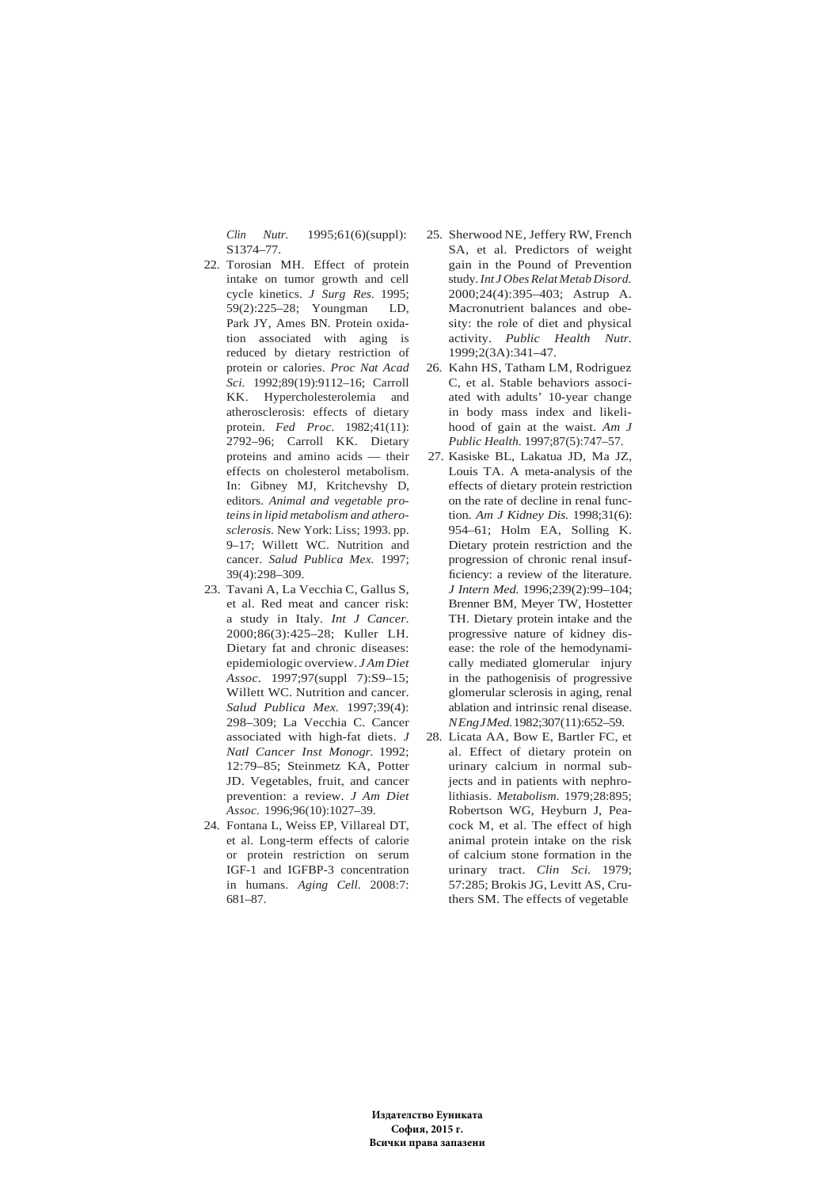*Clin Nutr.* 1995;61(6)(suppl): S1374–77.

- 22. Torosian MH. Effect of protein intake on tumor growth and cell cycle kinetics. *J Surg Res.* 1995; 59(2):225–28; Youngman LD, Park JY, Ames BN. Protein oxidation associated with aging is reduced by dietary restriction of protein or calories. *Proc Nat Acad Sci.* 1992;89(19):9112–16; Carroll KK. Hypercholesterolemia and atherosclerosis: effects of dietary protein. *Fed Proc.* 1982;41(11): 2792–96; Carroll KK. Dietary proteins and amino acids — their effects on cholesterol metabolism. In: Gibney MJ, Kritchevshy D, editors. *Animal and vegetable proteins in lipid metabolism and atherosclerosis.* New York: Liss; 1993. pp. 9–17; Willett WC. Nutrition and cancer. *Salud Publica Mex.* 1997; 39(4):298–309.
- 23. Tavani A, La Vecchia C, Gallus S, et al. Red meat and cancer risk: a study in Italy. *Int J Cancer*. 2000;86(3):425–28; Kuller LH. Dietary fat and chronic diseases: epidemiologic overview. *J Am Diet Assoc.* 1997;97(suppl 7):S9–15; Willett WC. Nutrition and cancer. *Salud Publica Mex.* 1997;39(4): 298–309; La Vecchia C. Cancer associated with high-fat diets. *J Natl Cancer Inst Monogr.* 1992; 12:79–85; Steinmetz KA, Potter JD. Vegetables, fruit, and cancer prevention: a review. *J Am Diet Assoc.* 1996;96(10):1027–39.
- 24. Fontana L, Weiss EP, Villareal DT, et al. Long-term effects of calorie or protein restriction on serum IGF-1 and IGFBP-3 concentration in humans. *Aging Cell*. 2008:7: 681–87.
- 25. Sherwood NE, Jeffery RW, French SA, et al. Predictors of weight gain in the Pound of Prevention study. *Int J Obes Relat Metab Disord.* 2000;24(4):395–403; Astrup A. Macronutrient balances and obesity: the role of diet and physical activity. *Public Health Nutr.* 1999;2(3A):341–47.
- 26. Kahn HS, Tatham LM, Rodriguez C, et al. Stable behaviors associated with adults' 10-year change in body mass index and likelihood of gain at the waist. *Am J Public Health*. 1997;87(5):747–57.
- 27. Kasiske BL, Lakatua JD, Ma JZ, Louis TA. A meta-analysis of the effects of dietary protein restriction on the rate of decline in renal function. *Am J Kidney Dis.* 1998;31(6): 954–61; Holm EA, Solling K. Dietary protein restriction and the progression of chronic renal insufficiency: a review of the literature. *J Intern Med.* 1996;239(2):99–104; Brenner BM, Meyer TW, Hostetter TH. Dietary protein intake and the progressive nature of kidney disease: the role of the hemodynamically mediated glomerular injury in the pathogenisis of progressive glomerular sclerosis in aging, renal ablation and intrinsic renal disease. *N Eng J Med.* 1982;307(11):652–59.
- 28. Licata AA, Bow E, Bartler FC, et al. Effect of dietary protein on urinary calcium in normal subjects and in patients with nephrolithiasis. *Metabolism*. 1979;28:895; Robertson WG, Heyburn J, Peacock M, et al. The effect of high animal protein intake on the risk of calcium stone formation in the urinary tract. *Clin Sci.* 1979; 57:285; Brokis JG, Levitt AS, Cruthers SM. The effects of vegetable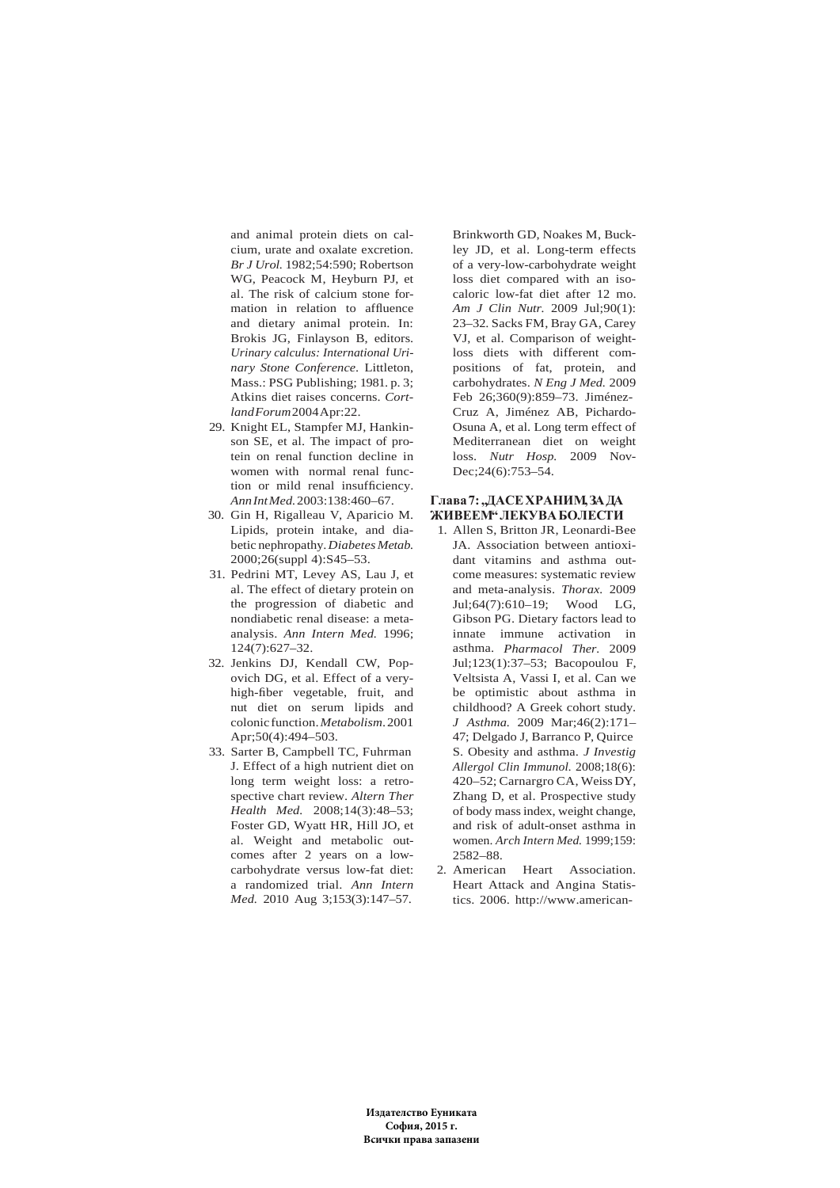and animal protein diets on calcium, urate and oxalate excretion. *Br J Urol.* 1982;54:590; Robertson WG, Peacock M, Heyburn PJ, et al. The risk of calcium stone formation in relation to affluence and dietary animal protein. In: Brokis JG, Finlayson B, editors. *Urinary calculus: International Urinary Stone Conference*. Littleton, Mass.: PSG Publishing; 1981. p. 3; Atkins diet raises concerns. *Cortland Forum* 2004 Apr:22.

- 29. Knight EL, Stampfer MJ, Hankinson SE, et al. The impact of protein on renal function decline in women with normal renal function or mild renal insufficiency. *Ann Int Med.* 2003:138:460–67.
- 30. Gin H, Rigalleau V, Aparicio M. Lipids, protein intake, and diabetic nephropathy. *Diabetes Metab.* 2000;26(suppl 4):S45–53.
- 31. Pedrini MT, Levey AS, Lau J, et al. The effect of dietary protein on the progression of diabetic and nondiabetic renal disease: a metaanalysis. *Ann Intern Med.* 1996; 124(7):627–32.
- 32. Jenkins DJ, Kendall CW, Popovich DG, et al. Effect of a veryhigh-fiber vegetable, fruit, and nut diet on serum lipids and colonic function. *Metabolism*. 2001 Apr; 50(4): 494-503.
- 33. Sarter B, Campbell TC, Fuhrman J. Effect of a high nutrient diet on long term weight loss: a retrospective chart review. *Altern Ther Health Med.* 2008;14(3):48–53; Foster GD, Wyatt HR, Hill JO, et al. Weight and metabolic outcomes after 2 years on a lowcarbohydrate versus low-fat diet: a randomized trial. *Ann Intern Med.* 2010 Aug 3;153(3):147–57.

Brinkworth GD, Noakes M, Buckley JD, et al. Long-term effects of a very-low-carbohydrate weight loss diet compared with an isocaloric low-fat diet after 12 mo. *Am J Clin Nutr.* 2009 Jul;90(1): 23–32. Sacks FM, Bray GA, Carey VJ, et al. Comparison of weightloss diets with different compositions of fat, protein, and carbohydrates. *N Eng J Med.* 2009 Feb 26;360(9):859–73. Jiménez-Cruz A, Jiménez AB, Pichardo-Osuna A, et al. Long term effect of Mediterranean diet on weight loss. *Nutr Hosp.* 2009 Nov-Dec; 24(6): 753-54.

### $\Gamma$ Лава 7: "ДАСЕ ХРАНИМ, ЗА ДА **ЖИВЕЕМ" ЛЕКУВА БОЛЕСТИ**

- 1. Allen S, Britton JR, Leonardi-Bee JA. Association between antioxidant vitamins and asthma outcome measures: systematic review and meta-analysis. *Thorax.* 2009 Jul;64(7):610–19; Wood LG, Gibson PG. Dietary factors lead to innate immune activation in asthma. *Pharmacol Ther.* 2009 Jul;123(1):37–53; Bacopoulou F, Veltsista A, Vassi I, et al. Can we be optimistic about asthma in childhood? A Greek cohort study. *J Asthma.* 2009 Mar;46(2):171– 47; Delgado J, Barranco P, Quirce S. Obesity and asthma. *J Investig Allergol Clin Immunol.* 2008;18(6): 420–52; Carnargro CA, Weiss DY, Zhang D, et al. Prospective study of body mass index, weight change, and risk of adult-onset asthma in women. *Arch Intern Med.* 1999;159: 2582–88.
- 2. American Heart Association. Heart Attack and Angina Statistics. 2006. http://www.american-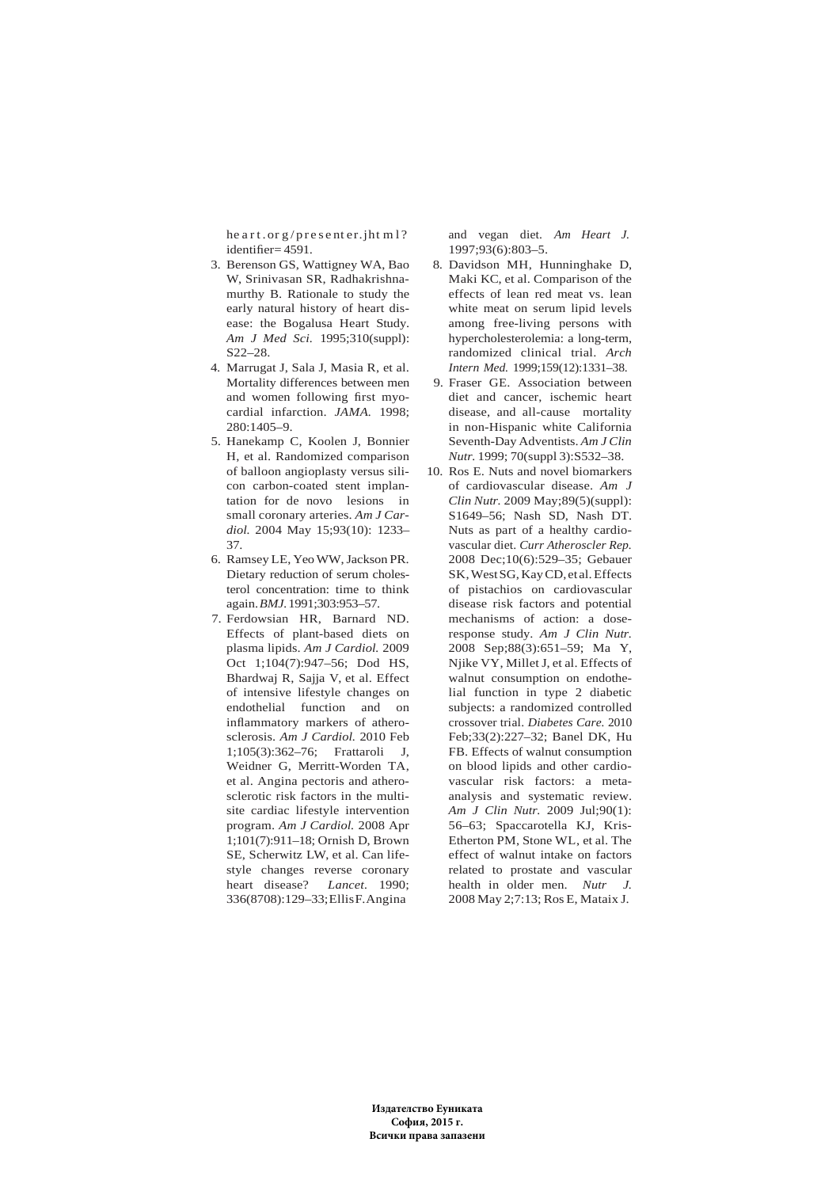he art. or g/presenter.jht m1? identifier= 4591.

- 3. Berenson GS, Wattigney WA, Bao W, Srinivasan SR, Radhakrishnamurthy B. Rationale to study the early natural history of heart disease: the Bogalusa Heart Study. *Am J Med Sci.* 1995;310(suppl): S22–28.
- 4. Marrugat J, Sala J, Masia R, et al. Mortality differences between men and women following first myocardial infarction. *JAMA.* 1998; 280:1405–9.
- 5. Hanekamp C, Koolen J, Bonnier H, et al. Randomized comparison of balloon angioplasty versus silicon carbon-coated stent implantation for de novo lesions in small coronary arteries. *Am J Cardiol.* 2004 May 15;93(10): 1233– 37.
- 6. Ramsey LE, Yeo WW, Jackson PR. Dietary reduction of serum cholesterol concentration: time to think again. *BMJ.* 1991;303:953–57.
- 7. Ferdowsian HR, Barnard ND. Effects of plant-based diets on plasma lipids. *Am J Cardiol.* 2009 Oct 1;104(7):947–56; Dod HS, Bhardwaj R, Sajja V, et al. Effect of intensive lifestyle changes on endothelial function and on inflammatory markers of atherosclerosis. *Am J Cardiol.* 2010 Feb 1;105(3):362–76; Frattaroli J, Weidner G, Merritt-Worden TA, et al. Angina pectoris and atherosclerotic risk factors in the multisite cardiac lifestyle intervention program. *Am J Cardiol.* 2008 Apr 1;101(7):911–18; Ornish D, Brown SE, Scherwitz LW, et al. Can lifestyle changes reverse coronary heart disease? *Lancet.* 1990; 336(8708):129–33; Ellis F. Angina

and vegan diet. *Am Heart J.* 1997;93(6):803–5.

- 8. Davidson MH, Hunninghake D, Maki KC, et al. Comparison of the effects of lean red meat vs. lean white meat on serum lipid levels among free-living persons with hypercholesterolemia: a long-term, randomized clinical trial. *Arch Intern Med.* 1999;159(12):1331–38.
- 9. Fraser GE. Association between diet and cancer, ischemic heart disease, and all-cause mortality in non-Hispanic white California Seventh-Day Adventists. *Am J Clin Nutr.* 1999; 70(suppl 3):S532–38.
- 10. Ros E. Nuts and novel biomarkers of cardiovascular disease. *Am J Clin Nutr.* 2009 May;89(5)(suppl): S1649–56; Nash SD, Nash DT. Nuts as part of a healthy cardiovascular diet. *Curr Atheroscler Rep.* 2008 Dec;10(6):529–35; Gebauer SK, West SG, Kay CD, et al. Effects of pistachios on cardiovascular disease risk factors and potential mechanisms of action: a doseresponse study. *Am J Clin Nutr.* 2008 Sep;88(3):651–59; Ma Y, Njike VY, Millet J, et al. Effects of walnut consumption on endothelial function in type 2 diabetic subjects: a randomized controlled crossover trial. *Diabetes Care.* 2010 Feb;33(2):227–32; Banel DK, Hu FB. Effects of walnut consumption on blood lipids and other cardiovascular risk factors: a metaanalysis and systematic review. *Am J Clin Nutr.* 2009 Jul;90(1): 56–63; Spaccarotella KJ, Kris-Etherton PM, Stone WL, et al. The effect of walnut intake on factors related to prostate and vascular health in older men. *Nutr J.* 2008 May 2;7:13; Ros E, Mataix J.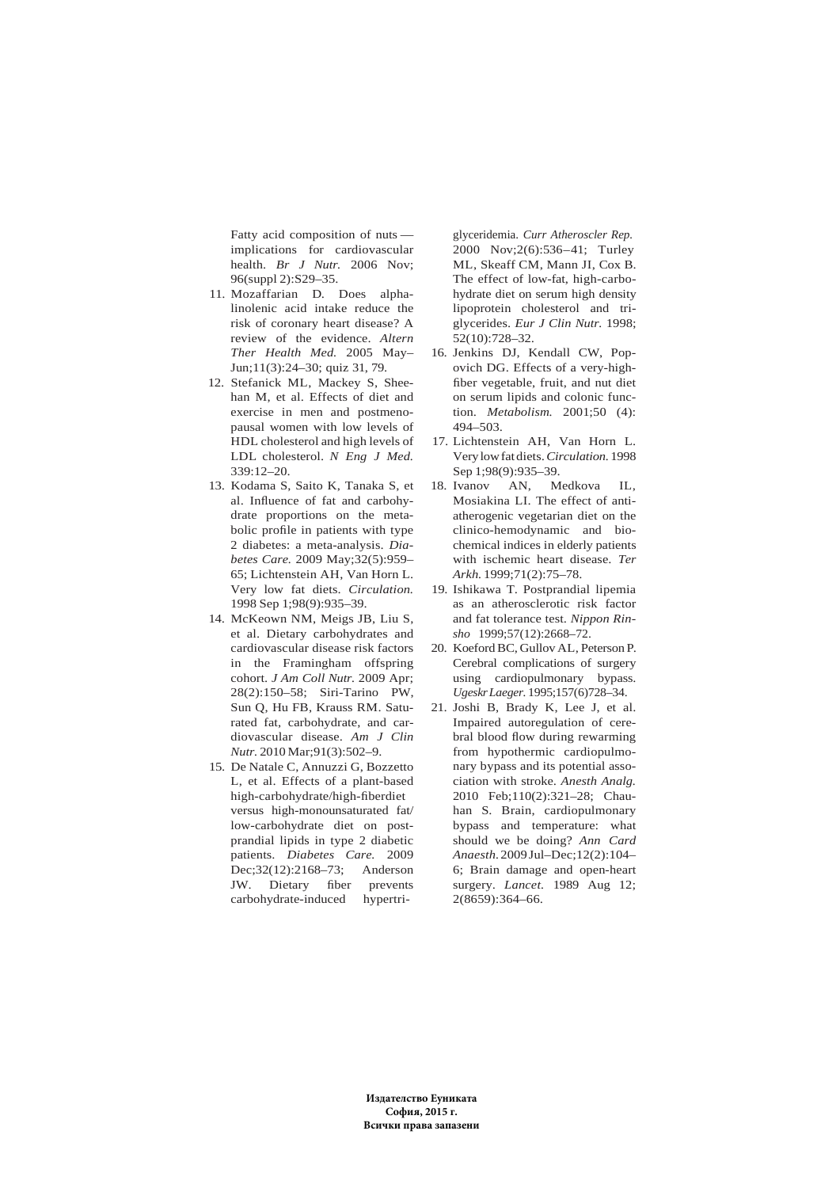Fatty acid composition of nuts implications for cardiovascular health. *Br J Nutr.* 2006 Nov; 96(suppl 2):S29–35.

- 11. Mozaffarian D. Does alphalinolenic acid intake reduce the risk of coronary heart disease? A review of the evidence. *Altern Ther Health Med.* 2005 May– Jun;11(3):24–30; quiz 31, 79.
- 12. Stefanick ML, Mackey S, Sheehan M, et al. Effects of diet and exercise in men and postmenopausal women with low levels of HDL cholesterol and high levels of LDL cholesterol. *N Eng J Med.* 339:12–20.
- 13. Kodama S, Saito K, Tanaka S, et al. Influence of fat and carbohydrate proportions on the metabolic profile in patients with type 2 diabetes: a meta-analysis. *Diabetes Care.* 2009 May;32(5):959– 65; Lichtenstein AH, Van Horn L. Very low fat diets. *Circulation.* 1998 Sep 1;98(9):935–39.
- 14. McKeown NM, Meigs JB, Liu S, et al. Dietary carbohydrates and cardiovascular disease risk factors in the Framingham offspring cohort. *J Am Coll Nutr.* 2009 Apr; 28(2):150–58; Siri-Tarino PW, Sun Q, Hu FB, Krauss RM. Saturated fat, carbohydrate, and cardiovascular disease. *Am J Clin Nutr.* 2010 Mar;91(3):502–9.
- 15. De Natale C, Annuzzi G, Bozzetto L, et al. Effects of a plant-based high-carbohydrate/high-fiberdiet versus high-monounsaturated fat/ low-carbohydrate diet on postprandial lipids in type 2 diabetic patients. *Diabetes Care.* 2009 Dec;32(12):2168–73; Anderson JW. Dietary fiber prevents carbohydrate-induced hypertri-

glyceridemia. *Curr Atheroscler Rep.* 2000 Nov;2(6):536–41; Turley ML, Skeaff CM, Mann JI, Cox B. The effect of low-fat, high-carbohydrate diet on serum high density lipoprotein cholesterol and triglycerides. *Eur J Clin Nutr.* 1998; 52(10):728–32.

- 16. Jenkins DJ, Kendall CW, Popovich DG. Effects of a very-highfiber vegetable, fruit, and nut diet on serum lipids and colonic function. *Metabolism.* 2001;50 (4): 494–503.
- 17. Lichtenstein AH, Van Horn L. Very low fat diets. *Circulation.* 1998 Sep 1;98(9):935–39.
- 18. Ivanov AN, Medkova IL, Mosiakina LI. The effect of antiatherogenic vegetarian diet on the clinico-hemodynamic and biochemical indices in elderly patients with ischemic heart disease. *Ter Arkh.* 1999;71(2):75–78.
- 19. Ishikawa T. Postprandial lipemia as an atherosclerotic risk factor and fat tolerance test. *Nippon Rinsho* 1999;57(12):2668–72.
- 20. Koeford BC, Gullov AL, Peterson P. Cerebral complications of surgery using cardiopulmonary bypass. *Ugeskr Laeger.* 1995;157(6)728–34.
- 21. Joshi B, Brady K, Lee J, et al. Impaired autoregulation of cerebral blood flow during rewarming from hypothermic cardiopulmonary bypass and its potential association with stroke. *Anesth Analg.* 2010 Feb;110(2):321–28; Chauhan S. Brain, cardiopulmonary bypass and temperature: what should we be doing? *Ann Card Anaesth.* 2009 Jul–Dec;12(2):104– 6; Brain damage and open-heart surgery. *Lancet.* 1989 Aug 12; 2(8659):364–66.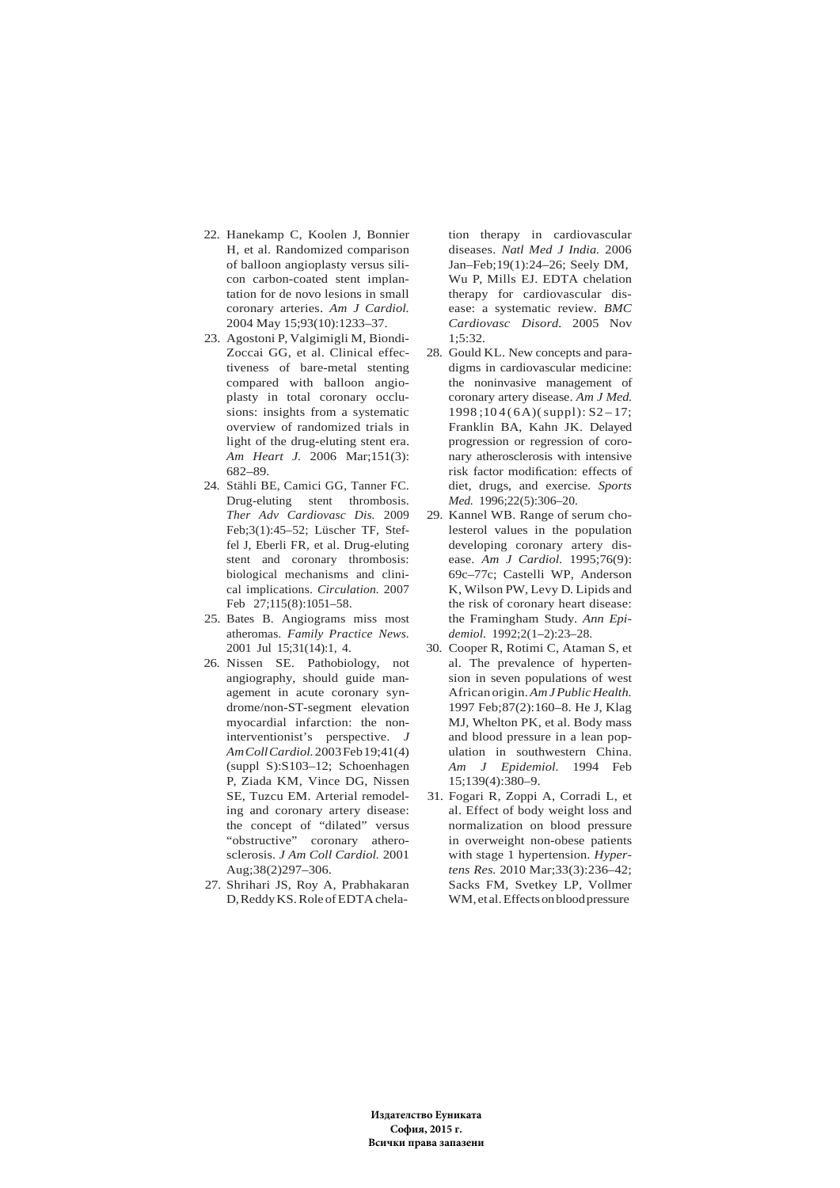- 22. Hanekamp C, Koolen J, Bonnier H, et al. Randomized comparison of balloon angioplasty versus silicon carbon-coated stent implantation for de novo lesions in small coronary arteries. *Am J Cardiol.* 2004 May 15;93(10):1233–37.
- 23. Agostoni P, Valgimigli M, Biondi-Zoccai GG, et al. Clinical effectiveness of bare-metal stenting compared with balloon angioplasty in total coronary occlusions: insights from a systematic overview of randomized trials in light of the drug-eluting stent era. *Am Heart J.* 2006 Mar;151(3): 682–89.
- 24. Stähli BE, Camici GG, Tanner FC. Drug-eluting stent thrombosis. *Ther Adv Cardiovasc Dis.* 2009 Feb;3(1):45–52; Lüscher TF, Steffel J, Eberli FR, et al. Drug-eluting stent and coronary thrombosis: biological mechanisms and clinical implications. *Circulation.* 2007 Feb 27;115(8):1051–58.
- 25. Bates B. Angiograms miss most atheromas. *Family Practice News.* 2001 Jul 15;31(14):1, 4.
- 26. Nissen SE. Pathobiology, not angiography, should guide management in acute coronary syndrome/non-ST-segment elevation myocardial infarction: the noninterventionist's perspective. *J Am Coll Cardiol.* 2003 Feb 19;41(4) (suppl S):S103–12; Schoenhagen P, Ziada KM, Vince DG, Nissen SE, Tuzcu EM. Arterial remodeling and coronary artery disease: the concept of "dilated" versus "obstructive" coronary atherosclerosis. *J Am Coll Cardiol.* 2001 Aug;38(2)297–306.
- 27. Shrihari JS, Roy A, Prabhakaran D, Reddy KS. Role of EDTA chela-

tion therapy in cardiovascular diseases. *Natl Med J India.* 2006 Jan–Feb;19(1):24–26; Seely DM, Wu P, Mills EJ. EDTA chelation therapy for cardiovascular disease: a systematic review. *BMC Cardiovasc Disord.* 2005 Nov  $1:5:32$ .

- 28. Gould KL. New concepts and paradigms in cardiovascular medicine: the noninvasive management of coronary artery disease. *Am J Med.*  $1998$ ;  $104(6A)$ (suppl):  $S2-17$ ; Franklin BA, Kahn JK. Delayed progression or regression of coronary atherosclerosis with intensive risk factor modification: effects of diet, drugs, and exercise. *Sports Med.* 1996;22(5):306–20.
- 29. Kannel WB. Range of serum cholesterol values in the population developing coronary artery disease. *Am J Cardiol.* 1995;76(9): 69c–77c; Castelli WP, Anderson K, Wilson PW, Levy D. Lipids and the risk of coronary heart disease: the Framingham Study. *Ann Epidemiol.* 1992;2(1–2):23–28.
- 30. Cooper R, Rotimi C, Ataman S, et al. The prevalence of hypertension in seven populations of west African origin. *Am J Public Health.* 1997 Feb;87(2):160–8. He J, Klag MJ, Whelton PK, et al. Body mass and blood pressure in a lean population in southwestern China. *Am J Epidemiol.* 1994 Feb 15;139(4):380–9.
- 31. Fogari R, Zoppi A, Corradi L, et al. Effect of body weight loss and normalization on blood pressure in overweight non-obese patients with stage 1 hypertension. *Hypertens Res.* 2010 Mar;33(3):236–42; Sacks FM, Svetkey LP, Vollmer WM, et al. Effects on blood pressure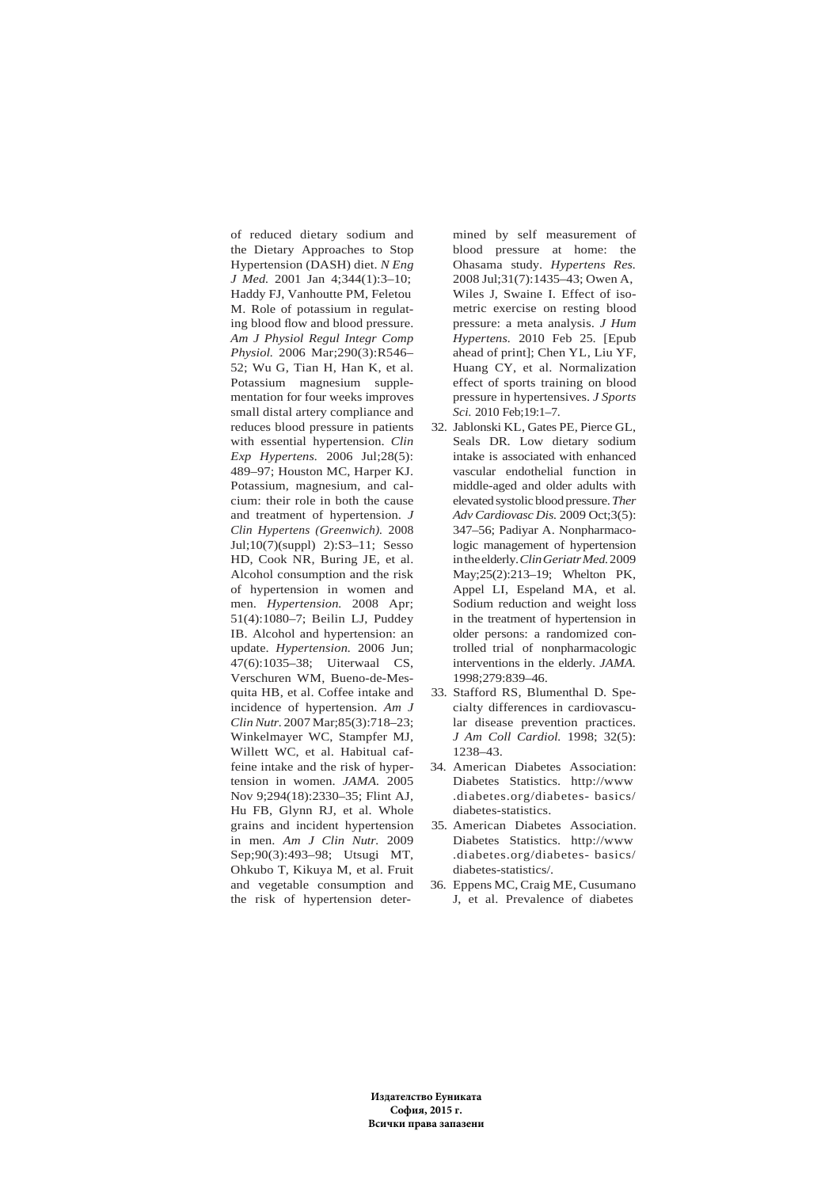of reduced dietary sodium and the Dietary Approaches to Stop Hypertension (DASH) diet. *N Eng J Med.* 2001 Jan 4;344(1):3–10; Haddy FJ, Vanhoutte PM, Feletou M. Role of potassium in regulating blood flow and blood pressure. *Am J Physiol Regul Integr Comp Physiol.* 2006 Mar;290(3):R546– 52; Wu G, Tian H, Han K, et al. Potassium magnesium supplementation for four weeks improves small distal artery compliance and reduces blood pressure in patients with essential hypertension. *Clin Exp Hypertens.* 2006 Jul;28(5): 489–97; Houston MC, Harper KJ. Potassium, magnesium, and calcium: their role in both the cause and treatment of hypertension. *J Clin Hypertens (Greenwich).* 2008 Jul;10(7)(suppl) 2):S3–11; Sesso HD, Cook NR, Buring JE, et al. Alcohol consumption and the risk of hypertension in women and men. *Hypertension.* 2008 Apr; 51(4):1080–7; Beilin LJ, Puddey IB. Alcohol and hypertension: an update. *Hypertension.* 2006 Jun; 47(6):1035–38; Uiterwaal CS, Verschuren WM, Bueno-de-Mesquita HB, et al. Coffee intake and incidence of hypertension. *Am J Clin Nutr.* 2007 Mar;85(3):718–23; Winkelmayer WC, Stampfer MJ, Willett WC, et al. Habitual caffeine intake and the risk of hypertension in women. *JAMA.* 2005 Nov 9;294(18):2330–35; Flint AJ, Hu FB, Glynn RJ, et al. Whole grains and incident hypertension in men. *Am J Clin Nutr.* 2009 Sep;90(3):493–98; Utsugi MT, Ohkubo T, Kikuya M, et al. Fruit and vegetable consumption and the risk of hypertension deter-

mined by self measurement of blood pressure at home: the Ohasama study. *Hypertens Res.* 2008 Jul;31(7):1435–43; Owen A, Wiles J, Swaine I. Effect of isometric exercise on resting blood pressure: a meta analysis. *J Hum Hypertens.* 2010 Feb 25. [Epub ahead of print]; Chen YL, Liu YF, Huang CY, et al. Normalization effect of sports training on blood pressure in hypertensives. *J Sports Sci.* 2010 Feb;19:1–7.

- 32. Jablonski KL, Gates PE, Pierce GL, Seals DR. Low dietary sodium intake is associated with enhanced vascular endothelial function in middle-aged and older adults with elevated systolic blood pressure. *Ther Adv Cardiovasc Dis.* 2009 Oct;3(5): 347–56; Padiyar A. Nonpharmacologic management of hypertension in the elderly. *Clin Geriatr Med.* 2009 May;25(2):213–19; Whelton PK, Appel LI, Espeland MA, et al. Sodium reduction and weight loss in the treatment of hypertension in older persons: a randomized controlled trial of nonpharmacologic interventions in the elderly. *JAMA.* 1998;279:839–46.
- 33. Stafford RS, Blumenthal D. Specialty differences in cardiovascular disease prevention practices. *J Am Coll Cardiol.* 1998; 32(5): 1238–43.
- 34. American Diabetes Association: Diabetes Statistics. http://www .diabetes.org/diabetes- basics/ diabetes-statistics.
- 35. American Diabetes Association. Diabetes Statistics. http://www .diabetes.org/diabetes- basics/ diabetes-statistics/.
- 36. Eppens MC, Craig ME, Cusumano J, et al. Prevalence of diabetes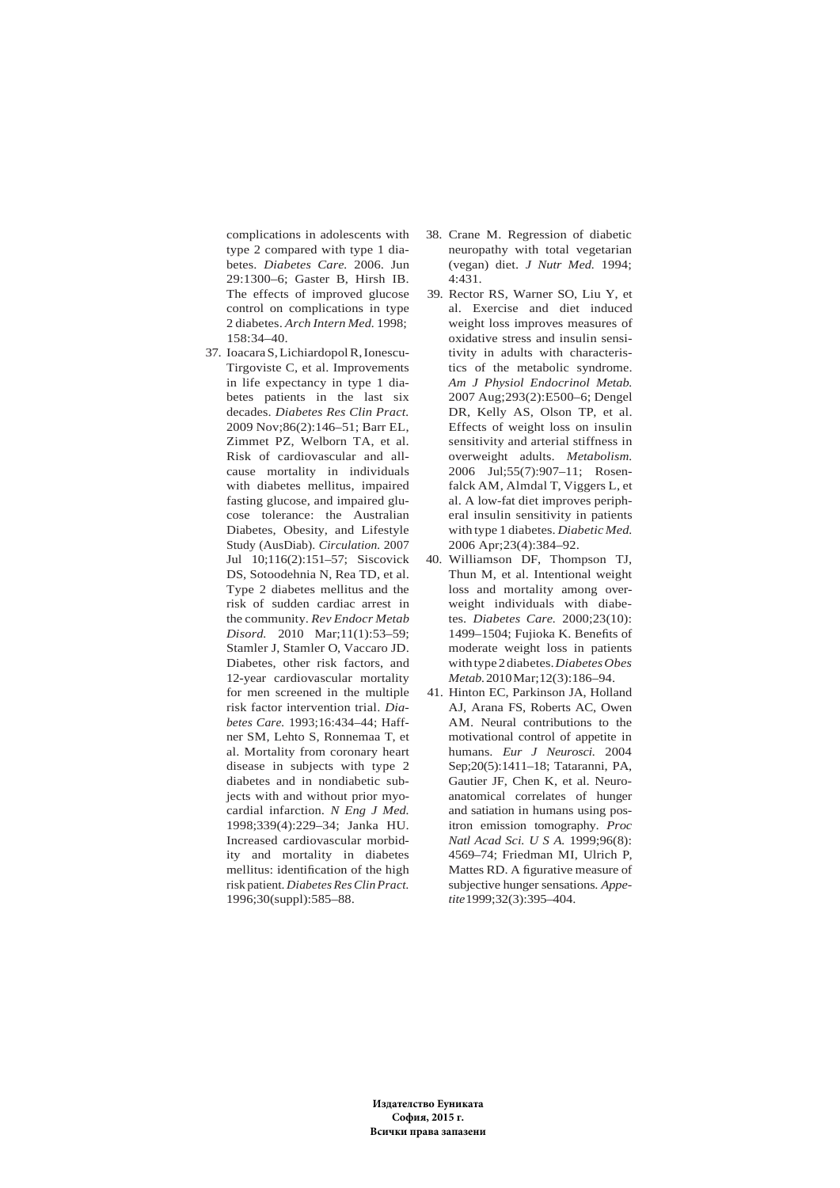complications in adolescents with type 2 compared with type 1 diabetes. *Diabetes Care.* 2006. Jun 29:1300–6; Gaster B, Hirsh IB. The effects of improved glucose control on complications in type 2 diabetes. *Arch Intern Med.* 1998; 158:34–40.

- 37. Ioacara S, Lichiardopol R, Ionescu-Tirgoviste C, et al. Improvements in life expectancy in type 1 diabetes patients in the last six decades. *Diabetes Res Clin Pract.* 2009 Nov;86(2):146–51; Barr EL, Zimmet PZ, Welborn TA, et al. Risk of cardiovascular and allcause mortality in individuals with diabetes mellitus, impaired fasting glucose, and impaired glucose tolerance: the Australian Diabetes, Obesity, and Lifestyle Study (AusDiab). *Circulation.* 2007 Jul 10;116(2):151–57; Siscovick DS, Sotoodehnia N, Rea TD, et al. Type 2 diabetes mellitus and the risk of sudden cardiac arrest in the community. *Rev Endocr Metab Disord.* 2010 Mar;11(1):53–59; Stamler J, Stamler O, Vaccaro JD. Diabetes, other risk factors, and 12-year cardiovascular mortality for men screened in the multiple risk factor intervention trial. *Diabetes Care.* 1993;16:434–44; Haffner SM, Lehto S, Ronnemaa T, et al. Mortality from coronary heart disease in subjects with type 2 diabetes and in nondiabetic subjects with and without prior myocardial infarction. *N Eng J Med.* 1998;339(4):229–34; Janka HU. Increased cardiovascular morbidity and mortality in diabetes mellitus: identification of the high risk patient. *Diabetes Res Clin Pract.* 1996;30(suppl):585–88.
- 38. Crane M. Regression of diabetic neuropathy with total vegetarian (vegan) diet. *J Nutr Med.* 1994; 4:431.
- 39. Rector RS, Warner SO, Liu Y, et al. Exercise and diet induced weight loss improves measures of oxidative stress and insulin sensitivity in adults with characteristics of the metabolic syndrome. *Am J Physiol Endocrinol Metab.* 2007 Aug;293(2):E500–6; Dengel DR, Kelly AS, Olson TP, et al. Effects of weight loss on insulin sensitivity and arterial stiffness in overweight adults. *Metabolism.* 2006 Jul;55(7):907–11; Rosenfalck AM, Almdal T, Viggers L, et al. A low-fat diet improves peripheral insulin sensitivity in patients with type 1 diabetes. *Diabetic Med.* 2006 Apr;23(4):384–92.
- 40. Williamson DF, Thompson TJ, Thun M, et al. Intentional weight loss and mortality among overweight individuals with diabetes. *Diabetes Care.* 2000;23(10): 1499–1504; Fujioka K. Benefits of moderate weight loss in patients with type 2 diabetes. *Diabetes Obes Metab.* 2010 Mar;12(3):186–94.
- 41. Hinton EC, Parkinson JA, Holland AJ, Arana FS, Roberts AC, Owen AM. Neural contributions to the motivational control of appetite in humans. *Eur J Neurosci.* 2004 Sep;20(5):1411–18; Tataranni, PA, Gautier JF, Chen K, et al. Neuroanatomical correlates of hunger and satiation in humans using positron emission tomography. *Proc Natl Acad Sci. U S A.* 1999;96(8): 4569–74; Friedman MI, Ulrich P, Mattes RD. A figurative measure of subjective hunger sensations. *Appetite* 1999;32(3):395–404.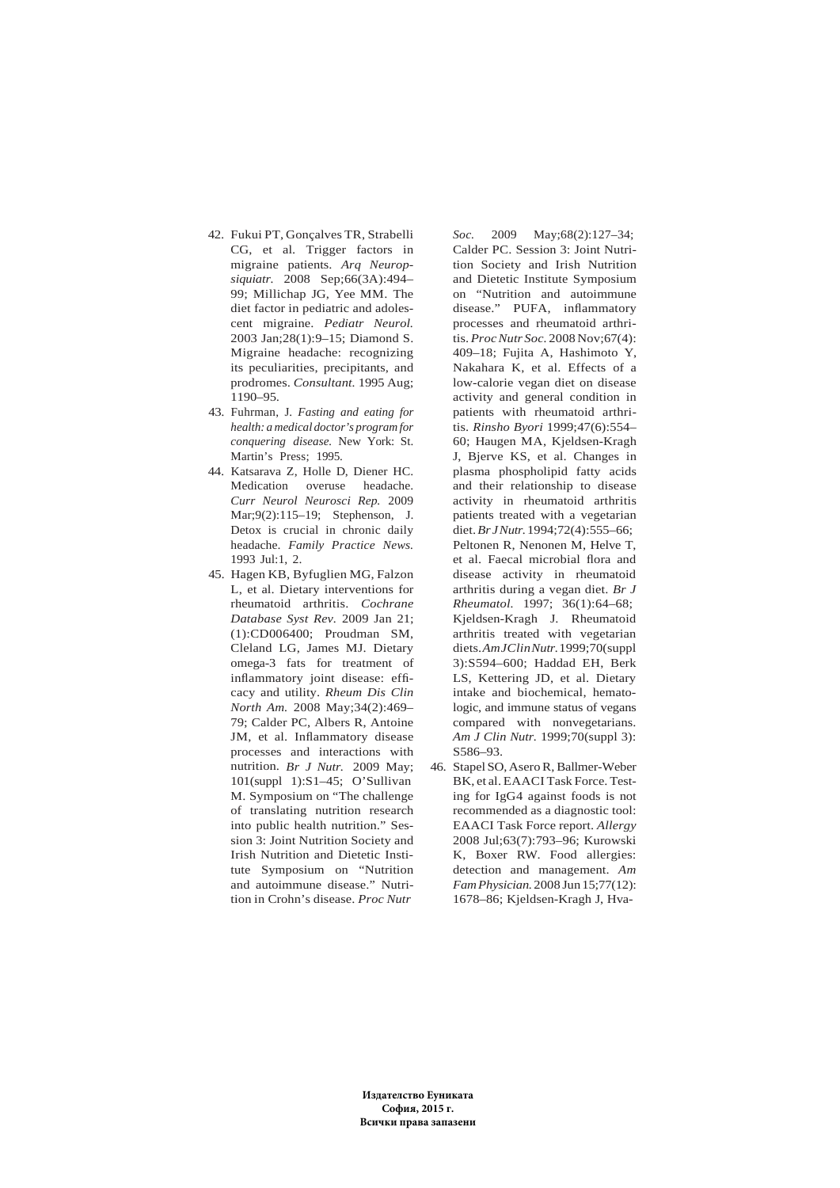- 42. Fukui PT, Gonçalves TR, Strabelli CG, et al. Trigger factors in migraine patients. *Arq Neuropsiquiatr.* 2008 Sep;66(3A):494– 99; Millichap JG, Yee MM. The diet factor in pediatric and adolescent migraine. *Pediatr Neurol.* 2003 Jan;28(1):9–15; Diamond S. Migraine headache: recognizing its peculiarities, precipitants, and prodromes. *Consultant.* 1995 Aug; 1190–95.
- 43. Fuhrman, J. *Fasting and eating for health: a medical doctor's program for conquering disease.* New York: St. Martin's Press; 1995.
- 44. Katsarava Z, Holle D, Diener HC. Medication overuse headache. *Curr Neurol Neurosci Rep.* 2009 Mar;9(2):115–19; Stephenson, J. Detox is crucial in chronic daily headache. *Family Practice News.* 1993 Jul:1, 2.
- 45. Hagen KB, Byfuglien MG, Falzon L, et al. Dietary interventions for rheumatoid arthritis. *Cochrane Database Syst Rev.* 2009 Jan 21; (1):CD006400; Proudman SM, Cleland LG, James MJ. Dietary omega-3 fats for treatment of inflammatory joint disease: efficacy and utility. *Rheum Dis Clin North Am.* 2008 May;34(2):469– 79; Calder PC, Albers R, Antoine JM, et al. Inflammatory disease processes and interactions with nutrition. *Br J Nutr.* 2009 May; 101(suppl 1):S1–45; O'Sullivan M. Symposium on "The challenge of translating nutrition research into public health nutrition." Session 3: Joint Nutrition Society and Irish Nutrition and Dietetic Institute Symposium on "Nutrition and autoimmune disease." Nutrition in Crohn's disease. *Proc Nutr*

*Soc.* 2009 May;68(2):127–34; Calder PC. Session 3: Joint Nutrition Society and Irish Nutrition and Dietetic Institute Symposium on "Nutrition and autoimmune disease." PUFA, inflammatory processes and rheumatoid arthritis. *Proc Nutr Soc.* 2008 Nov;67(4): 409–18; Fujita A, Hashimoto Y, Nakahara K, et al. Effects of a low-calorie vegan diet on disease activity and general condition in patients with rheumatoid arthritis. *Rinsho Byori* 1999;47(6):554– 60; Haugen MA, Kjeldsen-Kragh J, Bjerve KS, et al. Changes in plasma phospholipid fatty acids and their relationship to disease activity in rheumatoid arthritis patients treated with a vegetarian diet. *Br J Nutr.* 1994;72(4):555–66; Peltonen R, Nenonen M, Helve T, et al. Faecal microbial flora and disease activity in rheumatoid arthritis during a vegan diet. *Br J Rheumatol.* 1997; 36(1):64–68; Kjeldsen-Kragh J. Rheumatoid arthritis treated with vegetarian diets. *Am JClin Nutr.* 1999;70(suppl 3):S594–600; Haddad EH, Berk LS, Kettering JD, et al. Dietary intake and biochemical, hematologic, and immune status of vegans compared with nonvegetarians. *Am J Clin Nutr.* 1999;70(suppl 3): S586–93.

46. Stapel SO, Asero R, Ballmer-Weber BK, et al. EAACI Task Force. Testing for IgG4 against foods is not recommended as a diagnostic tool: EAACI Task Force report. *Allergy* 2008 Jul;63(7):793–96; Kurowski K, Boxer RW. Food allergies: detection and management. *Am Fam Physician.* 2008 Jun 15;77(12): 1678–86; Kjeldsen-Kragh J, Hva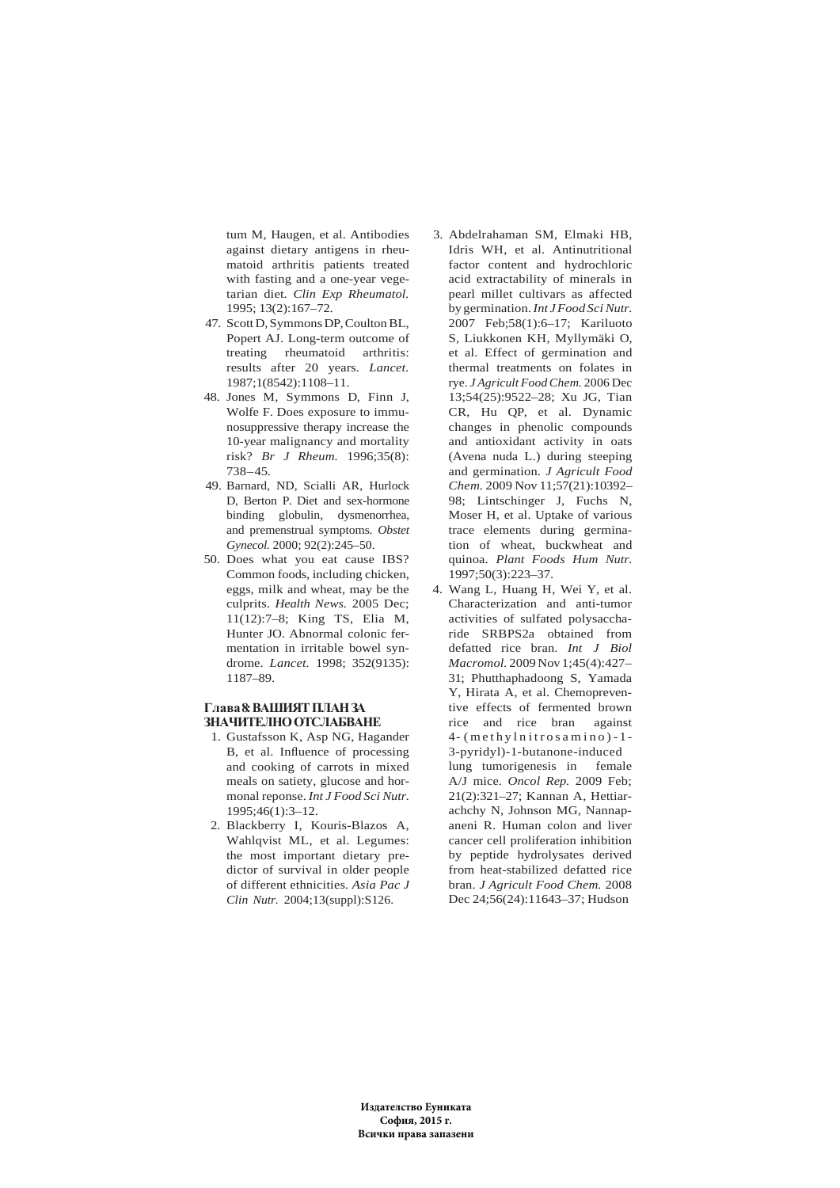tum M, Haugen, et al. Antibodies against dietary antigens in rheumatoid arthritis patients treated with fasting and a one-year vegetarian diet. *Clin Exp Rheumatol.* 1995; 13(2):167–72.

- 47. Scott D, Symmons DP, Coulton BL, Popert AJ. Long-term outcome of treating rheumatoid arthritis: results after 20 years. *Lancet.* 1987;1(8542):1108–11.
- 48. Jones M, Symmons D, Finn J, Wolfe F. Does exposure to immunosuppressive therapy increase the 10-year malignancy and mortality risk? *Br J Rheum.* 1996;35(8): 738–45.
- 49. Barnard, ND, Scialli AR, Hurlock D, Berton P. Diet and sex-hormone binding globulin, dysmenorrhea, and premenstrual symptoms. *Obstet Gynecol.* 2000; 92(2):245–50.
- 50. Does what you eat cause IBS? Common foods, including chicken, eggs, milk and wheat, may be the culprits. *Health News.* 2005 Dec; 11(12):7–8; King TS, Elia M, Hunter JO. Abnormal colonic fermentation in irritable bowel syndrome. *Lancet.* 1998; 352(9135): 1187–89.

# **Глава 8: ВАШИЯТ ПЛАН ЗА ЗНАЧИТЕЛНО ОТСЛАБВАНЕ**

- 1. Gustafsson K, Asp NG, Hagander B, et al. Influence of processing and cooking of carrots in mixed meals on satiety, glucose and hormonal reponse. *Int J Food Sci Nutr.* 1995;46(1):3–12.
- 2. Blackberry I, Kouris-Blazos A, Wahlqvist ML, et al. Legumes: the most important dietary predictor of survival in older people of different ethnicities. *Asia Pac J Clin Nutr.* 2004;13(suppl):S126.
- 3. Abdelrahaman SM, Elmaki HB, Idris WH, et al. Antinutritional factor content and hydrochloric acid extractability of minerals in pearl millet cultivars as affected by germination. *Int J Food Sci Nutr.* 2007 Feb;58(1):6–17; Kariluoto S, Liukkonen KH, Myllymäki O, et al. Effect of germination and thermal treatments on folates in rye. *J Agricult Food Chem.* 2006 Dec 13;54(25):9522–28; Xu JG, Tian CR, Hu QP, et al. Dynamic changes in phenolic compounds and antioxidant activity in oats (Avena nuda L.) during steeping and germination. *J Agricult Food Chem.* 2009 Nov 11;57(21):10392– 98; Lintschinger J, Fuchs N, Moser H, et al. Uptake of various trace elements during germination of wheat, buckwheat and quinoa. *Plant Foods Hum Nutr.* 1997;50(3):223–37.
- 4. Wang L, Huang H, Wei Y, et al. Characterization and anti-tumor activities of sulfated polysaccharide SRBPS2a obtained from defatted rice bran. *Int J Biol Macromol.* 2009 Nov 1;45(4):427– 31; Phutthaphadoong S, Yamada Y, Hirata A, et al. Chemopreventive effects of fermented brown rice and rice bran against  $4-$  (methylnitrosamino) - 1-3-pyridyl)-1-butanone-induced lung tumorigenesis in female A/J mice. *Oncol Rep.* 2009 Feb; 21(2):321–27; Kannan A, Hettiarachchy N, Johnson MG, Nannapaneni R. Human colon and liver cancer cell proliferation inhibition by peptide hydrolysates derived from heat-stabilized defatted rice bran. *J Agricult Food Chem.* 2008 Dec 24;56(24):11643–37; Hudson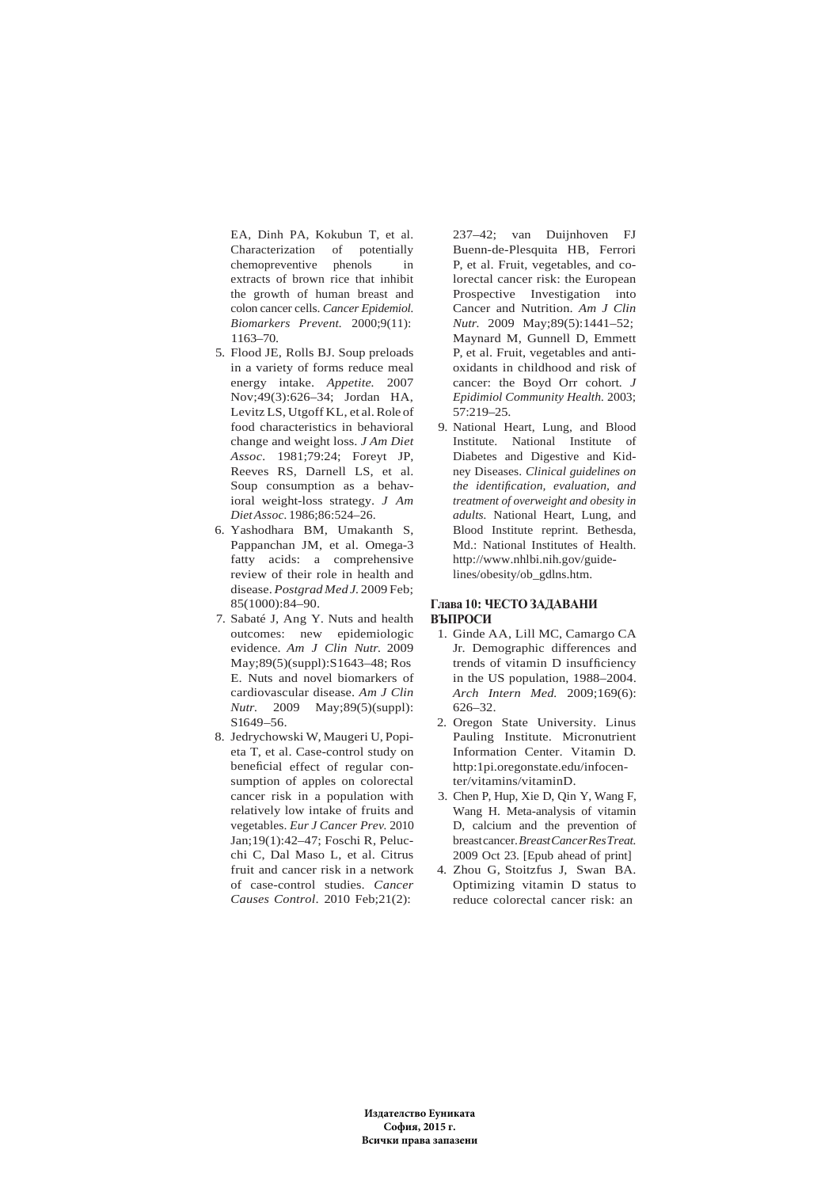EA, Dinh PA, Kokubun T, et al. Characterization of potentially chemopreventive phenols in extracts of brown rice that inhibit the growth of human breast and colon cancer cells. *Cancer Epidemiol. Biomarkers Prevent.* 2000;9(11): 1163–70.

- 5. Flood JE, Rolls BJ. Soup preloads in a variety of forms reduce meal energy intake. *Appetite.* 2007 Nov;49(3):626–34; Jordan HA, Levitz LS, Utgoff KL, et al. Role of food characteristics in behavioral change and weight loss. *J Am Diet Assoc.* 1981;79:24; Foreyt JP, Reeves RS, Darnell LS, et al. Soup consumption as a behavioral weight-loss strategy. *J Am Diet Assoc.* 1986;86:524–26.
- 6. Yashodhara BM, Umakanth S, Pappanchan JM, et al. Omega-3 fatty acids: a comprehensive review of their role in health and disease. *Postgrad Med J.* 2009 Feb; 85(1000):84–90.
- 7. Sabaté J, Ang Y. Nuts and health outcomes: new epidemiologic evidence. *Am J Clin Nutr.* 2009 May;89(5)(suppl):S1643–48; Ros E. Nuts and novel biomarkers of cardiovascular disease. *Am J Clin Nutr.* 2009 May;89(5)(suppl): S1649–56.
- 8. Jedrychowski W, Maugeri U, Popieta T, et al. Case-control study on beneficial effect of regular consumption of apples on colorectal cancer risk in a population with relatively low intake of fruits and vegetables. *Eur J Cancer Prev.* 2010 Jan;19(1):42–47; Foschi R, Pelucchi C, Dal Maso L, et al. Citrus fruit and cancer risk in a network of case-control studies. *Cancer Causes Control*. 2010 Feb;21(2):

237–42; van Duijnhoven FJ Buenn-de-Plesquita HB, Ferrori P, et al. Fruit, vegetables, and colorectal cancer risk: the European Prospective Investigation into Cancer and Nutrition. *Am J Clin Nutr.* 2009 May;89(5):1441–52; Maynard M, Gunnell D, Emmett P, et al. Fruit, vegetables and antioxidants in childhood and risk of cancer: the Boyd Orr cohort*. J Epidimiol Community Health.* 2003; 57:219–25.

9. National Heart, Lung, and Blood Institute. National Institute of Diabetes and Digestive and Kidney Diseases. *Clinical guidelines on the identification, evaluation, and treatment of overweight and obesity in adults.* National Heart, Lung, and Blood Institute reprint. Bethesda, Md.: National Institutes of Health. http://www.nhlbi.nih.gov/guidelines/obesity/ob\_gdlns.htm.

## **Глава 10: ЧЕСТО ЗАДАВАНИ ВЪПРОСИ**

- 1. Ginde AA, Lill MC, Camargo CA Jr. Demographic differences and trends of vitamin D insufficiency in the US population, 1988–2004. *Arch Intern Med.* 2009;169(6): 626–32.
- 2. Oregon State University. Linus Pauling Institute. Micronutrient Information Center. Vitamin D. http:1pi.oregonstate.edu/infocenter/vitamins/vitaminD.
- 3. Chen P, Hup, Xie D, Qin Y, Wang F, Wang H. Meta-analysis of vitamin D, calcium and the prevention of breast cancer. *Breast Cancer Res Treat.* 2009 Oct 23. [Epub ahead of print]
- 4. Zhou G, Stoitzfus J, Swan BA. Optimizing vitamin D status to reduce colorectal cancer risk: an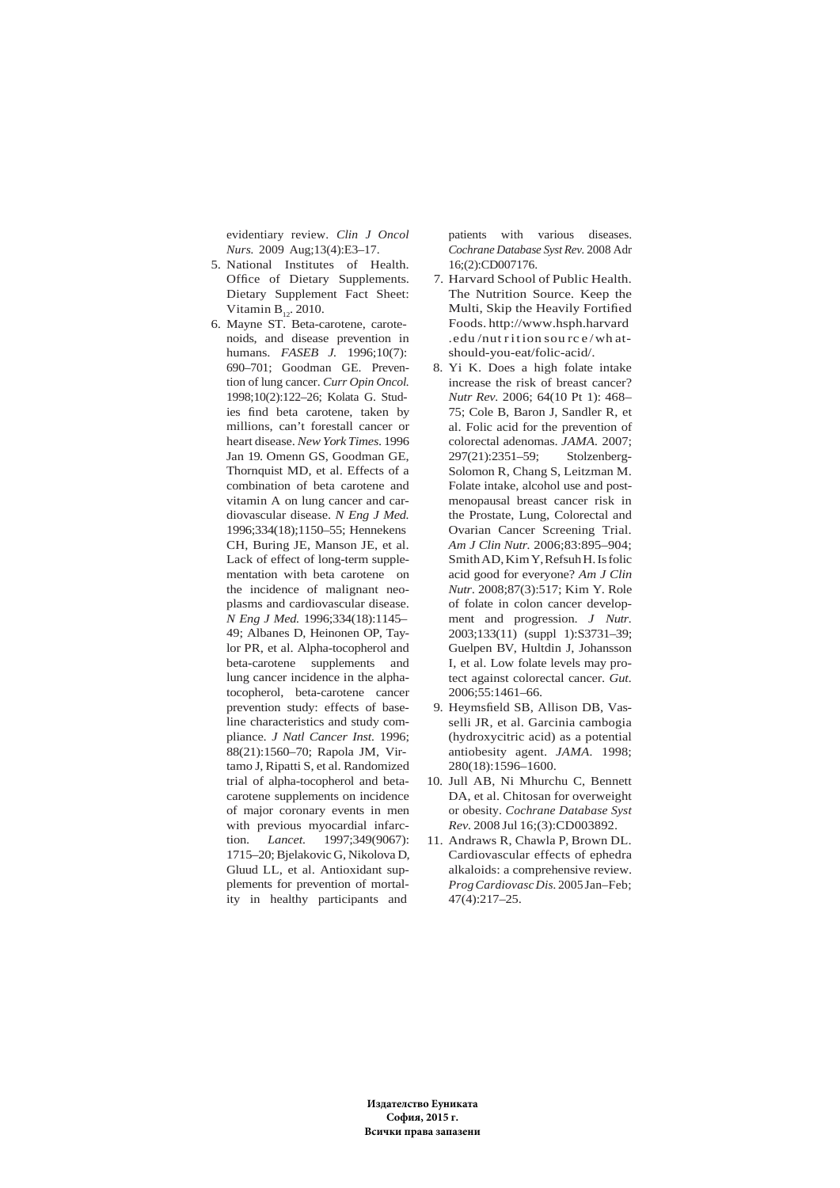evidentiary review. *Clin J Oncol Nurs.* 2009 Aug;13(4):E3–17.

- 5. National Institutes of Health. Office of Dietary Supplements. Dietary Supplement Fact Sheet: Vitamin  $B_{12}$ . 2010.
- 6. Mayne ST. Beta-carotene, carotenoids, and disease prevention in humans. *FASEB J.* 1996;10(7): 690–701; Goodman GE. Prevention of lung cancer. *Curr Opin Oncol.* 1998;10(2):122–26; Kolata G. Studies find beta carotene, taken by millions, can't forestall cancer or heart disease. *New York Times*. 1996 Jan 19. Omenn GS, Goodman GE, Thornquist MD, et al. Effects of a combination of beta carotene and vitamin A on lung cancer and cardiovascular disease. *N Eng J Med.* 1996;334(18);1150–55; Hennekens CH, Buring JE, Manson JE, et al. Lack of effect of long-term supplementation with beta carotene on the incidence of malignant neoplasms and cardiovascular disease. *N Eng J Med.* 1996;334(18):1145– 49; Albanes D, Heinonen OP, Taylor PR, et al. Alpha-tocopherol and beta-carotene supplements and lung cancer incidence in the alphatocopherol, beta-carotene cancer prevention study: effects of baseline characteristics and study compliance. *J Natl Cancer Inst.* 1996; 88(21):1560–70; Rapola JM, Virtamo J, Ripatti S, et al. Randomized trial of alpha-tocopherol and betacarotene supplements on incidence of major coronary events in men with previous myocardial infarction. *Lancet.* 1997;349(9067): 1715–20; Bjelakovic G, Nikolova D, Gluud LL, et al. Antioxidant supplements for prevention of mortality in healthy participants and

patients with various diseases. *Cochrane Database Syst Rev.* 2008 Adr 16;(2):CD007176.

- 7. Harvard School of Public Health. The Nutrition Source. Keep the Multi, Skip the Heavily Fortified Foods. http://www.hsph.harvard  $.edu/nut$  rition source/whatshould-you-eat/folic-acid/.
- 8. Yi K. Does a high folate intake increase the risk of breast cancer? *Nutr Rev.* 2006; 64(10 Pt 1): 468– 75; Cole B, Baron J, Sandler R, et al. Folic acid for the prevention of colorectal adenomas. *JAMA.* 2007; 297(21):2351–59; Stolzenberg-Solomon R, Chang S, Leitzman M. Folate intake, alcohol use and postmenopausal breast cancer risk in the Prostate, Lung, Colorectal and Ovarian Cancer Screening Trial. *Am J Clin Nutr.* 2006;83:895–904; Smith AD, Kim Y, Refsuh H. Is folic acid good for everyone? *Am J Clin Nutr*. 2008;87(3):517; Kim Y. Role of folate in colon cancer development and progression. *J Nutr.* 2003;133(11) (suppl 1):S3731–39; Guelpen BV, Hultdin J, Johansson I, et al. Low folate levels may protect against colorectal cancer. *Gut.* 2006;55:1461–66.
- 9. Heymsfield SB, Allison DB, Vasselli JR, et al. Garcinia cambogia (hydroxycitric acid) as a potential antiobesity agent. *JAMA.* 1998; 280(18):1596–1600.
- 10. Jull AB, Ni Mhurchu C, Bennett DA, et al. Chitosan for overweight or obesity. *Cochrane Database Syst Rev.* 2008 Jul 16;(3):CD003892.
- 11. Andraws R, Chawla P, Brown DL. Cardiovascular effects of ephedra alkaloids: a comprehensive review. *Prog Cardiovasc Dis.* 2005 Jan–Feb; 47(4):217–25.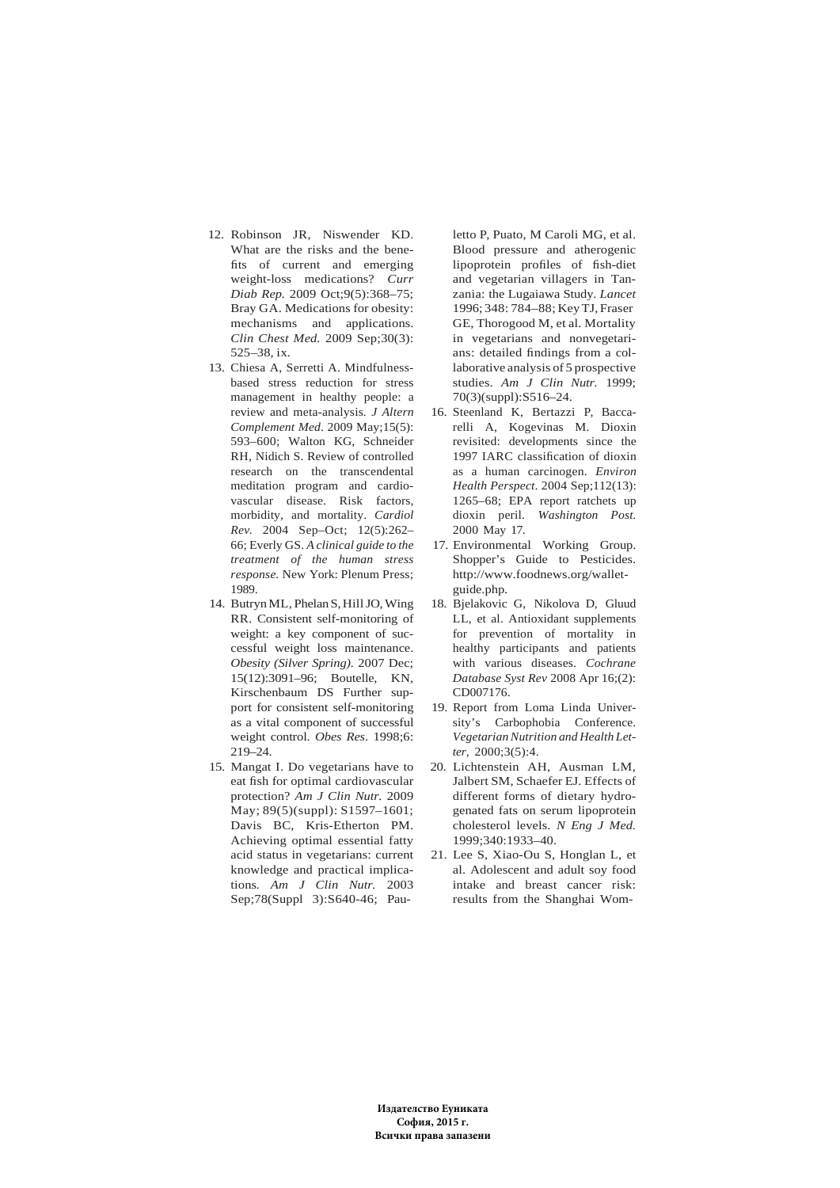- 12. Robinson JR, Niswender KD. What are the risks and the benefits of current and emerging weight-loss medications? *Curr Diab Rep.* 2009 Oct;9(5):368–75; Bray GA. Medications for obesity: mechanisms and applications. *Clin Chest Med.* 2009 Sep;30(3): 525–38, ix.
- 13. Chiesa A, Serretti A. Mindfulnessbased stress reduction for stress management in healthy people: a review and meta-analysis*. J Altern Complement Med*. 2009 May;15(5): 593–600; Walton KG, Schneider RH, Nidich S. Review of controlled research on the transcendental meditation program and cardiovascular disease. Risk factors, morbidity, and mortality. *Cardiol Rev.* 2004 Sep–Oct; 12(5):262– 66; Everly GS. *A clinical guide to the treatment of the human stress response.* New York: Plenum Press; 1989.
- 14. Butryn ML, Phelan S, Hill JO, Wing RR. Consistent self-monitoring of weight: a key component of successful weight loss maintenance. *Obesity (Silver Spring).* 2007 Dec; 15(12):3091–96; Boutelle, KN, Kirschenbaum DS Further support for consistent self-monitoring as a vital component of successful weight control. *Obes Res*. 1998;6: 219–24.
- 15. Mangat I. Do vegetarians have to eat fish for optimal cardiovascular protection? *Am J Clin Nutr.* 2009 May; 89(5)(suppl): S1597–1601; Davis BC, Kris-Etherton PM. Achieving optimal essential fatty acid status in vegetarians: current knowledge and practical implications*. Am J Clin Nutr.* 2003 Sep;78(Suppl 3):S640-46; Pau-

letto P, Puato, M Caroli MG, et al. Blood pressure and atherogenic lipoprotein profiles of fish-diet and vegetarian villagers in Tanzania: the Lugaiawa Study. *Lancet* 1996; 348: 784–88; Key TJ, Fraser GE, Thorogood M, et al. Mortality in vegetarians and nonvegetarians: detailed findings from a collaborative analysis of 5 prospective studies. *Am J Clin Nutr.* 1999; 70(3)(suppl):S516–24.

- 16. Steenland K, Bertazzi P, Baccarelli A, Kogevinas M. Dioxin revisited: developments since the 1997 IARC classification of dioxin as a human carcinogen. *Environ Health Perspect*. 2004 Sep;112(13): 1265–68; EPA report ratchets up dioxin peril. *Washington Post.* 2000 May 17.
- 17. Environmental Working Group. Shopper's Guide to Pesticides. http://www.foodnews.org/walletguide.php.
- 18. Bjelakovic G, Nikolova D, Gluud LL, et al. Antioxidant supplements for prevention of mortality in healthy participants and patients with various diseases. *Cochrane Database Syst Rev* 2008 Apr 16;(2): CD007176.
- 19. Report from Loma Linda University's Carbophobia Conference. *Vegetarian Nutrition and Health Letter,* 2000;3(5):4.
- 20. Lichtenstein AH, Ausman LM, Jalbert SM, Schaefer EJ. Effects of different forms of dietary hydrogenated fats on serum lipoprotein cholesterol levels. *N Eng J Med.* 1999;340:1933–40.
- 21. Lee S, Xiao-Ou S, Honglan L, et al. Adolescent and adult soy food intake and breast cancer risk: results from the Shanghai Wom-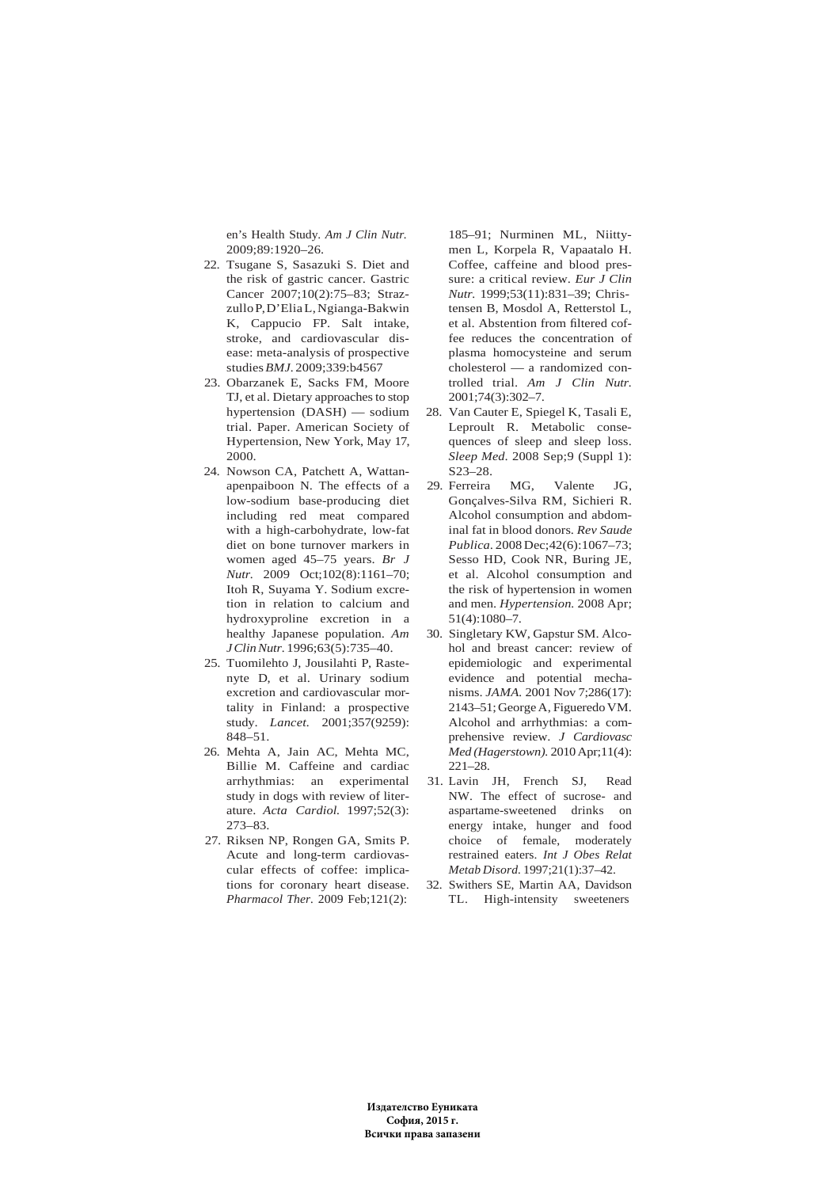en's Health Study. *Am J Clin Nutr.* 2009;89:1920–26.

- 22. Tsugane S, Sasazuki S. Diet and the risk of gastric cancer. Gastric Cancer 2007;10(2):75–83; Strazzullo P, D'Elia L, Ngianga-Bakwin K, Cappucio FP. Salt intake, stroke, and cardiovascular disease: meta-analysis of prospective studies *BMJ.* 2009;339:b4567
- 23. Obarzanek E, Sacks FM, Moore TJ, et al. Dietary approaches to stop hypertension (DASH) — sodium trial. Paper. American Society of Hypertension, New York, May 17, 2000.
- 24. Nowson CA, Patchett A, Wattanapenpaiboon N. The effects of a low-sodium base-producing diet including red meat compared with a high-carbohydrate, low-fat diet on bone turnover markers in women aged 45–75 years. *Br J Nutr.* 2009 Oct;102(8):1161–70; Itoh R, Suyama Y. Sodium excretion in relation to calcium and hydroxyproline excretion in a healthy Japanese population. *Am J Clin Nutr.* 1996;63(5):735–40.
- 25. Tuomilehto J, Jousilahti P, Rastenyte D, et al. Urinary sodium excretion and cardiovascular mortality in Finland: a prospective study. *Lancet.* 2001;357(9259): 848–51.
- 26. Mehta A, Jain AC, Mehta MC, Billie M. Caffeine and cardiac arrhythmias: an experimental study in dogs with review of literature. *Acta Cardiol.* 1997;52(3): 273–83.
- 27. Riksen NP, Rongen GA, Smits P. Acute and long-term cardiovascular effects of coffee: implications for coronary heart disease. *Pharmacol Ther.* 2009 Feb;121(2):

185–91; Nurminen ML, Niittymen L, Korpela R, Vapaatalo H. Coffee, caffeine and blood pressure: a critical review. *Eur J Clin Nutr.* 1999;53(11):831–39; Christensen B, Mosdol A, Retterstol L, et al. Abstention from filtered coffee reduces the concentration of plasma homocysteine and serum cholesterol — a randomized controlled trial. *Am J Clin Nutr.* 2001;74(3):302–7.

- 28. Van Cauter E, Spiegel K, Tasali E, Leproult R. Metabolic consequences of sleep and sleep loss. *Sleep Med*. 2008 Sep;9 (Suppl 1): S23–28.
- 29. Ferreira MG, Valente JG, Gonçalves-Silva RM, Sichieri R. Alcohol consumption and abdominal fat in blood donors. *Rev Saude Publica*. 2008 Dec;42(6):1067–73; Sesso HD, Cook NR, Buring JE, et al. Alcohol consumption and the risk of hypertension in women and men. *Hypertension.* 2008 Apr; 51(4):1080–7.
- 30. Singletary KW, Gapstur SM. Alcohol and breast cancer: review of epidemiologic and experimental evidence and potential mechanisms. *JAMA.* 2001 Nov 7;286(17): 2143–51; George A, Figueredo VM. Alcohol and arrhythmias: a comprehensive review. *J Cardiovasc Med (Hagerstown).* 2010 Apr;11(4):  $221 - 28$
- 31. Lavin JH, French SJ, Read NW. The effect of sucrose- and aspartame-sweetened drinks on energy intake, hunger and food choice of female, moderately restrained eaters. *Int J Obes Relat Metab Disord.* 1997;21(1):37–42.
- 32. Swithers SE, Martin AA, Davidson TL. High-intensity sweeteners